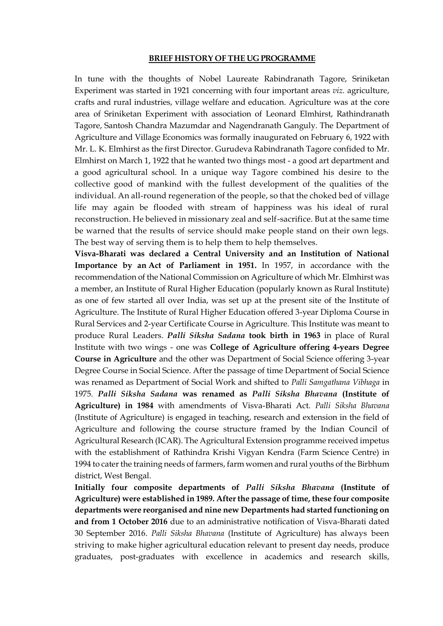#### **BRIEF HISTORY OF THE UG PROGRAMME**

In tune with the thoughts of Nobel Laureate Rabindranath Tagore, Sriniketan Experiment was started in 1921 concerning with four important areas *viz.* agriculture, crafts and rural industries, village welfare and education. Agriculture was at the core area of Sriniketan Experiment with association of Leonard Elmhirst, Rathindranath Tagore, Santosh Chandra Mazumdar and Nagendranath Ganguly. The Department of Agriculture and Village Economics was formally inaugurated on February 6, 1922 with Mr. L. K. Elmhirst as the first Director. Gurudeva Rabindranath Tagore confided to Mr. Elmhirst on March 1, 1922 that he wanted two things most - a good art department and a good agricultural school. In a unique way Tagore combined his desire to the collective good of mankind with the fullest development of the qualities of the individual. An all-round regeneration of the people, so that the choked bed of village life may again be flooded with stream of happiness was his ideal of rural reconstruction. He believed in missionary zeal and self-sacrifice. But at the same time be warned that the results of service should make people stand on their own legs. The best way of serving them is to help them to help themselves.

**Visva-Bharati was declared a Central University and an Institution of National Importance by an [Act of Parliament in 1951.](http://indiankanoon.org/doc/17541/)** In 1957, in accordance with the recommendation of the National Commission on Agriculture of which Mr. Elmhirst was a member, an Institute of Rural Higher Education (popularly known as Rural Institute) as one of few started all over India, was set up at the present site of the Institute of Agriculture. The Institute of Rural Higher Education offered 3-year Diploma Course in Rural Services and 2-year Certificate Course in Agriculture. This Institute was meant to produce Rural Leaders. *Palli Siksha Sadana* **took birth in 1963** in place of Rural Institute with two wings - one was **College of Agriculture offering 4-years Degree Course in Agriculture** and the other was Department of Social Science offering 3-year Degree Course in Social Science. After the passage of time Department of Social Science was renamed as Department of Social Work and shifted to *Palli Samgathana Vibhaga* in 1975. *Palli Siksha Sadana* **was renamed as** *Palli Siksha Bhavana* **(Institute of Agriculture) in 1984** with amendments of Visva-Bharati Act. *Palli Siksha Bhavana* (Institute of Agriculture) is engaged in teaching, research and extension in the field of Agriculture and following the course structure framed by the Indian Council of Agricultural Research (ICAR). The Agricultural Extension programme received impetus with the establishment of Rathindra Krishi Vigyan Kendra (Farm Science Centre) in 1994 to cater the training needs of farmers, farm women and rural youths of the Birbhum district, West Bengal.

**Initially four composite departments of** *Palli Siksha Bhavana* **(Institute of Agriculture) were established in 1989. After the passage of time, these four composite departments were reorganised and nine new Departments had started functioning on and from 1 October 2016** due to an administrative notification of Visva-Bharati dated 30 September 2016. *Palli Siksha Bhavana* (Institute of Agriculture) has always been striving to make higher agricultural education relevant to present day needs, produce graduates, post-graduates with excellence in academics and research skills,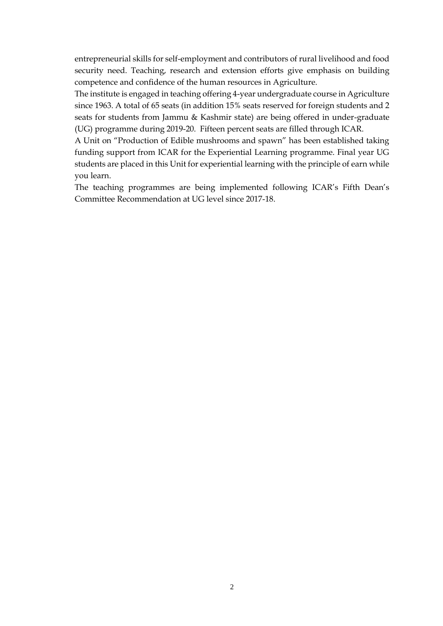entrepreneurial skills for self-employment and contributors of rural livelihood and food security need. Teaching, research and extension efforts give emphasis on building competence and confidence of the human resources in Agriculture.

The institute is engaged in teaching offering 4-year undergraduate course in Agriculture since 1963. A total of 65 seats (in addition 15% seats reserved for foreign students and 2 seats for students from Jammu & Kashmir state) are being offered in under-graduate (UG) programme during 2019-20. Fifteen percent seats are filled through ICAR.

A Unit on "Production of Edible mushrooms and spawn" has been established taking funding support from ICAR for the Experiential Learning programme. Final year UG students are placed in this Unit for experiential learning with the principle of earn while you learn.

The teaching programmes are being implemented following ICAR's Fifth Dean's Committee Recommendation at UG level since 2017-18.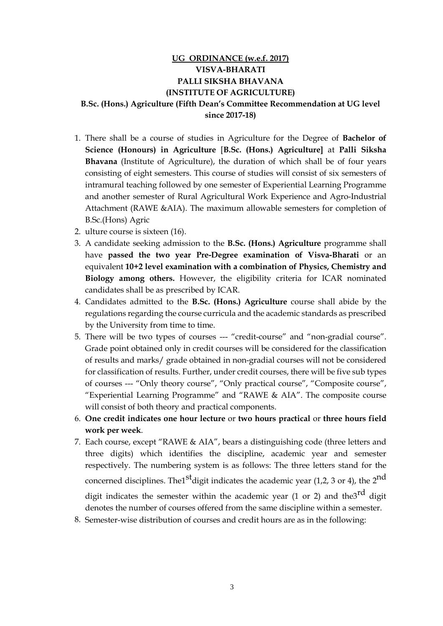# **UG ORDINANCE (w.e.f. 2017) VISVA-BHARATI PALLI SIKSHA BHAVANA (INSTITUTE OF AGRICULTURE) B.Sc. (Hons.) Agriculture (Fifth Dean's Committee Recommendation at UG level since 2017-18)**

- 1. There shall be a course of studies in Agriculture for the Degree of **Bachelor of Science (Honours) in Agriculture** [**B.Sc. (Hons.) Agriculture]** at **Palli Siksha Bhavana** (Institute of Agriculture), the duration of which shall be of four years consisting of eight semesters. This course of studies will consist of six semesters of intramural teaching followed by one semester of Experiential Learning Programme and another semester of Rural Agricultural Work Experience and Agro-Industrial Attachment (RAWE &AIA). The maximum allowable semesters for completion of B.Sc.(Hons) Agric
- 2. ulture course is sixteen (16).
- 3. A candidate seeking admission to the **B.Sc. (Hons.) Agriculture** programme shall have **passed the two year Pre-Degree examination of Visva-Bharati** or an equivalent **10+2 level examination with a combination of Physics, Chemistry and Biology among others.** However, the eligibility criteria for ICAR nominated candidates shall be as prescribed by ICAR.
- 4. Candidates admitted to the **B.Sc. (Hons.) Agriculture** course shall abide by the regulations regarding the course curricula and the academic standards as prescribed by the University from time to time.
- 5. There will be two types of courses --- "credit-course" and "non-gradial course". Grade point obtained only in credit courses will be considered for the classification of results and marks/ grade obtained in non-gradial courses will not be considered for classification of results. Further, under credit courses, there will be five sub types of courses --- "Only theory course", "Only practical course", "Composite course", "Experiential Learning Programme" and "RAWE & AIA". The composite course will consist of both theory and practical components.
- 6. **One credit indicates one hour lecture** or **two hours practical** or **three hours field work per week**.
- 7. Each course, except "RAWE & AIA", bears a distinguishing code (three letters and three digits) which identifies the discipline, academic year and semester respectively. The numbering system is as follows: The three letters stand for the concerned disciplines. The<sup>1st</sup> digit indicates the academic year (1,2, 3 or 4), the  $2<sup>nd</sup>$ digit indicates the semester within the academic year (1 or 2) and the  $3^{rd}$  digit denotes the number of courses offered from the same discipline within a semester.
- 8. Semester-wise distribution of courses and credit hours are as in the following: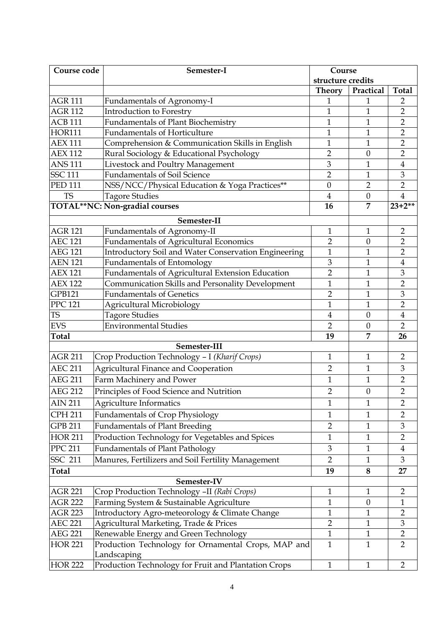| Course code    | Semester-I                                           | Course            |                  |                |
|----------------|------------------------------------------------------|-------------------|------------------|----------------|
|                |                                                      | structure credits |                  |                |
|                |                                                      | <b>Theory</b>     | Practical        | <b>Total</b>   |
| <b>AGR 111</b> | Fundamentals of Agronomy-I                           | 1                 | 1                | $\overline{2}$ |
| <b>AGR 112</b> | Introduction to Forestry                             | $\mathbf{1}$      | $\mathbf{1}$     | $\overline{2}$ |
| <b>ACB 111</b> | <b>Fundamentals of Plant Biochemistry</b>            | $\mathbf{1}$      | $\mathbf{1}$     | $\overline{2}$ |
| <b>HOR111</b>  | <b>Fundamentals of Horticulture</b>                  | $\mathbf{1}$      | $\mathbf{1}$     | $\overline{2}$ |
| <b>AEX 111</b> | Comprehension & Communication Skills in English      | $\mathbf{1}$      | $\mathbf{1}$     | $\overline{2}$ |
| <b>AEX 112</b> | Rural Sociology & Educational Psychology             | $\overline{2}$    | $\boldsymbol{0}$ | $\overline{2}$ |
| <b>ANS 111</b> | Livestock and Poultry Management                     | 3                 | $\mathbf{1}$     | $\overline{4}$ |
| <b>SSC 111</b> | <b>Fundamentals of Soil Science</b>                  | $\overline{2}$    | $\mathbf{1}$     | $\mathfrak{B}$ |
| <b>PED 111</b> | NSS/NCC/Physical Education & Yoga Practices**        | $\boldsymbol{0}$  | $\overline{2}$   | $\overline{2}$ |
| <b>TS</b>      | <b>Tagore Studies</b>                                | $\overline{4}$    | $\boldsymbol{0}$ | $\overline{4}$ |
|                | TOTAL**NC: Non-gradial courses                       | 16                | 7                | $23+2**$       |
|                | Semester-II                                          |                   |                  |                |
| <b>AGR 121</b> | Fundamentals of Agronomy-II                          | $\mathbf{1}$      | $\mathbf{1}$     | $\overline{2}$ |
| <b>AEC 121</b> | <b>Fundamentals of Agricultural Economics</b>        | $\overline{2}$    | $\boldsymbol{0}$ | $\overline{2}$ |
| <b>AEG 121</b> | Introductory Soil and Water Conservation Engineering | $\mathbf{1}$      | $\mathbf{1}$     | $\overline{2}$ |
| <b>AEN 121</b> | <b>Fundamentals of Entomology</b>                    | 3                 | $\mathbf{1}$     | 4              |
| <b>AEX 121</b> | Fundamentals of Agricultural Extension Education     | $\overline{2}$    | $\mathbf{1}$     | 3              |
| <b>AEX 122</b> | Communication Skills and Personality Development     | $\mathbf{1}$      | 1                | $\overline{2}$ |
| <b>GPB121</b>  | <b>Fundamentals of Genetics</b>                      | $\overline{2}$    | $\mathbf{1}$     | $\mathfrak{B}$ |
| <b>PPC 121</b> | <b>Agricultural Microbiology</b>                     | $\mathbf{1}$      | $\mathbf{1}$     | $\overline{2}$ |
| <b>TS</b>      | <b>Tagore Studies</b>                                | $\overline{4}$    | $\mathbf{0}$     | $\bf 4$        |
| <b>EVS</b>     | <b>Environmental Studies</b>                         | $\overline{2}$    | $\theta$         | $\overline{2}$ |
| <b>Total</b>   |                                                      | 19                | 7                | 26             |
|                | Semester-III                                         |                   |                  |                |
| <b>AGR 211</b> | Crop Production Technology - I (Kharif Crops)        | $\mathbf{1}$      | $\mathbf{1}$     | $\overline{2}$ |
| <b>AEC 211</b> | <b>Agricultural Finance and Cooperation</b>          | $\overline{2}$    | $\mathbf{1}$     | $\mathfrak 3$  |
| <b>AEG 211</b> | Farm Machinery and Power                             | $\mathbf{1}$      | $\mathbf{1}$     | $\overline{2}$ |
| <b>AEG 212</b> | Principles of Food Science and Nutrition             | $\overline{2}$    | $\theta$         | $\overline{2}$ |
| <b>AIN 211</b> | Agriculture Informatics                              | $\mathbf{1}$      | 1                | 2              |
| <b>CPH 211</b> | <b>Fundamentals of Crop Physiology</b>               | $\mathbf{1}$      | $\mathbf{1}$     | $\overline{2}$ |
|                |                                                      |                   |                  |                |
| <b>GPB 211</b> | <b>Fundamentals of Plant Breeding</b>                | $\overline{2}$    | $\mathbf{1}$     | 3              |
| <b>HOR 211</b> | Production Technology for Vegetables and Spices      | $\mathbf{1}$      | $\mathbf{1}$     | $\overline{2}$ |
| <b>PPC 211</b> | <b>Fundamentals of Plant Pathology</b>               | 3                 | $\mathbf{1}$     | 4              |
| <b>SSC 211</b> | Manures, Fertilizers and Soil Fertility Management   | $\overline{2}$    | $\mathbf{1}$     | 3              |
| Total          |                                                      | 19                | 8                | 27             |
|                | Semester-IV                                          |                   |                  |                |
| <b>AGR 221</b> | Crop Production Technology -II (Rabi Crops)          | $\mathbf{1}$      | $\mathbf{1}$     | $\overline{2}$ |
| <b>AGR 222</b> | Farming System & Sustainable Agriculture             | $\mathbf{1}$      | $\boldsymbol{0}$ | 1              |
| <b>AGR 223</b> | Introductory Agro-meteorology & Climate Change       | $\mathbf{1}$      | $\mathbf{1}$     | $\overline{2}$ |
| <b>AEC 221</b> | Agricultural Marketing, Trade & Prices               | $\overline{2}$    | $\mathbf{1}$     | $\mathfrak{Z}$ |
| <b>AEG 221</b> | Renewable Energy and Green Technology                | $\mathbf{1}$      | $\mathbf{1}$     | $\overline{2}$ |
| <b>HOR 221</b> | Production Technology for Ornamental Crops, MAP and  | $\mathbf{1}$      | $\mathbf{1}$     | $\overline{2}$ |
|                | Landscaping                                          |                   |                  |                |
| <b>HOR 222</b> | Production Technology for Fruit and Plantation Crops | $\mathbf{1}$      | $\mathbf{1}$     | $\overline{2}$ |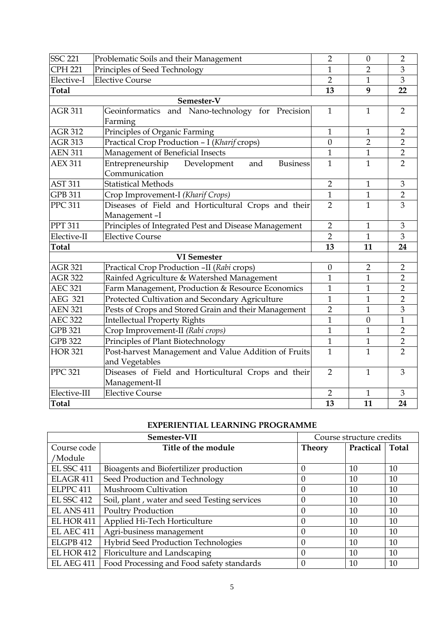| <b>SSC 221</b> | Problematic Soils and their Management                                     | $\overline{2}$ | $\theta$         | $\overline{2}$ |
|----------------|----------------------------------------------------------------------------|----------------|------------------|----------------|
| <b>CPH 221</b> | Principles of Seed Technology                                              | 1              | $\overline{2}$   | $\mathfrak{B}$ |
| Elective-I     | <b>Elective Course</b>                                                     | $\overline{2}$ | $\mathbf{1}$     | $\overline{3}$ |
| <b>Total</b>   |                                                                            | 13             | 9                | 22             |
|                | Semester-V                                                                 |                |                  |                |
| <b>AGR 311</b> | Geoinformatics and Nano-technology for Precision<br>Farming                | $\mathbf{1}$   | $\mathbf{1}$     | $\overline{2}$ |
| <b>AGR 312</b> | Principles of Organic Farming                                              | $\mathbf{1}$   | $\mathbf{1}$     | $\overline{2}$ |
| <b>AGR 313</b> | Practical Crop Production - I (Kharif crops)                               | $\overline{0}$ | $\overline{2}$   | $\overline{2}$ |
| <b>AEN 311</b> | Management of Beneficial Insects                                           | $\mathbf{1}$   | $\mathbf{1}$     | $\overline{2}$ |
| <b>AEX 311</b> | Entrepreneurship<br><b>Business</b><br>Development<br>and<br>Communication | $\mathbf{1}$   | $\mathbf{1}$     | $\overline{2}$ |
| <b>AST 311</b> | <b>Statistical Methods</b>                                                 | $\overline{2}$ | $\mathbf{1}$     | 3              |
| <b>GPB 311</b> | Crop Improvement-I (Kharif Crops)                                          | $\overline{1}$ | $\mathbf{1}$     | $\overline{2}$ |
| <b>PPC 311</b> | Diseases of Field and Horticultural Crops and their<br>Management-I        | $\overline{2}$ | $\mathbf{1}$     | $\overline{3}$ |
| <b>PPT 311</b> | Principles of Integrated Pest and Disease Management                       | $\overline{2}$ | $\mathbf{1}$     | $\mathfrak{Z}$ |
| Elective-II    | <b>Elective Course</b>                                                     | $\overline{2}$ | $\mathbf{1}$     | 3              |
| <b>Total</b>   |                                                                            | 13             | 11               | 24             |
|                | <b>VI</b> Semester                                                         |                |                  |                |
| <b>AGR 321</b> | Practical Crop Production -II (Rabi crops)                                 | $\mathbf{0}$   | $\overline{2}$   | $\overline{2}$ |
| <b>AGR 322</b> | Rainfed Agriculture & Watershed Management                                 | 1              | $\mathbf{1}$     | $\overline{2}$ |
| <b>AEC 321</b> | Farm Management, Production & Resource Economics                           | 1              | $\mathbf{1}$     | $\overline{2}$ |
| <b>AEG 321</b> | Protected Cultivation and Secondary Agriculture                            | 1              | $\mathbf{1}$     | $\overline{2}$ |
| <b>AEN 321</b> | Pests of Crops and Stored Grain and their Management                       | $\overline{2}$ | $\mathbf{1}$     | $\overline{3}$ |
| <b>AEC 322</b> | <b>Intellectual Property Rights</b>                                        | $\overline{1}$ | $\boldsymbol{0}$ | $\overline{1}$ |
| <b>GPB 321</b> | Crop Improvement-II (Rabi crops)                                           | 1              | $\mathbf{1}$     | $\overline{2}$ |
| <b>GPB 322</b> | Principles of Plant Biotechnology                                          | $\mathbf{1}$   | $\mathbf{1}$     | $\overline{2}$ |
| <b>HOR 321</b> |                                                                            |                |                  |                |
|                | Post-harvest Management and Value Addition of Fruits<br>and Vegetables     | $\mathbf{1}$   | $\mathbf{1}$     | $\overline{2}$ |
| <b>PPC 321</b> | Diseases of Field and Horticultural Crops and their<br>Management-II       | $\overline{2}$ | $\mathbf{1}$     | 3              |
| Elective-III   | <b>Elective Course</b>                                                     | $\overline{2}$ | $\mathbf{1}$     | 3              |

## **EXPERIENTIAL LEARNING PROGRAMME**

| Semester-VII         |                                              | Course structure credits |           |              |
|----------------------|----------------------------------------------|--------------------------|-----------|--------------|
| Course code          | Title of the module                          | <b>Theory</b>            | Practical | <b>Total</b> |
| /Module              |                                              |                          |           |              |
| <b>EL SSC 411</b>    | Bioagents and Biofertilizer production       | 0                        | 10        | 10           |
| ELAGR <sub>411</sub> | Seed Production and Technology               | 0                        | 10        | 10           |
| ELPPC 411            | Mushroom Cultivation                         | 0                        | 10        | 10           |
| <b>EL SSC 412</b>    | Soil, plant, water and seed Testing services | 0                        | 10        | 10           |
| <b>EL ANS 411</b>    | <b>Poultry Production</b>                    | 0                        | 10        | 10           |
| EL HOR 411           | Applied Hi-Tech Horticulture                 | 0                        | 10        | 10           |
| <b>EL AEC 411</b>    | Agri-business management                     | 0                        | 10        | 10           |
| ELGPB 412            | <b>Hybrid Seed Production Technologies</b>   | 0                        | 10        | 10           |
| <b>EL HOR 412</b>    | Floriculture and Landscaping                 | 0                        | 10        | 10           |
| <b>EL AEG 411</b>    | Food Processing and Food safety standards    | 0                        | 10        | 10           |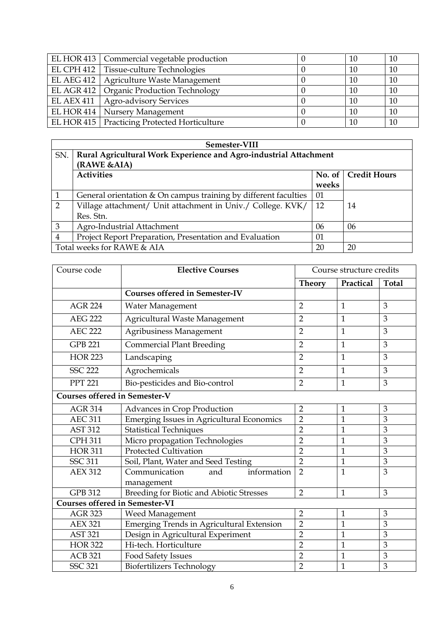| EL HOR 413   Commercial vegetable production   | 10 | 10 |
|------------------------------------------------|----|----|
| EL CPH 412   Tissue-culture Technologies       | 10 | 10 |
| EL AEG 412   Agriculture Waste Management      | 10 | 10 |
| EL AGR 412   Organic Production Technology     | 10 | 10 |
| EL AEX 411   Agro-advisory Services            | 10 | 10 |
| EL HOR 414   Nursery Management                | 10 | 10 |
| EL HOR 415   Practicing Protected Horticulture | 10 | 10 |

|                | Semester-VIII                                                     |       |                       |  |  |
|----------------|-------------------------------------------------------------------|-------|-----------------------|--|--|
| SN.            | Rural Agricultural Work Experience and Agro-industrial Attachment |       |                       |  |  |
|                | (RAWE &AIA)                                                       |       |                       |  |  |
|                | <b>Activities</b>                                                 |       | No. of   Credit Hours |  |  |
|                |                                                                   | weeks |                       |  |  |
|                | General orientation & On campus training by different faculties   | 01    |                       |  |  |
| 2              | Village attachment/ Unit attachment in Univ./ College. KVK/       | 12    | 14                    |  |  |
|                | Res. Stn.                                                         |       |                       |  |  |
| 3              | Agro-Industrial Attachment                                        | 06    | 06                    |  |  |
| $\overline{4}$ | Project Report Preparation, Presentation and Evaluation           | 01    |                       |  |  |
|                | Total weeks for RAWE & AIA                                        | 20    | 20                    |  |  |

| Course code                           | <b>Elective Courses</b>                          | Course structure credits |              |              |
|---------------------------------------|--------------------------------------------------|--------------------------|--------------|--------------|
|                                       |                                                  | <b>Theory</b>            | Practical    | <b>Total</b> |
|                                       | <b>Courses offered in Semester-IV</b>            |                          |              |              |
| <b>AGR 224</b>                        | Water Management                                 | $\overline{2}$           | $\mathbf{1}$ | 3            |
| <b>AEG 222</b>                        | Agricultural Waste Management                    | $\overline{2}$           | $\mathbf{1}$ | 3            |
| <b>AEC 222</b>                        | Agribusiness Management                          | $\overline{2}$           | $\mathbf{1}$ | 3            |
| <b>GPB 221</b>                        | <b>Commercial Plant Breeding</b>                 | $\overline{2}$           | $\mathbf{1}$ | 3            |
| <b>HOR 223</b>                        | Landscaping                                      | $\overline{2}$           | $\mathbf{1}$ | 3            |
| <b>SSC 222</b>                        | Agrochemicals                                    | $\overline{2}$           | $\mathbf{1}$ | 3            |
| <b>PPT 221</b>                        | Bio-pesticides and Bio-control                   | $\overline{2}$           | $\mathbf{1}$ | 3            |
| <b>Courses offered in Semester-V</b>  |                                                  |                          |              |              |
| <b>AGR 314</b>                        | Advances in Crop Production                      | $\overline{2}$           | 1            | 3            |
| <b>AEC 311</b>                        | <b>Emerging Issues in Agricultural Economics</b> | $\overline{2}$           | $\mathbf{1}$ | 3            |
| <b>AST 312</b>                        | <b>Statistical Techniques</b>                    | $\overline{2}$           | $\mathbf{1}$ | 3            |
| <b>CPH 311</b>                        | Micro propagation Technologies                   | $\overline{2}$           | $\mathbf{1}$ | 3            |
| <b>HOR 311</b>                        | <b>Protected Cultivation</b>                     | $\overline{2}$           | 1            | 3            |
| <b>SSC 311</b>                        | Soil, Plant, Water and Seed Testing              | $\overline{2}$           | $\mathbf{1}$ | 3            |
| <b>AEX 312</b>                        | Communication<br>information<br>and              | $\overline{2}$           | $\mathbf{1}$ | 3            |
|                                       | management                                       |                          |              |              |
| <b>GPB 312</b>                        | Breeding for Biotic and Abiotic Stresses         | $\overline{2}$           | $\mathbf{1}$ | 3            |
| <b>Courses offered in Semester-VI</b> |                                                  |                          |              |              |
| <b>AGR 323</b>                        | <b>Weed Management</b>                           | $\overline{2}$           | $\mathbf{1}$ | 3            |
| <b>AEX 321</b>                        | <b>Emerging Trends in Agricultural Extension</b> | $\overline{2}$           | $\mathbf{1}$ | 3            |
| <b>AST 321</b>                        | Design in Agricultural Experiment                | $\overline{2}$           | $\mathbf{1}$ | 3            |
| <b>HOR 322</b>                        | Hi-tech. Horticulture                            | $\overline{2}$           | $\mathbf{1}$ | 3            |
| <b>ACB 321</b>                        | <b>Food Safety Issues</b>                        | $\overline{2}$           | $\mathbf{1}$ | 3            |
| <b>SSC 321</b>                        | <b>Biofertilizers Technology</b>                 | $\overline{2}$           | $\mathbf{1}$ | 3            |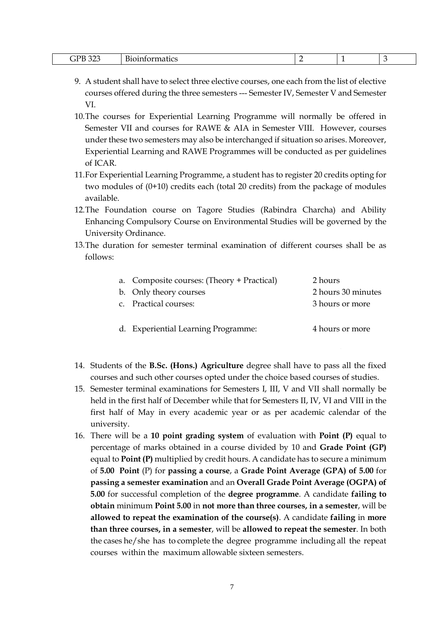| ooc<br>DR<br>. .<br>______ | $\sim$<br>---<br>*IldLIL.<br>-<br>. |  | - |  |
|----------------------------|-------------------------------------|--|---|--|
|----------------------------|-------------------------------------|--|---|--|

- 9. A student shall have to select three elective courses, one each from the list of elective courses offered during the three semesters --- Semester IV, Semester V and Semester VI.
- 10.The courses for Experiential Learning Programme will normally be offered in Semester VII and courses for RAWE & AIA in Semester VIII. However, courses under these two semesters may also be interchanged if situation so arises. Moreover, Experiential Learning and RAWE Programmes will be conducted as per guidelines of ICAR.
- 11.For Experiential Learning Programme, a student has to register 20 credits opting for two modules of (0+10) credits each (total 20 credits) from the package of modules available.
- 12.The Foundation course on Tagore Studies (Rabindra Charcha) and Ability Enhancing Compulsory Course on Environmental Studies will be governed by the University Ordinance.
- 13.The duration for semester terminal examination of different courses shall be as follows:

| a. Composite courses: (Theory + Practical) | 2 hours            |
|--------------------------------------------|--------------------|
| b. Only theory courses                     | 2 hours 30 minutes |
| c. Practical courses:                      | 3 hours or more    |
|                                            |                    |
| d. Experiential Learning Programme:        | 4 hours or more    |

- 14. Students of the **B.Sc. (Hons.) Agriculture** degree shall have to pass all the fixed courses and such other courses opted under the choice based courses of studies.
- 15. Semester terminal examinations for Semesters I, III, V and VII shall normally be held in the first half of December while that for Semesters II, IV, VI and VIII in the first half of May in every academic year or as per academic calendar of the university.
- 16. There will be a **10 point grading system** of evaluation with **Point (P)** equal to percentage of marks obtained in a course divided by 10 and **Grade Point (GP)** equal to **Point (P)** multiplied by credit hours. A candidate has to secure a minimum of **5.00 Point** (P) for **passing a course**, a **Grade Point Average (GPA) of 5.00** for **passing a semester examination** and an **Overall Grade Point Average (OGPA) of 5.00** for successful completion of the **degree programme**. A candidate **failing to obtain** minimum **Point 5.00** in **not more than three courses, in a semester**, will be **allowed to repeat the examination of the course(s)**. A candidate **failing** in **more than three courses, in a semester**, will be **allowed to repeat the semester**. In both the cases he/she has to complete the degree programme including all the repeat courses within the maximum allowable sixteen semesters.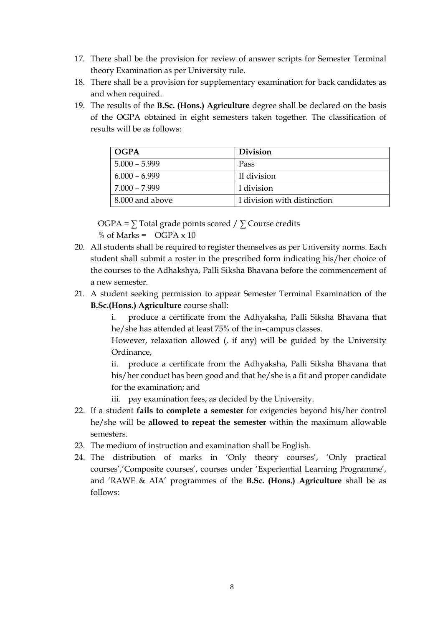- 17. There shall be the provision for review of answer scripts for Semester Terminal theory Examination as per University rule.
- 18. There shall be a provision for supplementary examination for back candidates as and when required.
- 19. The results of the **B.Sc. (Hons.) Agriculture** degree shall be declared on the basis of the OGPA obtained in eight semesters taken together. The classification of results will be as follows:

| <b>OGPA</b>     | <b>Division</b>             |
|-----------------|-----------------------------|
| $5.000 - 5.999$ | Pass                        |
| $6.000 - 6.999$ | II division                 |
| 7.000 - 7.999   | I division                  |
| 8.000 and above | I division with distinction |

OGPA =  $\Sigma$  Total grade points scored /  $\Sigma$  Course credits % of Marks =  $OGPA \times 10$ 

- 20. All students shall be required to register themselves as per University norms. Each student shall submit a roster in the prescribed form indicating his/her choice of the courses to the Adhakshya, Palli Siksha Bhavana before the commencement of a new semester.
- 21. A student seeking permission to appear Semester Terminal Examination of the **B.Sc.(Hons.) Agriculture** course shall:
	- i. produce a certificate from the Adhyaksha, Palli Siksha Bhavana that he/she has attended at least 75% of the in–campus classes.

However, relaxation allowed (, if any) will be guided by the University Ordinance,

ii. produce a certificate from the Adhyaksha, Palli Siksha Bhavana that his/her conduct has been good and that he/she is a fit and proper candidate for the examination; and

- iii. pay examination fees, as decided by the University.
- 22. If a student **fails to complete a semester** for exigencies beyond his/her control he/she will be **allowed to repeat the semester** within the maximum allowable semesters.
- 23. The medium of instruction and examination shall be English.
- 24. The distribution of marks in 'Only theory courses', 'Only practical courses','Composite courses', courses under 'Experiential Learning Programme', and 'RAWE & AIA' programmes of the **B.Sc. (Hons.) Agriculture** shall be as follows: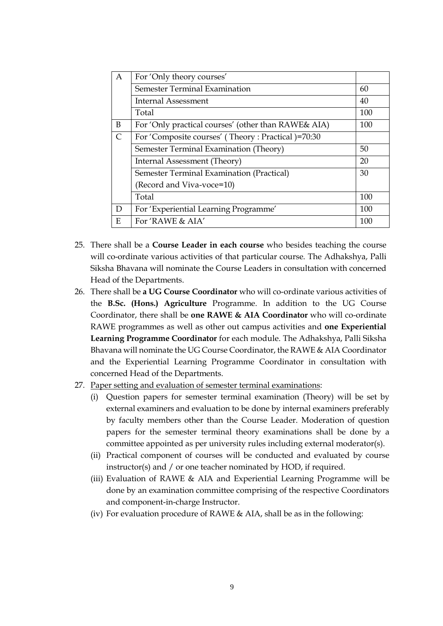| A         | For 'Only theory courses'                           |     |
|-----------|-----------------------------------------------------|-----|
|           | <b>Semester Terminal Examination</b>                | 60  |
|           | <b>Internal Assessment</b>                          | 40  |
|           | Total                                               | 100 |
| B         | For 'Only practical courses' (other than RAWE& AIA) | 100 |
| $\subset$ | For 'Composite courses' (Theory: Practical)=70:30   |     |
|           | Semester Terminal Examination (Theory)              | 50  |
|           | Internal Assessment (Theory)                        | 20  |
|           | Semester Terminal Examination (Practical)           | 30  |
|           | (Record and Viva-voce=10)                           |     |
|           | Total                                               | 100 |
| D         | For 'Experiential Learning Programme'               | 100 |
| E         | For 'RAWE & AIA'                                    | 100 |

- 25. There shall be a **Course Leader in each course** who besides teaching the course will co-ordinate various activities of that particular course. The Adhakshya, Palli Siksha Bhavana will nominate the Course Leaders in consultation with concerned Head of the Departments.
- 26. There shall be **a UG Course Coordinator** who will co-ordinate various activities of the **B.Sc. (Hons.) Agriculture** Programme. In addition to the UG Course Coordinator, there shall be **one RAWE & AIA Coordinator** who will co-ordinate RAWE programmes as well as other out campus activities and **one Experiential Learning Programme Coordinator** for each module. The Adhakshya, Palli Siksha Bhavana will nominate the UG Course Coordinator, the RAWE & AIA Coordinator and the Experiential Learning Programme Coordinator in consultation with concerned Head of the Departments.
- 27. Paper setting and evaluation of semester terminal examinations:
	- (i) Question papers for semester terminal examination (Theory) will be set by external examiners and evaluation to be done by internal examiners preferably by faculty members other than the Course Leader. Moderation of question papers for the semester terminal theory examinations shall be done by a committee appointed as per university rules including external moderator(s).
	- (ii) Practical component of courses will be conducted and evaluated by course instructor(s) and / or one teacher nominated by HOD, if required.
	- (iii) Evaluation of RAWE & AIA and Experiential Learning Programme will be done by an examination committee comprising of the respective Coordinators and component-in-charge Instructor.
	- (iv) For evaluation procedure of RAWE & AIA, shall be as in the following: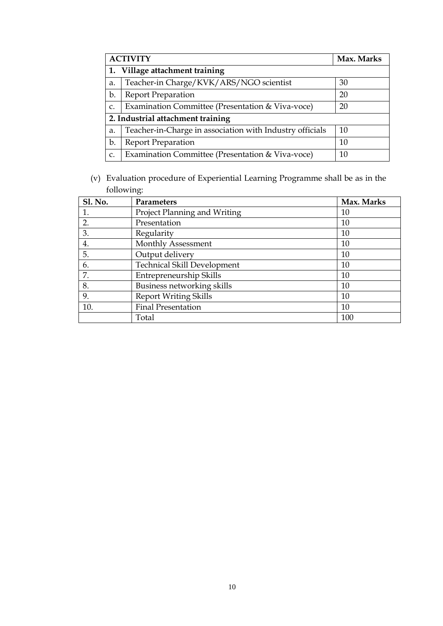|               | <b>ACTIVITY</b><br>Max. Marks                            |    |  |  |  |
|---------------|----------------------------------------------------------|----|--|--|--|
|               | Village attachment training                              |    |  |  |  |
| a.            | Teacher-in Charge/KVK/ARS/NGO scientist                  | 30 |  |  |  |
| b.            | <b>Report Preparation</b>                                | 20 |  |  |  |
| $C_{\bullet}$ | Examination Committee (Presentation & Viva-voce)         | 20 |  |  |  |
|               | 2. Industrial attachment training                        |    |  |  |  |
| a.            | Teacher-in-Charge in association with Industry officials | 10 |  |  |  |
| b.            | <b>Report Preparation</b>                                | 10 |  |  |  |
| C.            | Examination Committee (Presentation & Viva-voce)         | 10 |  |  |  |

(v) Evaluation procedure of Experiential Learning Programme shall be as in the following:

| <b>Sl. No.</b> | Parameters                         | Max. Marks |
|----------------|------------------------------------|------------|
| 1.             | Project Planning and Writing       | 10         |
| 2.             | Presentation                       | 10         |
| 3.             | Regularity                         | 10         |
| 4.             | Monthly Assessment                 | 10         |
| 5.             | Output delivery                    | 10         |
| 6.             | <b>Technical Skill Development</b> | 10         |
| 7.             | Entrepreneurship Skills            | 10         |
| 8.             | Business networking skills         | 10         |
| 9.             | <b>Report Writing Skills</b>       | 10         |
| 10.            | <b>Final Presentation</b>          | 10         |
|                | Total                              | 100        |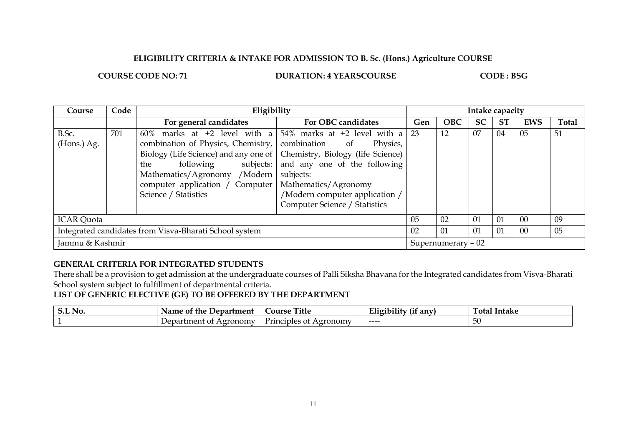#### **ELIGIBILITY CRITERIA & INTAKE FOR ADMISSION TO B. Sc. (Hons.) Agriculture COURSE**

**COURSE CODE NO: 71 DURATION: 4 YEARSCOURSE CODE : BSG** 

| Course                                                 | Code | Eligibility                                                                                                                                                                                                                                                                                                                                         |                                                                                                                                    | Intake capacity |            |           |           |            |              |
|--------------------------------------------------------|------|-----------------------------------------------------------------------------------------------------------------------------------------------------------------------------------------------------------------------------------------------------------------------------------------------------------------------------------------------------|------------------------------------------------------------------------------------------------------------------------------------|-----------------|------------|-----------|-----------|------------|--------------|
|                                                        |      | For general candidates                                                                                                                                                                                                                                                                                                                              | For OBC candidates                                                                                                                 | Gen             | <b>OBC</b> | <b>SC</b> | <b>ST</b> | <b>EWS</b> | <b>Total</b> |
| B.Sc.<br>(Hons.) Ag.                                   | 701  | 60% marks at +2 level with a $\frac{1}{2}$ 54% marks at +2 level with a<br>combination of Physics, Chemistry,   combination of<br>Biology (Life Science) and any one of   Chemistry, Biology (life Science)<br>the<br>following<br>Mathematics/Agronomy /Modern  <br>computer application / Computer   Mathematics/Agronomy<br>Science / Statistics | Physics,<br>subjects: and any one of the following<br>subjects:<br>/Modern computer application /<br>Computer Science / Statistics | 23              | 12         | 07        | 04        | 05         | 51           |
| <b>ICAR</b> Quota                                      |      |                                                                                                                                                                                                                                                                                                                                                     | 05                                                                                                                                 | 02              | 01         | 01        | $00\,$    | 09         |              |
| Integrated candidates from Visva-Bharati School system |      |                                                                                                                                                                                                                                                                                                                                                     | 02                                                                                                                                 | 01              | 01         | 01        | 00        | 05         |              |
| Jammu & Kashmir                                        |      |                                                                                                                                                                                                                                                                                                                                                     | Supernumerary - 02                                                                                                                 |                 |            |           |           |            |              |

### **GENERAL CRITERIA FOR INTEGRATED STUDENTS**

There shall be a provision to get admission at the undergraduate courses of Palli Siksha Bhavana for the Integrated candidates from Visva-Bharati School system subject to fulfillment of departmental criteria.

**LIST OF GENERIC ELECTIVE (GE) TO BE OFFERED BY THE DEPARTMENT**

| $Q$ $\bf{T}$ $\bf{A}$ $\bf{T}$<br>NO.<br>J.L | Department<br>Name of the      | Title<br><b>Course</b>         | $\lambda$<br>---<br>.<br>anv<br>L11g1D111f | $\overline{\phantom{a}}$<br>- - -<br>`otal<br>Intake |
|----------------------------------------------|--------------------------------|--------------------------------|--------------------------------------------|------------------------------------------------------|
|                                              | Agronomy<br>Department<br>- Ot | Principles<br>Agronomy<br>- Of | ----                                       | 5U                                                   |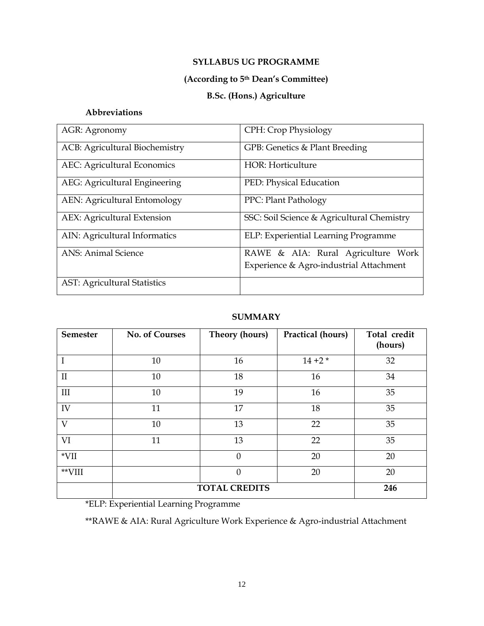## **SYLLABUS UG PROGRAMME**

## **(According to 5th Dean's Committee)**

# **B.Sc. (Hons.) Agriculture**

## **Abbreviations**

| AGR: Agronomy                       | CPH: Crop Physiology                       |
|-------------------------------------|--------------------------------------------|
| ACB: Agricultural Biochemistry      | GPB: Genetics & Plant Breeding             |
| <b>AEC:</b> Agricultural Economics  | HOR: Horticulture                          |
| AEG: Agricultural Engineering       | PED: Physical Education                    |
| AEN: Agricultural Entomology        | PPC: Plant Pathology                       |
| AEX: Agricultural Extension         | SSC: Soil Science & Agricultural Chemistry |
| AIN: Agricultural Informatics       | ELP: Experiential Learning Programme       |
| <b>ANS: Animal Science</b>          | RAWE & AIA: Rural Agriculture Work         |
|                                     | Experience & Agro-industrial Attachment    |
| <b>AST: Agricultural Statistics</b> |                                            |

#### **SUMMARY**

| <b>Semester</b> | <b>No. of Courses</b> | Theory (hours)       | Practical (hours) | Total credit<br>(hours) |
|-----------------|-----------------------|----------------------|-------------------|-------------------------|
| I               | 10                    | 16                   | $14 + 2*$         | 32                      |
| $\mathbf{I}$    | 10                    | 18                   | 16                | 34                      |
| III             | 10                    | 19                   | 16                | 35                      |
| IV              | 11                    | 17                   | 18                | 35                      |
| $\overline{V}$  | 10                    | 13                   | 22                | 35                      |
| VI              | 11                    | 13                   | 22                | 35                      |
| $*VII$          |                       | $\overline{0}$       | 20                | 20                      |
| $*$ VIII        |                       | $\overline{0}$       | 20                | 20                      |
|                 |                       | <b>TOTAL CREDITS</b> |                   | 246                     |

\*ELP: Experiential Learning Programme

\*\*RAWE & AIA: Rural Agriculture Work Experience & Agro-industrial Attachment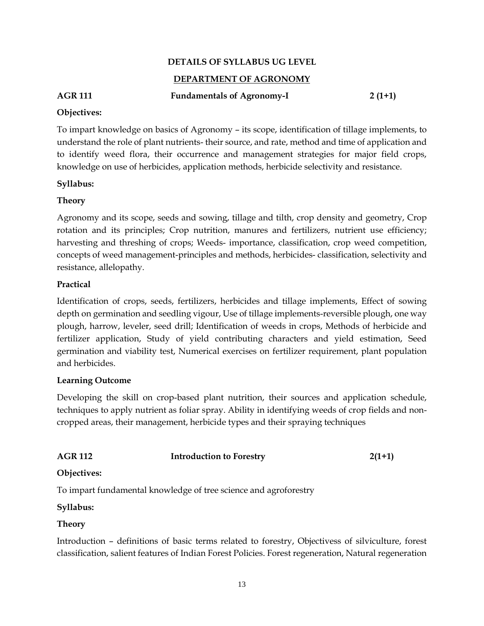#### **DETAILS OF SYLLABUS UG LEVEL**

#### **DEPARTMENT OF AGRONOMY**

# AGR 111 **Fundamentals of Agronomy-I** 2 (1+1)

#### **Objectives:**

To impart knowledge on basics of Agronomy – its scope, identification of tillage implements, to understand the role of plant nutrients- their source, and rate, method and time of application and to identify weed flora, their occurrence and management strategies for major field crops, knowledge on use of herbicides, application methods, herbicide selectivity and resistance.

#### **Syllabus:**

#### **Theory**

Agronomy and its scope, seeds and sowing, tillage and tilth, crop density and geometry, Crop rotation and its principles; Crop nutrition, manures and fertilizers, nutrient use efficiency; harvesting and threshing of crops; Weeds- importance, classification, crop weed competition, concepts of weed management-principles and methods, herbicides- classification, selectivity and resistance, allelopathy.

#### **Practical**

Identification of crops, seeds, fertilizers, herbicides and tillage implements, Effect of sowing depth on germination and seedling vigour, Use of tillage implements-reversible plough, one way plough, harrow, leveler, seed drill; Identification of weeds in crops, Methods of herbicide and fertilizer application, Study of yield contributing characters and yield estimation, Seed germination and viability test, Numerical exercises on fertilizer requirement, plant population and herbicides.

#### **Learning Outcome**

Developing the skill on crop-based plant nutrition, their sources and application schedule, techniques to apply nutrient as foliar spray. Ability in identifying weeds of crop fields and noncropped areas, their management, herbicide types and their spraying techniques

| <b>AGR 112</b> | <b>Introduction to Forestry</b> | $2(1+1)$ |
|----------------|---------------------------------|----------|
| Objectives:    |                                 |          |

To impart fundamental knowledge of tree science and agroforestry

#### **Syllabus:**

#### **Theory**

Introduction – definitions of basic terms related to forestry, Objectivess of silviculture, forest classification, salient features of Indian Forest Policies. Forest regeneration, Natural regeneration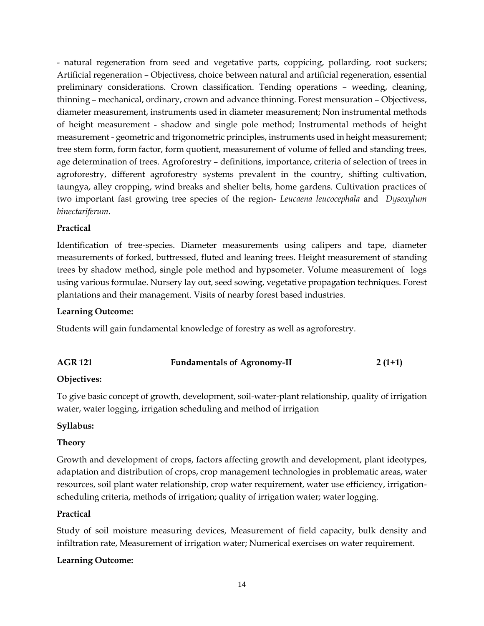- natural regeneration from seed and vegetative parts, coppicing, pollarding, root suckers; Artificial regeneration – Objectivess, choice between natural and artificial regeneration, essential preliminary considerations. Crown classification. Tending operations – weeding, cleaning, thinning – mechanical, ordinary, crown and advance thinning. Forest mensuration – Objectivess, diameter measurement, instruments used in diameter measurement; Non instrumental methods of height measurement - shadow and single pole method; Instrumental methods of height measurement - geometric and trigonometric principles, instruments used in height measurement; tree stem form, form factor, form quotient, measurement of volume of felled and standing trees, age determination of trees. Agroforestry – definitions, importance, criteria of selection of trees in agroforestry, different agroforestry systems prevalent in the country, shifting cultivation, taungya, alley cropping, wind breaks and shelter belts, home gardens. Cultivation practices of two important fast growing tree species of the region- *Leucaena leucocephala* and *Dysoxylum binectariferum.*

## **Practical**

Identification of tree-species. Diameter measurements using calipers and tape, diameter measurements of forked, buttressed, fluted and leaning trees. Height measurement of standing trees by shadow method, single pole method and hypsometer. Volume measurement of logs using various formulae. Nursery lay out, seed sowing, vegetative propagation techniques. Forest plantations and their management. Visits of nearby forest based industries.

#### **Learning Outcome:**

Students will gain fundamental knowledge of forestry as well as agroforestry.

| <b>AGR 121</b> | <b>Fundamentals of Agronomy-II</b> | $2(1+1)$ |
|----------------|------------------------------------|----------|
|                |                                    |          |

## **Objectives:**

To give basic concept of growth, development, soil-water-plant relationship, quality of irrigation water, water logging, irrigation scheduling and method of irrigation

#### **Syllabus:**

#### **Theory**

Growth and development of crops, factors affecting growth and development, plant ideotypes, adaptation and distribution of crops, crop management technologies in problematic areas, water resources, soil plant water relationship, crop water requirement, water use efficiency, irrigationscheduling criteria, methods of irrigation; quality of irrigation water; water logging.

#### **Practical**

Study of soil moisture measuring devices, Measurement of field capacity, bulk density and infiltration rate, Measurement of irrigation water; Numerical exercises on water requirement.

## **Learning Outcome:**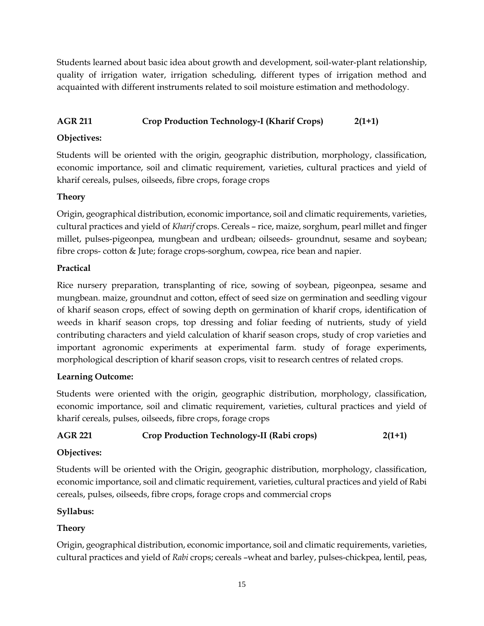Students learned about basic idea about growth and development, soil-water-plant relationship, quality of irrigation water, irrigation scheduling, different types of irrigation method and acquainted with different instruments related to soil moisture estimation and methodology.

# **AGR 211 Crop Production Technology-I (Kharif Crops) 2(1+1)**

## **Objectives:**

Students will be oriented with the origin, geographic distribution, morphology, classification, economic importance, soil and climatic requirement, varieties, cultural practices and yield of kharif cereals, pulses, oilseeds, fibre crops, forage crops

## **Theory**

Origin, geographical distribution, economic importance, soil and climatic requirements, varieties, cultural practices and yield of *Kharif* crops. Cereals – rice, maize, sorghum, pearl millet and finger millet, pulses-pigeonpea, mungbean and urdbean; oilseeds- groundnut, sesame and soybean; fibre crops- cotton & Jute; forage crops-sorghum, cowpea, rice bean and napier.

## **Practical**

Rice nursery preparation, transplanting of rice, sowing of soybean, pigeonpea, sesame and mungbean. maize, groundnut and cotton, effect of seed size on germination and seedling vigour of kharif season crops, effect of sowing depth on germination of kharif crops, identification of weeds in kharif season crops, top dressing and foliar feeding of nutrients, study of yield contributing characters and yield calculation of kharif season crops, study of crop varieties and important agronomic experiments at experimental farm. study of forage experiments, morphological description of kharif season crops, visit to research centres of related crops.

## **Learning Outcome:**

Students were oriented with the origin, geographic distribution, morphology, classification, economic importance, soil and climatic requirement, varieties, cultural practices and yield of kharif cereals, pulses, oilseeds, fibre crops, forage crops

# **AGR 221 Crop Production Technology-II (Rabi crops) 2(1+1)**

## **Objectives:**

Students will be oriented with the Origin, geographic distribution, morphology, classification, economic importance, soil and climatic requirement, varieties, cultural practices and yield of Rabi cereals, pulses, oilseeds, fibre crops, forage crops and commercial crops

## **Syllabus:**

# **Theory**

Origin, geographical distribution, economic importance, soil and climatic requirements, varieties, cultural practices and yield of *Rabi* crops; cereals –wheat and barley, pulses-chickpea, lentil, peas,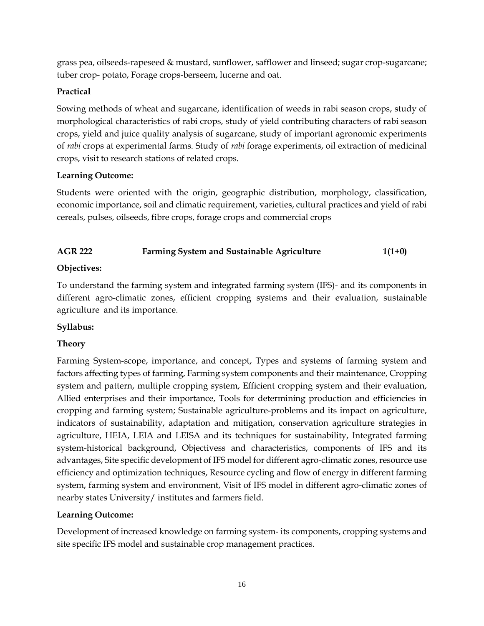grass pea, oilseeds-rapeseed & mustard, sunflower, safflower and linseed; sugar crop-sugarcane; tuber crop- potato, Forage crops-berseem, lucerne and oat.

# **Practical**

Sowing methods of wheat and sugarcane, identification of weeds in rabi season crops, study of morphological characteristics of rabi crops, study of yield contributing characters of rabi season crops, yield and juice quality analysis of sugarcane, study of important agronomic experiments of *rabi* crops at experimental farms. Study of *rabi* forage experiments, oil extraction of medicinal crops, visit to research stations of related crops.

## **Learning Outcome:**

Students were oriented with the origin, geographic distribution, morphology, classification, economic importance, soil and climatic requirement, varieties, cultural practices and yield of rabi cereals, pulses, oilseeds, fibre crops, forage crops and commercial crops

# **AGR 222 Farming System and Sustainable Agriculture 1(1+0)**

# **Objectives:**

To understand the farming system and integrated farming system (IFS)- and its components in different agro-climatic zones, efficient cropping systems and their evaluation, sustainable agriculture and its importance.

## **Syllabus:**

# **Theory**

Farming System-scope, importance, and concept, Types and systems of farming system and factors affecting types of farming, Farming system components and their maintenance, Cropping system and pattern, multiple cropping system, Efficient cropping system and their evaluation, Allied enterprises and their importance, Tools for determining production and efficiencies in cropping and farming system; Sustainable agriculture-problems and its impact on agriculture, indicators of sustainability, adaptation and mitigation, conservation agriculture strategies in agriculture, HEIA, LEIA and LEISA and its techniques for sustainability, Integrated farming system-historical background, Objectivess and characteristics, components of IFS and its advantages, Site specific development of IFS model for different agro-climatic zones, resource use efficiency and optimization techniques, Resource cycling and flow of energy in different farming system, farming system and environment, Visit of IFS model in different agro-climatic zones of nearby states University/ institutes and farmers field.

## **Learning Outcome:**

Development of increased knowledge on farming system- its components, cropping systems and site specific IFS model and sustainable crop management practices.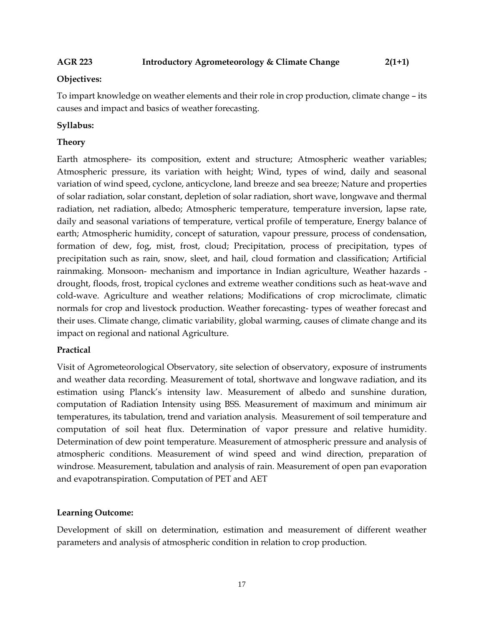#### **AGR 223 Introductory Agrometeorology & Climate Change 2(1+1)**

#### **Objectives:**

To impart knowledge on weather elements and their role in crop production, climate change – its causes and impact and basics of weather forecasting.

### **Syllabus:**

### **Theory**

Earth atmosphere- its composition, extent and structure; Atmospheric weather variables; Atmospheric pressure, its variation with height; Wind, types of wind, daily and seasonal variation of wind speed, cyclone, anticyclone, land breeze and sea breeze; Nature and properties of solar radiation, solar constant, depletion of solar radiation, short wave, longwave and thermal radiation, net radiation, albedo; Atmospheric temperature, temperature inversion, lapse rate, daily and seasonal variations of temperature, vertical profile of temperature, Energy balance of earth; Atmospheric humidity, concept of saturation, vapour pressure, process of condensation, formation of dew, fog, mist, frost, cloud; Precipitation, process of precipitation, types of precipitation such as rain, snow, sleet, and hail, cloud formation and classification; Artificial rainmaking. Monsoon- mechanism and importance in Indian agriculture, Weather hazards drought, floods, frost, tropical cyclones and extreme weather conditions such as heat-wave and cold-wave. Agriculture and weather relations; Modifications of crop microclimate, climatic normals for crop and livestock production. Weather forecasting- types of weather forecast and their uses. Climate change, climatic variability, global warming, causes of climate change and its impact on regional and national Agriculture.

#### **Practical**

Visit of Agrometeorological Observatory, site selection of observatory, exposure of instruments and weather data recording. Measurement of total, shortwave and longwave radiation, and its estimation using Planck's intensity law. Measurement of albedo and sunshine duration, computation of Radiation Intensity using BSS. Measurement of maximum and minimum air temperatures, its tabulation, trend and variation analysis. Measurement of soil temperature and computation of soil heat flux. Determination of vapor pressure and relative humidity. Determination of dew point temperature. Measurement of atmospheric pressure and analysis of atmospheric conditions. Measurement of wind speed and wind direction, preparation of windrose. Measurement, tabulation and analysis of rain. Measurement of open pan evaporation and evapotranspiration. Computation of PET and AET

#### **Learning Outcome:**

Development of skill on determination, estimation and measurement of different weather parameters and analysis of atmospheric condition in relation to crop production.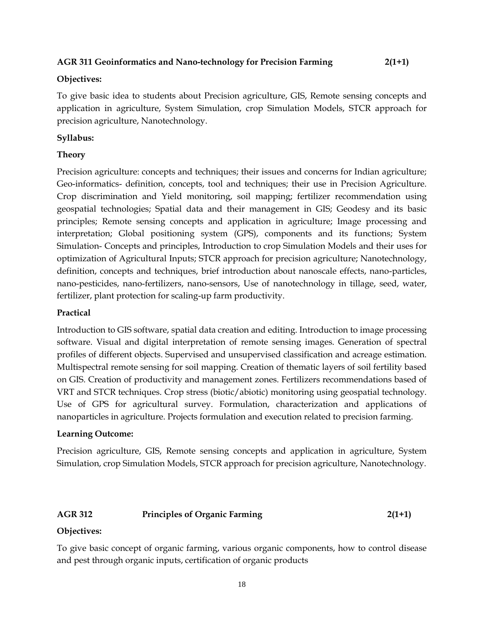#### **AGR 311 Geoinformatics and Nano-technology for Precision Farming 2(1+1)**

#### **Objectives:**

To give basic idea to students about Precision agriculture, GIS, Remote sensing concepts and application in agriculture, System Simulation, crop Simulation Models, STCR approach for precision agriculture, Nanotechnology.

#### **Syllabus:**

#### **Theory**

Precision agriculture: concepts and techniques; their issues and concerns for Indian agriculture; Geo-informatics- definition, concepts, tool and techniques; their use in Precision Agriculture. Crop discrimination and Yield monitoring, soil mapping; fertilizer recommendation using geospatial technologies; Spatial data and their management in GIS; Geodesy and its basic principles; Remote sensing concepts and application in agriculture; Image processing and interpretation; Global positioning system (GPS), components and its functions; System Simulation- Concepts and principles, Introduction to crop Simulation Models and their uses for optimization of Agricultural Inputs; STCR approach for precision agriculture; Nanotechnology, definition, concepts and techniques, brief introduction about nanoscale effects, nano-particles, nano-pesticides, nano-fertilizers, nano-sensors, Use of nanotechnology in tillage, seed, water, fertilizer, plant protection for scaling-up farm productivity.

#### **Practical**

Introduction to GIS software, spatial data creation and editing. Introduction to image processing software. Visual and digital interpretation of remote sensing images. Generation of spectral profiles of different objects. Supervised and unsupervised classification and acreage estimation. Multispectral remote sensing for soil mapping. Creation of thematic layers of soil fertility based on GIS. Creation of productivity and management zones. Fertilizers recommendations based of VRT and STCR techniques. Crop stress (biotic/abiotic) monitoring using geospatial technology. Use of GPS for agricultural survey. Formulation, characterization and applications of nanoparticles in agriculture. Projects formulation and execution related to precision farming.

#### **Learning Outcome:**

Precision agriculture, GIS, Remote sensing concepts and application in agriculture, System Simulation, crop Simulation Models, STCR approach for precision agriculture, Nanotechnology.

#### **AGR 312 Principles of Organic Farming 2(1+1)**

#### **Objectives:**

To give basic concept of organic farming, various organic components, how to control disease and pest through organic inputs, certification of organic products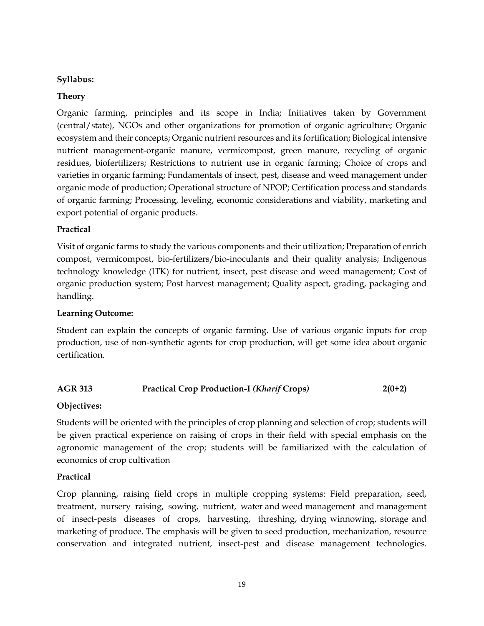### **Syllabus:**

### **Theory**

Organic farming, principles and its scope in India; Initiatives taken by Government (central/state), NGOs and other organizations for promotion of organic agriculture; Organic ecosystem and their concepts; Organic nutrient resources and its fortification; Biological intensive nutrient management-organic manure, vermicompost, green manure, recycling of organic residues, biofertilizers; Restrictions to nutrient use in organic farming; Choice of crops and varieties in organic farming; Fundamentals of insect, pest, disease and weed management under organic mode of production; Operational structure of NPOP; Certification process and standards of organic farming; Processing, leveling, economic considerations and viability, marketing and export potential of organic products.

## **Practical**

Visit of organic farms to study the various components and their utilization; Preparation of enrich compost, vermicompost, bio-fertilizers/bio-inoculants and their quality analysis; Indigenous technology knowledge (ITK) for nutrient, insect, pest disease and weed management; Cost of organic production system; Post harvest management; Quality aspect, grading, packaging and handling.

#### **Learning Outcome:**

Student can explain the concepts of organic farming. Use of various organic inputs for crop production, use of non-synthetic agents for crop production, will get some idea about organic certification.

## **AGR 313 Practical Crop Production-I** *(Kharif* **Crops***)* **2(0+2)**

#### **Objectives:**

Students will be oriented with the principles of crop planning and selection of crop; students will be given practical experience on raising of crops in their field with special emphasis on the agronomic management of the crop; students will be familiarized with the calculation of economics of crop cultivation

#### **Practical**

Crop planning, raising field crops in multiple cropping systems: Field preparation, seed, treatment, nursery raising, sowing, nutrient, water and weed management and management of insect-pests diseases of crops, harvesting, threshing, drying winnowing, storage and marketing of produce. The emphasis will be given to seed production, mechanization, resource conservation and integrated nutrient, insect-pest and disease management technologies.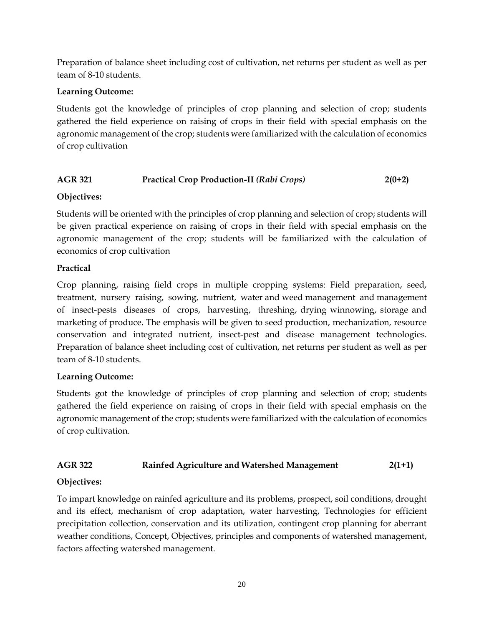Preparation of balance sheet including cost of cultivation, net returns per student as well as per team of 8-10 students.

## **Learning Outcome:**

Students got the knowledge of principles of crop planning and selection of crop; students gathered the field experience on raising of crops in their field with special emphasis on the agronomic management of the crop; students were familiarized with the calculation of economics of crop cultivation

## **AGR 321 Practical Crop Production-II** *(Rabi Crops)* **2(0+2)**

## **Objectives:**

Students will be oriented with the principles of crop planning and selection of crop; students will be given practical experience on raising of crops in their field with special emphasis on the agronomic management of the crop; students will be familiarized with the calculation of economics of crop cultivation

## **Practical**

Crop planning, raising field crops in multiple cropping systems: Field preparation, seed, treatment, nursery raising, sowing, nutrient, water and weed management and management of insect-pests diseases of crops, harvesting, threshing, drying winnowing, storage and marketing of produce. The emphasis will be given to seed production, mechanization, resource conservation and integrated nutrient, insect-pest and disease management technologies. Preparation of balance sheet including cost of cultivation, net returns per student as well as per team of 8-10 students.

## **Learning Outcome:**

Students got the knowledge of principles of crop planning and selection of crop; students gathered the field experience on raising of crops in their field with special emphasis on the agronomic management of the crop; students were familiarized with the calculation of economics of crop cultivation.

## **AGR 322 Rainfed Agriculture and Watershed Management 2(1+1)**

## **Objectives:**

To impart knowledge on rainfed agriculture and its problems, prospect, soil conditions, drought and its effect, mechanism of crop adaptation, water harvesting, Technologies for efficient precipitation collection, conservation and its utilization, contingent crop planning for aberrant weather conditions, Concept, Objectives, principles and components of watershed management, factors affecting watershed management.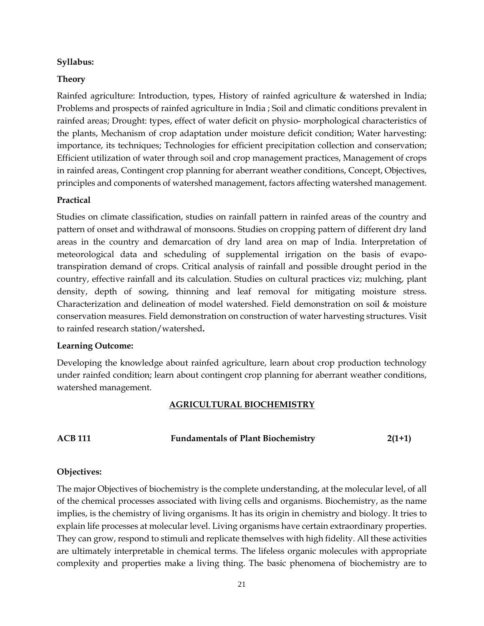#### **Syllabus:**

#### **Theory**

Rainfed agriculture: Introduction, types, History of rainfed agriculture & watershed in India; Problems and prospects of rainfed agriculture in India ; Soil and climatic conditions prevalent in rainfed areas; Drought: types, effect of water deficit on physio- morphological characteristics of the plants, Mechanism of crop adaptation under moisture deficit condition; Water harvesting: importance, its techniques; Technologies for efficient precipitation collection and conservation; Efficient utilization of water through soil and crop management practices, Management of crops in rainfed areas, Contingent crop planning for aberrant weather conditions, Concept, Objectives, principles and components of watershed management, factors affecting watershed management.

#### **Practical**

Studies on climate classification, studies on rainfall pattern in rainfed areas of the country and pattern of onset and withdrawal of monsoons. Studies on cropping pattern of different dry land areas in the country and demarcation of dry land area on map of India. Interpretation of meteorological data and scheduling of supplemental irrigation on the basis of evapotranspiration demand of crops. Critical analysis of rainfall and possible drought period in the country, effective rainfall and its calculation. Studies on cultural practices viz; mulching, plant density, depth of sowing, thinning and leaf removal for mitigating moisture stress. Characterization and delineation of model watershed. Field demonstration on soil & moisture conservation measures. Field demonstration on construction of water harvesting structures. Visit to rainfed research station/watershed**.**

#### **Learning Outcome:**

Developing the knowledge about rainfed agriculture, learn about crop production technology under rainfed condition; learn about contingent crop planning for aberrant weather conditions, watershed management.

#### **AGRICULTURAL BIOCHEMISTRY**

**ACB 111 Fundamentals of Plant Biochemistry 2(1+1)**

#### **Objectives:**

The major Objectives of biochemistry is the complete understanding, at the molecular level, of all of the chemical processes associated with living cells and organisms. Biochemistry, as the name implies, is the chemistry of living organisms. It has its origin in chemistry and biology. It tries to explain life processes at molecular level. Living organisms have certain extraordinary properties. They can grow, respond to stimuli and replicate themselves with high fidelity. All these activities are ultimately interpretable in chemical terms. The lifeless organic molecules with appropriate complexity and properties make a living thing. The basic phenomena of biochemistry are to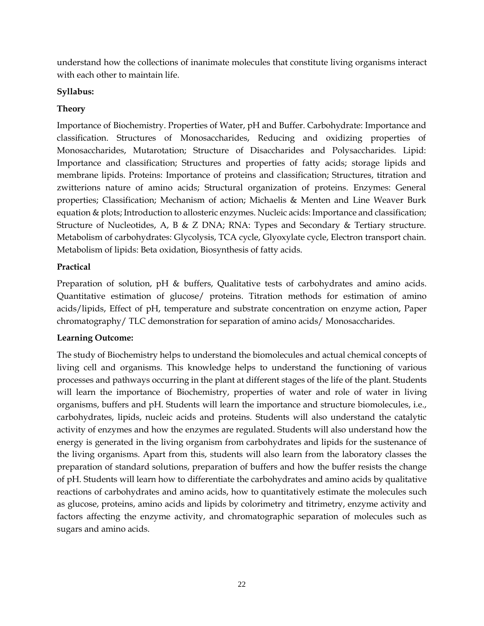understand how the collections of inanimate molecules that constitute living organisms interact with each other to maintain life.

## **Syllabus:**

# **Theory**

Importance of Biochemistry. Properties of Water, pH and Buffer. Carbohydrate: Importance and classification. Structures of Monosaccharides, Reducing and oxidizing properties of Monosaccharides, Mutarotation; Structure of Disaccharides and Polysaccharides. Lipid: Importance and classification; Structures and properties of fatty acids; storage lipids and membrane lipids. Proteins: Importance of proteins and classification; Structures, titration and zwitterions nature of amino acids; Structural organization of proteins. Enzymes: General properties; Classification; Mechanism of action; Michaelis & Menten and Line Weaver Burk equation & plots; Introduction to allosteric enzymes. Nucleic acids: Importance and classification; Structure of Nucleotides, A, B & Z DNA; RNA: Types and Secondary & Tertiary structure. Metabolism of carbohydrates: Glycolysis, TCA cycle, Glyoxylate cycle, Electron transport chain. Metabolism of lipids: Beta oxidation, Biosynthesis of fatty acids.

## **Practical**

Preparation of solution, pH & buffers, Qualitative tests of carbohydrates and amino acids. Quantitative estimation of glucose/ proteins. Titration methods for estimation of amino acids/lipids, Effect of pH, temperature and substrate concentration on enzyme action, Paper chromatography/ TLC demonstration for separation of amino acids/ Monosaccharides.

## **Learning Outcome:**

The study of Biochemistry helps to understand the biomolecules and actual chemical concepts of living cell and organisms. This knowledge helps to understand the functioning of various processes and pathways occurring in the plant at different stages of the life of the plant. Students will learn the importance of Biochemistry, properties of water and role of water in living organisms, buffers and pH. Students will learn the importance and structure biomolecules, i.e., carbohydrates, lipids, nucleic acids and proteins. Students will also understand the catalytic activity of enzymes and how the enzymes are regulated. Students will also understand how the energy is generated in the living organism from carbohydrates and lipids for the sustenance of the living organisms. Apart from this, students will also learn from the laboratory classes the preparation of standard solutions, preparation of buffers and how the buffer resists the change of pH. Students will learn how to differentiate the carbohydrates and amino acids by qualitative reactions of carbohydrates and amino acids, how to quantitatively estimate the molecules such as glucose, proteins, amino acids and lipids by colorimetry and titrimetry, enzyme activity and factors affecting the enzyme activity, and chromatographic separation of molecules such as sugars and amino acids.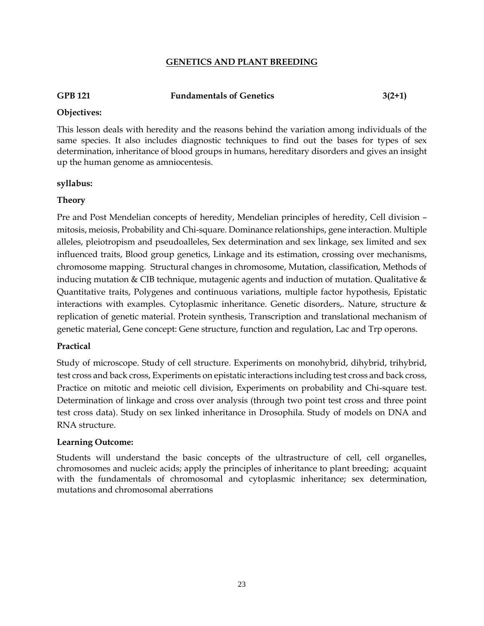#### **GENETICS AND PLANT BREEDING**

## **GPB 121 Fundamentals of Genetics 3(2+1)**

#### **Objectives:**

This lesson deals with heredity and the reasons behind the variation among individuals of the same species. It also includes diagnostic techniques to find out the bases for types of sex determination, inheritance of blood groups in humans, hereditary disorders and gives an insight up the human genome as amniocentesis.

#### **syllabus:**

#### **Theory**

Pre and Post Mendelian concepts of heredity, Mendelian principles of heredity, Cell division – mitosis, meiosis, Probability and Chi-square. Dominance relationships, gene interaction. Multiple alleles, pleiotropism and pseudoalleles, Sex determination and sex linkage, sex limited and sex influenced traits, Blood group genetics, Linkage and its estimation, crossing over mechanisms, chromosome mapping. Structural changes in chromosome, Mutation, classification, Methods of inducing mutation & CIB technique, mutagenic agents and induction of mutation. Qualitative & Quantitative traits, Polygenes and continuous variations, multiple factor hypothesis, Epistatic interactions with examples. Cytoplasmic inheritance. Genetic disorders,. Nature, structure & replication of genetic material. Protein synthesis, Transcription and translational mechanism of genetic material, Gene concept: Gene structure, function and regulation, Lac and Trp operons.

#### **Practical**

Study of microscope. Study of cell structure. Experiments on monohybrid, dihybrid, trihybrid, test cross and back cross, Experiments on epistatic interactions including test cross and back cross, Practice on mitotic and meiotic cell division, Experiments on probability and Chi-square test. Determination of linkage and cross over analysis (through two point test cross and three point test cross data). Study on sex linked inheritance in Drosophila. Study of models on DNA and RNA structure.

#### **Learning Outcome:**

Students will understand the basic concepts of the ultrastructure of cell, cell organelles, chromosomes and nucleic acids; apply the principles of inheritance to plant breeding; acquaint with the fundamentals of chromosomal and cytoplasmic inheritance; sex determination, mutations and chromosomal aberrations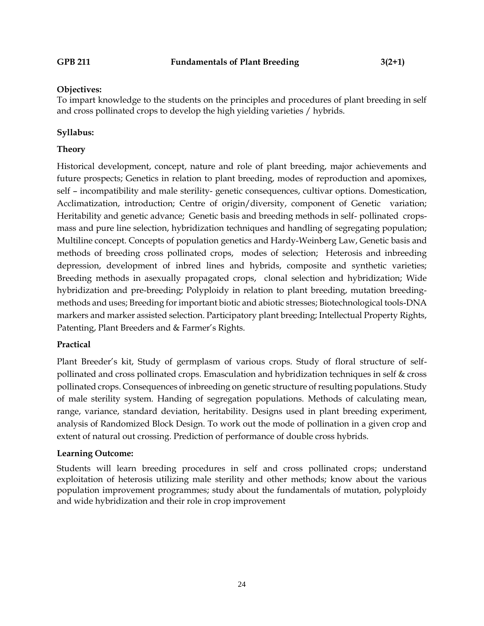#### **Objectives:**

To impart knowledge to the students on the principles and procedures of plant breeding in self and cross pollinated crops to develop the high yielding varieties / hybrids.

#### **Syllabus:**

#### **Theory**

Historical development, concept, nature and role of plant breeding, major achievements and future prospects; Genetics in relation to plant breeding, modes of reproduction and apomixes, self – incompatibility and male sterility- genetic consequences, cultivar options. Domestication, Acclimatization, introduction; Centre of origin/diversity, component of Genetic variation; Heritability and genetic advance; Genetic basis and breeding methods in self- pollinated cropsmass and pure line selection, hybridization techniques and handling of segregating population; Multiline concept. Concepts of population genetics and Hardy-Weinberg Law, Genetic basis and methods of breeding cross pollinated crops, modes of selection; Heterosis and inbreeding depression, development of inbred lines and hybrids, composite and synthetic varieties; Breeding methods in asexually propagated crops, clonal selection and hybridization; Wide hybridization and pre-breeding; Polyploidy in relation to plant breeding, mutation breedingmethods and uses; Breeding for important biotic and abiotic stresses; Biotechnological tools-DNA markers and marker assisted selection. Participatory plant breeding; Intellectual Property Rights, Patenting, Plant Breeders and & Farmer's Rights.

#### **Practical**

Plant Breeder's kit, Study of germplasm of various crops. Study of floral structure of selfpollinated and cross pollinated crops. Emasculation and hybridization techniques in self & cross pollinated crops. Consequences of inbreeding on genetic structure of resulting populations. Study of male sterility system. Handing of segregation populations. Methods of calculating mean, range, variance, standard deviation, heritability. Designs used in plant breeding experiment, analysis of Randomized Block Design. To work out the mode of pollination in a given crop and extent of natural out crossing. Prediction of performance of double cross hybrids.

#### **Learning Outcome:**

Students will learn breeding procedures in self and cross pollinated crops; understand exploitation of heterosis utilizing male sterility and other methods; know about the various population improvement programmes; study about the fundamentals of mutation, polyploidy and wide hybridization and their role in crop improvement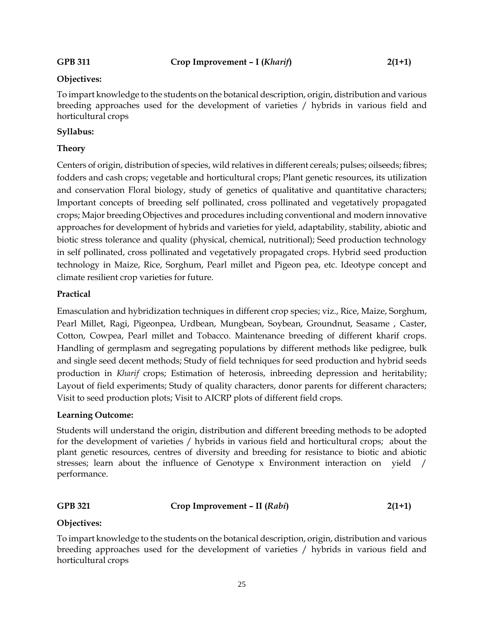#### **Objectives:**

To impart knowledge to the students on the botanical description, origin, distribution and various breeding approaches used for the development of varieties / hybrids in various field and horticultural crops

#### **Syllabus:**

### **Theory**

Centers of origin, distribution of species, wild relatives in different cereals; pulses; oilseeds; fibres; fodders and cash crops; vegetable and horticultural crops; Plant genetic resources, its utilization and conservation Floral biology, study of genetics of qualitative and quantitative characters; Important concepts of breeding self pollinated, cross pollinated and vegetatively propagated crops; Major breeding Objectives and procedures including conventional and modern innovative approaches for development of hybrids and varieties for yield, adaptability, stability, abiotic and biotic stress tolerance and quality (physical, chemical, nutritional); Seed production technology in self pollinated, cross pollinated and vegetatively propagated crops. Hybrid seed production technology in Maize, Rice, Sorghum, Pearl millet and Pigeon pea, etc. Ideotype concept and climate resilient crop varieties for future.

#### **Practical**

Emasculation and hybridization techniques in different crop species; viz., Rice, Maize, Sorghum, Pearl Millet, Ragi, Pigeonpea, Urdbean, Mungbean, Soybean, Groundnut, Seasame , Caster, Cotton, Cowpea, Pearl millet and Tobacco. Maintenance breeding of different kharif crops. Handling of germplasm and segregating populations by different methods like pedigree, bulk and single seed decent methods; Study of field techniques for seed production and hybrid seeds production in *Kharif* crops; Estimation of heterosis, inbreeding depression and heritability; Layout of field experiments; Study of quality characters, donor parents for different characters; Visit to seed production plots; Visit to AICRP plots of different field crops.

#### **Learning Outcome:**

Students will understand the origin, distribution and different breeding methods to be adopted for the development of varieties / hybrids in various field and horticultural crops; about the plant genetic resources, centres of diversity and breeding for resistance to biotic and abiotic stresses; learn about the influence of Genotype  $x$  Environment interaction on yield / performance.

## **GPB 321 Crop Improvement – II (***Rabi***) 2(1+1)**

#### **Objectives:**

To impart knowledge to the students on the botanical description, origin, distribution and various breeding approaches used for the development of varieties / hybrids in various field and horticultural crops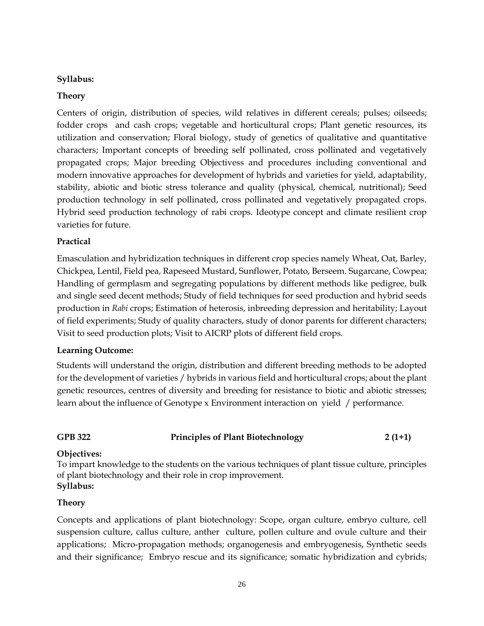### **Syllabus:**

### **Theory**

Centers of origin, distribution of species, wild relatives in different cereals; pulses; oilseeds; fodder crops and cash crops; vegetable and horticultural crops; Plant genetic resources, its utilization and conservation; Floral biology, study of genetics of qualitative and quantitative characters; Important concepts of breeding self pollinated, cross pollinated and vegetatively propagated crops; Major breeding Objectivess and procedures including conventional and modern innovative approaches for development of hybrids and varieties for yield, adaptability, stability, abiotic and biotic stress tolerance and quality (physical, chemical, nutritional); Seed production technology in self pollinated, cross pollinated and vegetatively propagated crops. Hybrid seed production technology of rabi crops. Ideotype concept and climate resilient crop varieties for future.

## **Practical**

Emasculation and hybridization techniques in different crop species namely Wheat, Oat, Barley, Chickpea, Lentil, Field pea, Rapeseed Mustard, Sunflower, Potato, Berseem. Sugarcane, Cowpea; Handling of germplasm and segregating populations by different methods like pedigree, bulk and single seed decent methods; Study of field techniques for seed production and hybrid seeds production in *Rabi* crops; Estimation of heterosis, inbreeding depression and heritability; Layout of field experiments; Study of quality characters, study of donor parents for different characters; Visit to seed production plots; Visit to AICRP plots of different field crops.

#### **Learning Outcome:**

Students will understand the origin, distribution and different breeding methods to be adopted for the development of varieties / hybrids in various field and horticultural crops; about the plant genetic resources, centres of diversity and breeding for resistance to biotic and abiotic stresses; learn about the influence of Genotype x Environment interaction on yield / performance.

## **GPB 322 Principles of Plant Biotechnology 2 (1+1)**

#### **Objectives:**

To impart knowledge to the students on the various techniques of plant tissue culture, principles of plant biotechnology and their role in crop improvement. **Syllabus:**

#### **Theory**

Concepts and applications of plant biotechnology: Scope, organ culture, embryo culture, cell suspension culture, callus culture, anther culture, pollen culture and ovule culture and their applications; Micro-propagation methods; organogenesis and embryogenesis, Synthetic seeds and their significance; Embryo rescue and its significance; somatic hybridization and cybrids;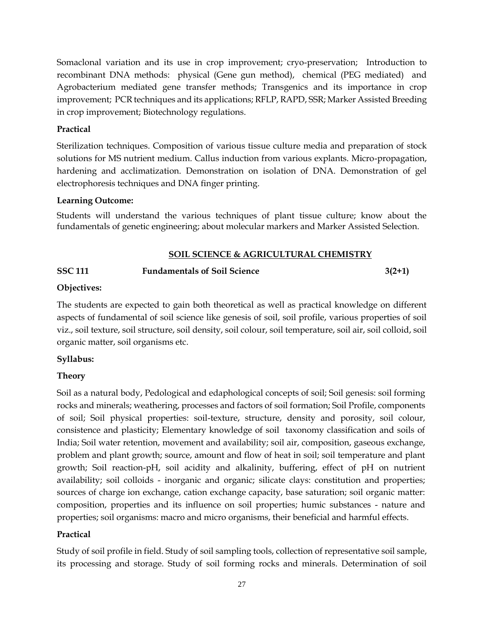Somaclonal variation and its use in crop improvement; cryo-preservation; Introduction to recombinant DNA methods: physical (Gene gun method), chemical (PEG mediated) and Agrobacterium mediated gene transfer methods; Transgenics and its importance in crop improvement; PCR techniques and its applications; RFLP, RAPD, SSR; Marker Assisted Breeding in crop improvement; Biotechnology regulations.

### **Practical**

Sterilization techniques. Composition of various tissue culture media and preparation of stock solutions for MS nutrient medium. Callus induction from various explants. Micro-propagation, hardening and acclimatization. Demonstration on isolation of DNA. Demonstration of gel electrophoresis techniques and DNA finger printing.

## **Learning Outcome:**

Students will understand the various techniques of plant tissue culture; know about the fundamentals of genetic engineering; about molecular markers and Marker Assisted Selection.

## **SOIL SCIENCE & AGRICULTURAL CHEMISTRY**

## **SSC 111 Fundamentals of Soil Science 3(2+1)**

## **Objectives:**

The students are expected to gain both theoretical as well as practical knowledge on different aspects of fundamental of soil science like genesis of soil, soil profile, various properties of soil viz., soil texture, soil structure, soil density, soil colour, soil temperature, soil air, soil colloid, soil organic matter, soil organisms etc.

## **Syllabus:**

## **Theory**

Soil as a natural body, Pedological and edaphological concepts of soil; Soil genesis: soil forming rocks and minerals; weathering, processes and factors of soil formation; Soil Profile, components of soil; Soil physical properties: soil-texture, structure, density and porosity, soil colour, consistence and plasticity; Elementary knowledge of soil taxonomy classification and soils of India; Soil water retention, movement and availability; soil air, composition, gaseous exchange, problem and plant growth; source, amount and flow of heat in soil; soil temperature and plant growth; Soil reaction-pH, soil acidity and alkalinity, buffering, effect of pH on nutrient availability; soil colloids - inorganic and organic; silicate clays: constitution and properties; sources of charge ion exchange, cation exchange capacity, base saturation; soil organic matter: composition, properties and its influence on soil properties; humic substances - nature and properties; soil organisms: macro and micro organisms, their beneficial and harmful effects.

## **Practical**

Study of soil profile in field. Study of soil sampling tools, collection of representative soil sample, its processing and storage. Study of soil forming rocks and minerals. Determination of soil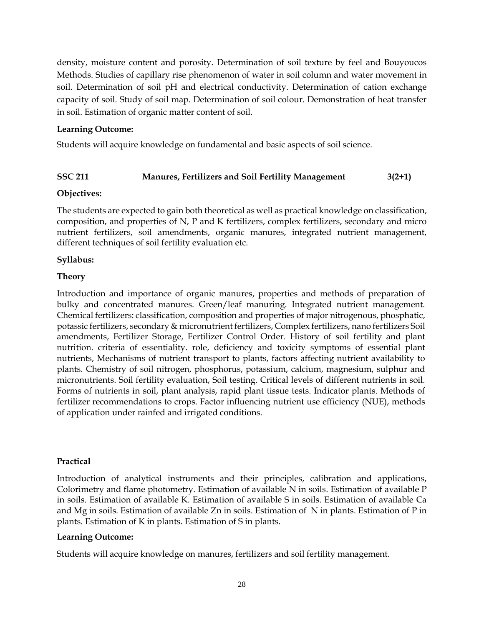density, moisture content and porosity. Determination of soil texture by feel and Bouyoucos Methods. Studies of capillary rise phenomenon of water in soil column and water movement in soil. Determination of soil pH and electrical conductivity. Determination of cation exchange capacity of soil. Study of soil map. Determination of soil colour. Demonstration of heat transfer in soil. Estimation of organic matter content of soil.

### **Learning Outcome:**

Students will acquire knowledge on fundamental and basic aspects of soil science.

## **SSC 211 Manures, Fertilizers and Soil Fertility Management 3(2+1)**

#### **Objectives:**

The students are expected to gain both theoretical as well as practical knowledge on classification, composition, and properties of N, P and K fertilizers, complex fertilizers, secondary and micro nutrient fertilizers, soil amendments, organic manures, integrated nutrient management, different techniques of soil fertility evaluation etc.

#### **Syllabus:**

#### **Theory**

Introduction and importance of organic manures, properties and methods of preparation of bulky and concentrated manures. Green/leaf manuring. Integrated nutrient management. Chemical fertilizers: classification, composition and properties of major nitrogenous, phosphatic, potassic fertilizers, secondary & micronutrient fertilizers, Complex fertilizers, nano fertilizers Soil amendments, Fertilizer Storage, Fertilizer Control Order. History of soil fertility and plant nutrition. criteria of essentiality. role, deficiency and toxicity symptoms of essential plant nutrients, Mechanisms of nutrient transport to plants, factors affecting nutrient availability to plants. Chemistry of soil nitrogen, phosphorus, potassium, calcium, magnesium, sulphur and micronutrients. Soil fertility evaluation, Soil testing. Critical levels of different nutrients in soil. Forms of nutrients in soil, plant analysis, rapid plant tissue tests. Indicator plants. Methods of fertilizer recommendations to crops. Factor influencing nutrient use efficiency (NUE), methods of application under rainfed and irrigated conditions.

#### **Practical**

Introduction of analytical instruments and their principles, calibration and applications, Colorimetry and flame photometry. Estimation of available N in soils. Estimation of available P in soils. Estimation of available K. Estimation of available S in soils. Estimation of available Ca and Mg in soils. Estimation of available Zn in soils. Estimation of N in plants. Estimation of P in plants. Estimation of K in plants. Estimation of S in plants.

#### **Learning Outcome:**

Students will acquire knowledge on manures, fertilizers and soil fertility management.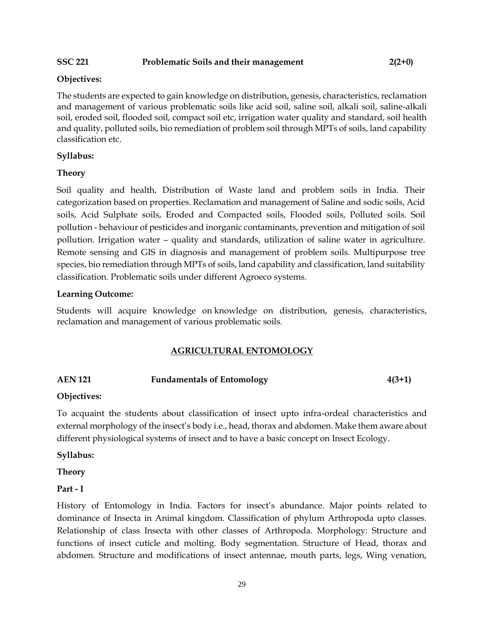#### SSC 221 Problematic Soils and their management 2(2+0)

#### **Objectives:**

The students are expected to gain knowledge on distribution, genesis, characteristics, reclamation and management of various problematic soils like acid soil, saline soil, alkali soil, saline-alkali soil, eroded soil, flooded soil, compact soil etc, irrigation water quality and standard, soil health and quality, polluted soils, bio remediation of problem soil through MPTs of soils, land capability classification etc.

#### **Syllabus:**

#### **Theory**

Soil quality and health, Distribution of Waste land and problem soils in India. Their categorization based on properties. Reclamation and management of Saline and sodic soils, Acid soils, Acid Sulphate soils, Eroded and Compacted soils, Flooded soils, Polluted soils. Soil pollution - behaviour of pesticides and inorganic contaminants, prevention and mitigation of soil pollution. Irrigation water – quality and standards, utilization of saline water in agriculture. Remote sensing and GIS in diagnosis and management of problem soils. Multipurpose tree species, bio remediation through MPTs of soils, land capability and classification, land suitability classification. Problematic soils under different Agroeco systems.

#### **Learning Outcome:**

Students will acquire knowledge on knowledge on distribution, genesis, characteristics, reclamation and management of various problematic soils.

#### **AGRICULTURAL ENTOMOLOGY**

## **AEN 121 Fundamentals of Entomology 4(3+1)**

#### **Objectives:**

To acquaint the students about classification of insect upto infra-ordeal characteristics and external morphology of the insect's body i.e., head, thorax and abdomen. Make them aware about different physiological systems of insect and to have a basic concept on Insect Ecology.

#### **Syllabus:**

**Theory** 

#### **Part - I**

History of Entomology in India. Factors for insect's abundance. Major points related to dominance of Insecta in Animal kingdom. Classification of phylum Arthropoda upto classes. Relationship of class Insecta with other classes of Arthropoda. Morphology: Structure and functions of insect cuticle and molting. Body segmentation. Structure of Head, thorax and abdomen. Structure and modifications of insect antennae, mouth parts, legs, Wing venation,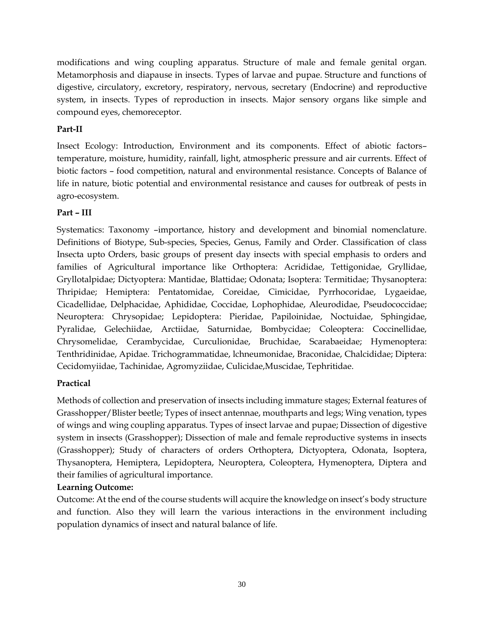modifications and wing coupling apparatus. Structure of male and female genital organ. Metamorphosis and diapause in insects. Types of larvae and pupae. Structure and functions of digestive, circulatory, excretory, respiratory, nervous, secretary (Endocrine) and reproductive system, in insects. Types of reproduction in insects. Major sensory organs like simple and compound eyes, chemoreceptor.

## **Part-II**

Insect Ecology: Introduction, Environment and its components. Effect of abiotic factors– temperature, moisture, humidity, rainfall, light, atmospheric pressure and air currents. Effect of biotic factors – food competition, natural and environmental resistance. Concepts of Balance of life in nature, biotic potential and environmental resistance and causes for outbreak of pests in agro-ecosystem.

## **Part – III**

Systematics: Taxonomy –importance, history and development and binomial nomenclature. Definitions of Biotype, Sub-species, Species, Genus, Family and Order. Classification of class Insecta upto Orders, basic groups of present day insects with special emphasis to orders and families of Agricultural importance like Orthoptera: Acrididae, Tettigonidae, Gryllidae, Gryllotalpidae; Dictyoptera: Mantidae, Blattidae; Odonata; Isoptera: Termitidae; Thysanoptera: Thripidae; Hemiptera: Pentatomidae, Coreidae, Cimicidae, Pyrrhocoridae, Lygaeidae, Cicadellidae, Delphacidae, Aphididae, Coccidae, Lophophidae, Aleurodidae, Pseudococcidae; Neuroptera: Chrysopidae; Lepidoptera: Pieridae, Papiloinidae, Noctuidae, Sphingidae, Pyralidae, Gelechiidae, Arctiidae, Saturnidae, Bombycidae; Coleoptera: Coccinellidae, Chrysomelidae, Cerambycidae, Curculionidae, Bruchidae, Scarabaeidae; Hymenoptera: Tenthridinidae, Apidae. Trichogrammatidae, lchneumonidae, Braconidae, Chalcididae; Diptera: Cecidomyiidae, Tachinidae, Agromyziidae, Culicidae,Muscidae, Tephritidae.

## **Practical**

Methods of collection and preservation of insects including immature stages; External features of Grasshopper/Blister beetle; Types of insect antennae, mouthparts and legs; Wing venation, types of wings and wing coupling apparatus. Types of insect larvae and pupae; Dissection of digestive system in insects (Grasshopper); Dissection of male and female reproductive systems in insects (Grasshopper); Study of characters of orders Orthoptera, Dictyoptera, Odonata, Isoptera, Thysanoptera, Hemiptera, Lepidoptera, Neuroptera, Coleoptera, Hymenoptera, Diptera and their families of agricultural importance.

# **Learning Outcome:**

Outcome: At the end of the course students will acquire the knowledge on insect's body structure and function. Also they will learn the various interactions in the environment including population dynamics of insect and natural balance of life.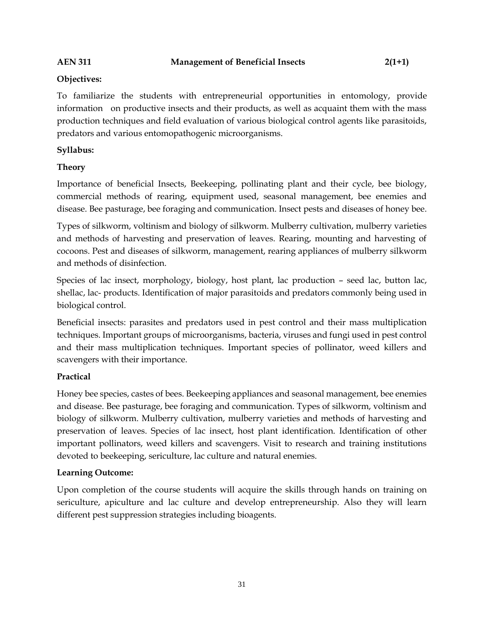### **Objectives:**

To familiarize the students with entrepreneurial opportunities in entomology, provide information on productive insects and their products, as well as acquaint them with the mass production techniques and field evaluation of various biological control agents like parasitoids, predators and various entomopathogenic microorganisms.

## **Syllabus:**

## **Theory**

Importance of beneficial Insects, Beekeeping, pollinating plant and their cycle, bee biology, commercial methods of rearing, equipment used, seasonal management, bee enemies and disease. Bee pasturage, bee foraging and communication. Insect pests and diseases of honey bee.

Types of silkworm, voltinism and biology of silkworm. Mulberry cultivation, mulberry varieties and methods of harvesting and preservation of leaves. Rearing, mounting and harvesting of cocoons. Pest and diseases of silkworm, management, rearing appliances of mulberry silkworm and methods of disinfection.

Species of lac insect, morphology, biology, host plant, lac production – seed lac, button lac, shellac, lac- products. Identification of major parasitoids and predators commonly being used in biological control.

Beneficial insects: parasites and predators used in pest control and their mass multiplication techniques. Important groups of microorganisms, bacteria, viruses and fungi used in pest control and their mass multiplication techniques. Important species of pollinator, weed killers and scavengers with their importance.

## **Practical**

Honey bee species, castes of bees. Beekeeping appliances and seasonal management, bee enemies and disease. Bee pasturage, bee foraging and communication. Types of silkworm, voltinism and biology of silkworm. Mulberry cultivation, mulberry varieties and methods of harvesting and preservation of leaves. Species of lac insect, host plant identification. Identification of other important pollinators, weed killers and scavengers. Visit to research and training institutions devoted to beekeeping, sericulture, lac culture and natural enemies.

#### **Learning Outcome:**

Upon completion of the course students will acquire the skills through hands on training on sericulture, apiculture and lac culture and develop entrepreneurship. Also they will learn different pest suppression strategies including bioagents.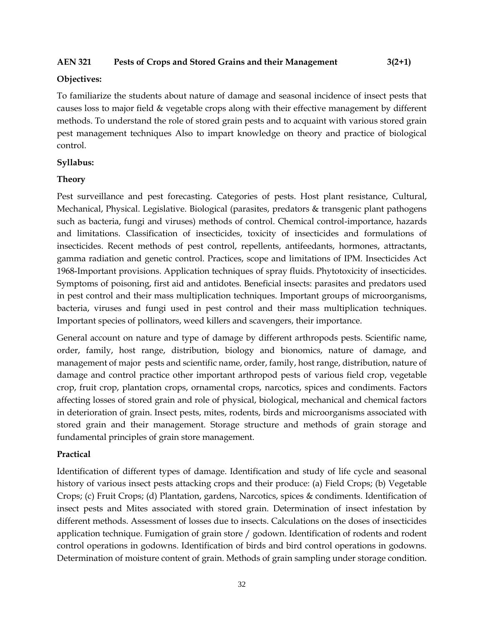#### **AEN 321 Pests of Crops and Stored Grains and their Management 3(2+1)**

#### **Objectives:**

To familiarize the students about nature of damage and seasonal incidence of insect pests that causes loss to major field & vegetable crops along with their effective management by different methods. To understand the role of stored grain pests and to acquaint with various stored grain pest management techniques Also to impart knowledge on theory and practice of biological control.

#### **Syllabus:**

#### **Theory**

Pest surveillance and pest forecasting. Categories of pests. Host plant resistance, Cultural, Mechanical, Physical. Legislative. Biological (parasites, predators & transgenic plant pathogens such as bacteria, fungi and viruses) methods of control. Chemical control-importance, hazards and limitations. Classification of insecticides, toxicity of insecticides and formulations of insecticides. Recent methods of pest control, repellents, antifeedants, hormones, attractants, gamma radiation and genetic control. Practices, scope and limitations of IPM. Insecticides Act 1968-Important provisions. Application techniques of spray fluids. Phytotoxicity of insecticides. Symptoms of poisoning, first aid and antidotes. Beneficial insects: parasites and predators used in pest control and their mass multiplication techniques. Important groups of microorganisms, bacteria, viruses and fungi used in pest control and their mass multiplication techniques. Important species of pollinators, weed killers and scavengers, their importance.

General account on nature and type of damage by different arthropods pests. Scientific name, order, family, host range, distribution, biology and bionomics, nature of damage, and management of major pests and scientific name, order, family, host range, distribution, nature of damage and control practice other important arthropod pests of various field crop, vegetable crop, fruit crop, plantation crops, ornamental crops, narcotics, spices and condiments. Factors affecting losses of stored grain and role of physical, biological, mechanical and chemical factors in deterioration of grain. Insect pests, mites, rodents, birds and microorganisms associated with stored grain and their management. Storage structure and methods of grain storage and fundamental principles of grain store management.

#### **Practical**

Identification of different types of damage. Identification and study of life cycle and seasonal history of various insect pests attacking crops and their produce: (a) Field Crops; (b) Vegetable Crops; (c) Fruit Crops; (d) Plantation, gardens, Narcotics, spices & condiments. Identification of insect pests and Mites associated with stored grain. Determination of insect infestation by different methods. Assessment of losses due to insects. Calculations on the doses of insecticides application technique. Fumigation of grain store / godown. Identification of rodents and rodent control operations in godowns. Identification of birds and bird control operations in godowns. Determination of moisture content of grain. Methods of grain sampling under storage condition.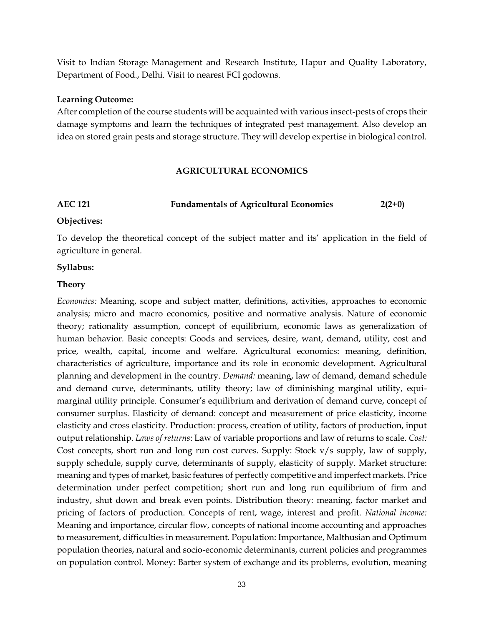Visit to Indian Storage Management and Research Institute, Hapur and Quality Laboratory, Department of Food., Delhi. Visit to nearest FCI godowns.

#### **Learning Outcome:**

After completion of the course students will be acquainted with various insect-pests of crops their damage symptoms and learn the techniques of integrated pest management. Also develop an idea on stored grain pests and storage structure. They will develop expertise in biological control.

#### **AGRICULTURAL ECONOMICS**

## **AEC 121 Fundamentals of Agricultural Economics 2(2+0)**

#### **Objectives:**

To develop the theoretical concept of the subject matter and its' application in the field of agriculture in general.

#### **Syllabus:**

#### **Theory**

*Economics:* Meaning, scope and subject matter, definitions, activities, approaches to economic analysis; micro and macro economics, positive and normative analysis. Nature of economic theory; rationality assumption, concept of equilibrium, economic laws as generalization of human behavior. Basic concepts: Goods and services, desire, want, demand, utility, cost and price, wealth, capital, income and welfare. Agricultural economics: meaning, definition, characteristics of agriculture, importance and its role in economic development. Agricultural planning and development in the country. *Demand:* meaning, law of demand, demand schedule and demand curve, determinants, utility theory; law of diminishing marginal utility, equimarginal utility principle. Consumer's equilibrium and derivation of demand curve, concept of consumer surplus. Elasticity of demand: concept and measurement of price elasticity, income elasticity and cross elasticity. Production: process, creation of utility, factors of production, input output relationship. *Laws of returns*: Law of variable proportions and law of returns to scale. *Cost:* Cost concepts, short run and long run cost curves. Supply: Stock v/s supply, law of supply, supply schedule, supply curve, determinants of supply, elasticity of supply. Market structure: meaning and types of market, basic features of perfectly competitive and imperfect markets. Price determination under perfect competition; short run and long run equilibrium of firm and industry, shut down and break even points. Distribution theory: meaning, factor market and pricing of factors of production. Concepts of rent, wage, interest and profit. *National income:* Meaning and importance, circular flow, concepts of national income accounting and approaches to measurement, difficulties in measurement. Population: Importance, Malthusian and Optimum population theories, natural and socio-economic determinants, current policies and programmes on population control. Money: Barter system of exchange and its problems, evolution, meaning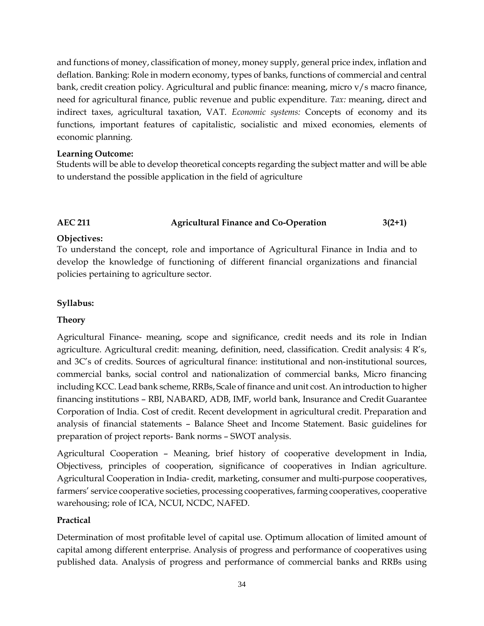and functions of money, classification of money, money supply, general price index, inflation and deflation. Banking: Role in modern economy, types of banks, functions of commercial and central bank, credit creation policy. Agricultural and public finance: meaning, micro v/s macro finance, need for agricultural finance, public revenue and public expenditure. *Tax:* meaning, direct and indirect taxes, agricultural taxation, VAT. *Economic systems:* Concepts of economy and its functions, important features of capitalistic, socialistic and mixed economies, elements of economic planning.

#### **Learning Outcome:**

Students will be able to develop theoretical concepts regarding the subject matter and will be able to understand the possible application in the field of agriculture

## **AEC 211 Agricultural Finance and Co-Operation 3(2+1)**

#### **Objectives:**

To understand the concept, role and importance of Agricultural Finance in India and to develop the knowledge of functioning of different financial organizations and financial policies pertaining to agriculture sector.

#### **Syllabus:**

#### **Theory**

Agricultural Finance- meaning, scope and significance, credit needs and its role in Indian agriculture. Agricultural credit: meaning, definition, need, classification. Credit analysis: 4 R's, and 3C's of credits. Sources of agricultural finance: institutional and non-institutional sources, commercial banks, social control and nationalization of commercial banks, Micro financing including KCC. Lead bank scheme, RRBs, Scale of finance and unit cost. An introduction to higher financing institutions – RBI, NABARD, ADB, IMF, world bank, Insurance and Credit Guarantee Corporation of India. Cost of credit. Recent development in agricultural credit. Preparation and analysis of financial statements – Balance Sheet and Income Statement. Basic guidelines for preparation of project reports- Bank norms – SWOT analysis.

Agricultural Cooperation – Meaning, brief history of cooperative development in India, Objectivess, principles of cooperation, significance of cooperatives in Indian agriculture. Agricultural Cooperation in India- credit, marketing, consumer and multi-purpose cooperatives, farmers' service cooperative societies, processing cooperatives, farming cooperatives, cooperative warehousing; role of ICA, NCUI, NCDC, NAFED.

#### **Practical**

Determination of most profitable level of capital use. Optimum allocation of limited amount of capital among different enterprise. Analysis of progress and performance of cooperatives using published data. Analysis of progress and performance of commercial banks and RRBs using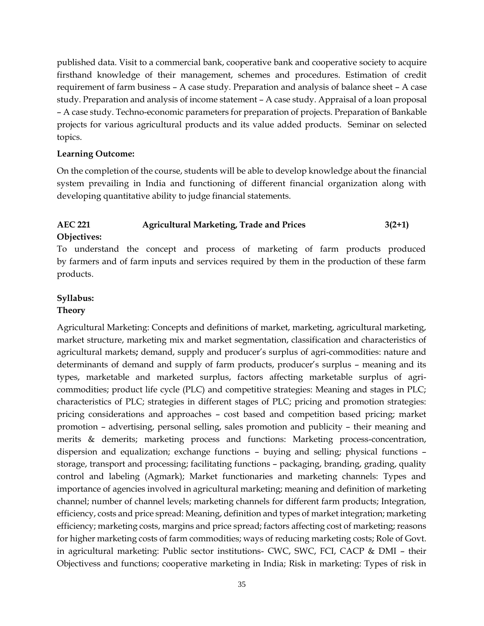published data. Visit to a commercial bank, cooperative bank and cooperative society to acquire firsthand knowledge of their management, schemes and procedures. Estimation of credit requirement of farm business – A case study. Preparation and analysis of balance sheet – A case study. Preparation and analysis of income statement – A case study. Appraisal of a loan proposal – A case study. Techno-economic parameters for preparation of projects. Preparation of Bankable projects for various agricultural products and its value added products. Seminar on selected topics.

#### **Learning Outcome:**

On the completion of the course, students will be able to develop knowledge about the financial system prevailing in India and functioning of different financial organization along with developing quantitative ability to judge financial statements.

# **AEC 221 Agricultural Marketing, Trade and Prices 3(2+1) Objectives:**

To understand the concept and process of marketing of farm products produced by farmers and of farm inputs and services required by them in the production of these farm products.

## **Syllabus:**

#### **Theory**

Agricultural Marketing: Concepts and definitions of market, marketing, agricultural marketing, market structure, marketing mix and market segmentation, classification and characteristics of agricultural markets**;** demand, supply and producer's surplus of agri-commodities: nature and determinants of demand and supply of farm products, producer's surplus – meaning and its types, marketable and marketed surplus, factors affecting marketable surplus of agricommodities; product life cycle (PLC) and competitive strategies: Meaning and stages in PLC; characteristics of PLC; strategies in different stages of PLC; pricing and promotion strategies: pricing considerations and approaches – cost based and competition based pricing; market promotion – advertising, personal selling, sales promotion and publicity – their meaning and merits & demerits; marketing process and functions: Marketing process-concentration, dispersion and equalization; exchange functions – buying and selling; physical functions – storage, transport and processing; facilitating functions – packaging, branding, grading, quality control and labeling (Agmark); Market functionaries and marketing channels: Types and importance of agencies involved in agricultural marketing; meaning and definition of marketing channel; number of channel levels; marketing channels for different farm products; Integration, efficiency, costs and price spread: Meaning, definition and types of market integration; marketing efficiency; marketing costs, margins and price spread; factors affecting cost of marketing; reasons for higher marketing costs of farm commodities; ways of reducing marketing costs; Role of Govt. in agricultural marketing: Public sector institutions- CWC, SWC, FCI, CACP & DMI – their Objectivess and functions; cooperative marketing in India; Risk in marketing: Types of risk in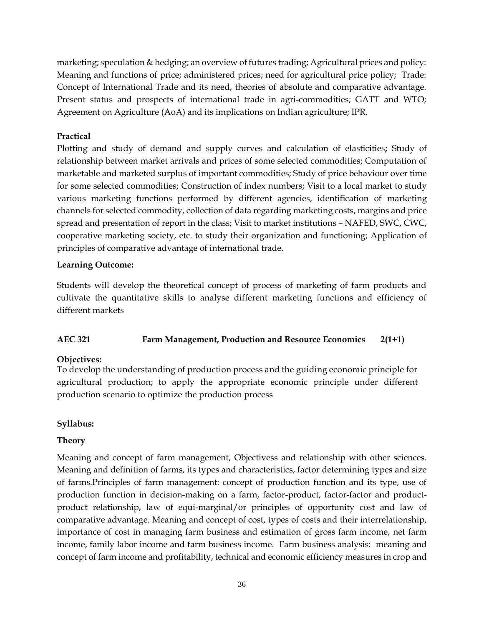marketing; speculation & hedging; an overview of futures trading; Agricultural prices and policy: Meaning and functions of price; administered prices; need for agricultural price policy; Trade: Concept of International Trade and its need, theories of absolute and comparative advantage. Present status and prospects of international trade in agri-commodities; GATT and WTO; Agreement on Agriculture (AoA) and its implications on Indian agriculture; IPR.

## **Practical**

Plotting and study of demand and supply curves and calculation of elasticities**;** Study of relationship between market arrivals and prices of some selected commodities; Computation of marketable and marketed surplus of important commodities; Study of price behaviour over time for some selected commodities; Construction of index numbers; Visit to a local market to study various marketing functions performed by different agencies, identification of marketing channels for selected commodity, collection of data regarding marketing costs, margins and price spread and presentation of report in the class; Visit to market institutions – NAFED, SWC, CWC, cooperative marketing society, etc. to study their organization and functioning; Application of principles of comparative advantage of international trade.

## **Learning Outcome:**

Students will develop the theoretical concept of process of marketing of farm products and cultivate the quantitative skills to analyse different marketing functions and efficiency of different markets

## **AEC 321 Farm Management, Production and Resource Economics 2(1+1)**

## **Objectives:**

To develop the understanding of production process and the guiding economic principle for agricultural production; to apply the appropriate economic principle under different production scenario to optimize the production process

# **Syllabus:**

## **Theory**

Meaning and concept of farm management, Objectivess and relationship with other sciences. Meaning and definition of farms, its types and characteristics, factor determining types and size of farms.Principles of farm management: concept of production function and its type, use of production function in decision-making on a farm, factor-product, factor-factor and productproduct relationship, law of equi-marginal/or principles of opportunity cost and law of comparative advantage. Meaning and concept of cost, types of costs and their interrelationship, importance of cost in managing farm business and estimation of gross farm income, net farm income, family labor income and farm business income. Farm business analysis: meaning and concept of farm income and profitability, technical and economic efficiency measures in crop and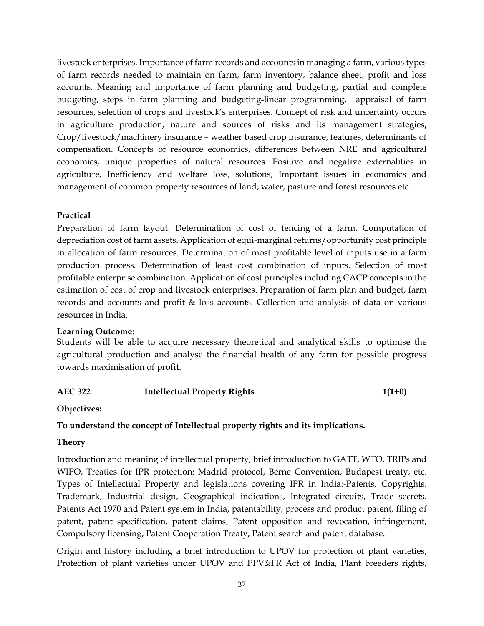livestock enterprises. Importance of farm records and accounts in managing a farm, various types of farm records needed to maintain on farm, farm inventory, balance sheet, profit and loss accounts. Meaning and importance of farm planning and budgeting, partial and complete budgeting, steps in farm planning and budgeting-linear programming, appraisal of farm resources, selection of crops and livestock's enterprises. Concept of risk and uncertainty occurs in agriculture production, nature and sources of risks and its management strategies**,**  Crop/livestock/machinery insurance – weather based crop insurance, features, determinants of compensation. Concepts of resource economics, differences between NRE and agricultural economics, unique properties of natural resources. Positive and negative externalities in agriculture, Inefficiency and welfare loss, solutions, Important issues in economics and management of common property resources of land, water, pasture and forest resources etc.

#### **Practical**

Preparation of farm layout. Determination of cost of fencing of a farm. Computation of depreciation cost of farm assets. Application of equi-marginal returns/opportunity cost principle in allocation of farm resources. Determination of most profitable level of inputs use in a farm production process. Determination of least cost combination of inputs. Selection of most profitable enterprise combination. Application of cost principles including CACP concepts in the estimation of cost of crop and livestock enterprises. Preparation of farm plan and budget, farm records and accounts and profit & loss accounts. Collection and analysis of data on various resources in India.

#### **Learning Outcome:**

Students will be able to acquire necessary theoretical and analytical skills to optimise the agricultural production and analyse the financial health of any farm for possible progress towards maximisation of profit.

## **AEC 322 Intellectual Property Rights 1(1+0)**

#### **Objectives:**

## **To understand the concept of Intellectual property rights and its implications.**

#### **Theory**

Introduction and meaning of intellectual property, brief introduction to GATT, WTO, TRIPs and WIPO, Treaties for IPR protection: Madrid protocol, Berne Convention, Budapest treaty, etc. Types of Intellectual Property and legislations covering IPR in India:-Patents, Copyrights, Trademark, Industrial design, Geographical indications, Integrated circuits, Trade secrets. Patents Act 1970 and Patent system in India, patentability, process and product patent, filing of patent, patent specification, patent claims, Patent opposition and revocation, infringement, Compulsory licensing, Patent Cooperation Treaty, Patent search and patent database.

Origin and history including a brief introduction to UPOV for protection of plant varieties, Protection of plant varieties under UPOV and PPV&FR Act of India, Plant breeders rights,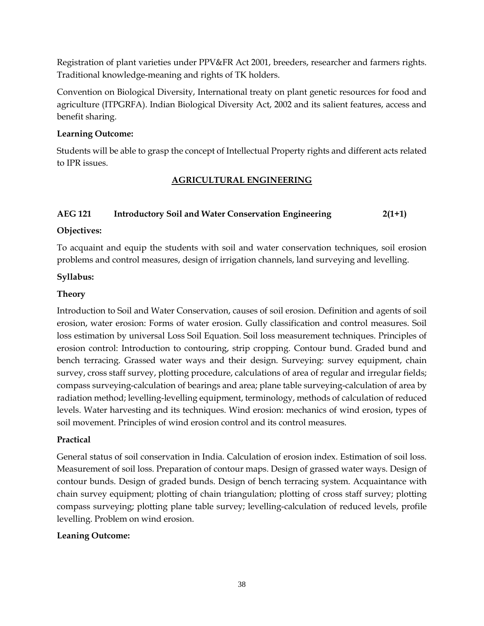Registration of plant varieties under PPV&FR Act 2001, breeders, researcher and farmers rights. Traditional knowledge-meaning and rights of TK holders.

Convention on Biological Diversity, International treaty on plant genetic resources for food and agriculture (ITPGRFA). Indian Biological Diversity Act, 2002 and its salient features, access and benefit sharing.

#### **Learning Outcome:**

Students will be able to grasp the concept of Intellectual Property rights and different acts related to IPR issues.

## **AGRICULTURAL ENGINEERING**

## **AEG 121 Introductory Soil and Water Conservation Engineering 2(1+1)**

## **Objectives:**

To acquaint and equip the students with soil and water conservation techniques, soil erosion problems and control measures, design of irrigation channels, land surveying and levelling.

## **Syllabus:**

## **Theory**

Introduction to Soil and Water Conservation, causes of soil erosion. Definition and agents of soil erosion, water erosion: Forms of water erosion. Gully classification and control measures. Soil loss estimation by universal Loss Soil Equation. Soil loss measurement techniques. Principles of erosion control: Introduction to contouring, strip cropping. Contour bund. Graded bund and bench terracing. Grassed water ways and their design. Surveying: survey equipment, chain survey, cross staff survey, plotting procedure, calculations of area of regular and irregular fields; compass surveying-calculation of bearings and area; plane table surveying-calculation of area by radiation method; levelling-levelling equipment, terminology, methods of calculation of reduced levels. Water harvesting and its techniques. Wind erosion: mechanics of wind erosion, types of soil movement. Principles of wind erosion control and its control measures.

## **Practical**

General status of soil conservation in India. Calculation of erosion index. Estimation of soil loss. Measurement of soil loss. Preparation of contour maps. Design of grassed water ways. Design of contour bunds. Design of graded bunds. Design of bench terracing system. Acquaintance with chain survey equipment; plotting of chain triangulation; plotting of cross staff survey; plotting compass surveying; plotting plane table survey; levelling-calculation of reduced levels, profile levelling. Problem on wind erosion.

#### **Leaning Outcome:**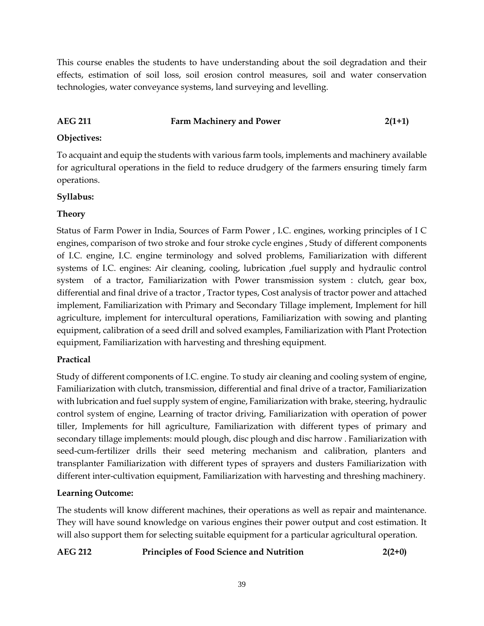This course enables the students to have understanding about the soil degradation and their effects, estimation of soil loss, soil erosion control measures, soil and water conservation technologies, water conveyance systems, land surveying and levelling.

## AEG 211 **Farm Machinery and Power** 2(1+1)

## **Objectives:**

To acquaint and equip the students with various farm tools, implements and machinery available for agricultural operations in the field to reduce drudgery of the farmers ensuring timely farm operations.

## **Syllabus:**

## **Theory**

Status of Farm Power in India, Sources of Farm Power , I.C. engines, working principles of I C engines, comparison of two stroke and four stroke cycle engines , Study of different components of I.C. engine, I.C. engine terminology and solved problems, Familiarization with different systems of I.C. engines: Air cleaning, cooling, lubrication ,fuel supply and hydraulic control system of a tractor, Familiarization with Power transmission system : clutch, gear box, differential and final drive of a tractor , Tractor types, Cost analysis of tractor power and attached implement, Familiarization with Primary and Secondary Tillage implement, Implement for hill agriculture, implement for intercultural operations, Familiarization with sowing and planting equipment, calibration of a seed drill and solved examples, Familiarization with Plant Protection equipment, Familiarization with harvesting and threshing equipment.

## **Practical**

Study of different components of I.C. engine. To study air cleaning and cooling system of engine, Familiarization with clutch, transmission, differential and final drive of a tractor, Familiarization with lubrication and fuel supply system of engine, Familiarization with brake, steering, hydraulic control system of engine, Learning of tractor driving, Familiarization with operation of power tiller, Implements for hill agriculture, Familiarization with different types of primary and secondary tillage implements: mould plough, disc plough and disc harrow . Familiarization with seed-cum-fertilizer drills their seed metering mechanism and calibration, planters and transplanter Familiarization with different types of sprayers and dusters Familiarization with different inter-cultivation equipment, Familiarization with harvesting and threshing machinery.

## **Learning Outcome:**

The students will know different machines, their operations as well as repair and maintenance. They will have sound knowledge on various engines their power output and cost estimation. It will also support them for selecting suitable equipment for a particular agricultural operation.

## **AEG 212 Principles of Food Science and Nutrition 2(2+0)**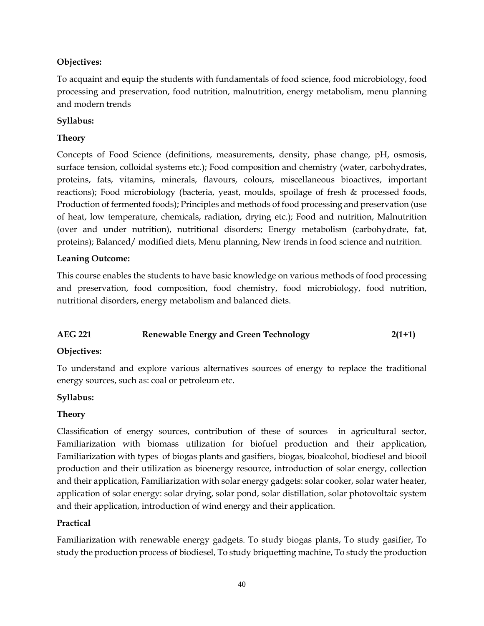## **Objectives:**

To acquaint and equip the students with fundamentals of food science, food microbiology, food processing and preservation, food nutrition, malnutrition, energy metabolism, menu planning and modern trends

## **Syllabus:**

## **Theory**

Concepts of Food Science (definitions, measurements, density, phase change, pH, osmosis, surface tension, colloidal systems etc.); Food composition and chemistry (water, carbohydrates, proteins, fats, vitamins, minerals, flavours, colours, miscellaneous bioactives, important reactions); Food microbiology (bacteria, yeast, moulds, spoilage of fresh & processed foods, Production of fermented foods); Principles and methods of food processing and preservation (use of heat, low temperature, chemicals, radiation, drying etc.); Food and nutrition, Malnutrition (over and under nutrition), nutritional disorders; Energy metabolism (carbohydrate, fat, proteins); Balanced/ modified diets, Menu planning, New trends in food science and nutrition.

## **Leaning Outcome:**

This course enables the students to have basic knowledge on various methods of food processing and preservation, food composition, food chemistry, food microbiology, food nutrition, nutritional disorders, energy metabolism and balanced diets.

## **AEG 221 Renewable Energy and Green Technology 2(1+1)**

## **Objectives:**

To understand and explore various alternatives sources of energy to replace the traditional energy sources, such as: coal or petroleum etc.

## **Syllabus:**

## **Theory**

Classification of energy sources, contribution of these of sources in agricultural sector, Familiarization with biomass utilization for biofuel production and their application, Familiarization with types of biogas plants and gasifiers, biogas, bioalcohol, biodiesel and biooil production and their utilization as bioenergy resource, introduction of solar energy, collection and their application, Familiarization with solar energy gadgets: solar cooker, solar water heater, application of solar energy: solar drying, solar pond, solar distillation, solar photovoltaic system and their application, introduction of wind energy and their application.

## **Practical**

Familiarization with renewable energy gadgets. To study biogas plants, To study gasifier, To study the production process of biodiesel, To study briquetting machine, To study the production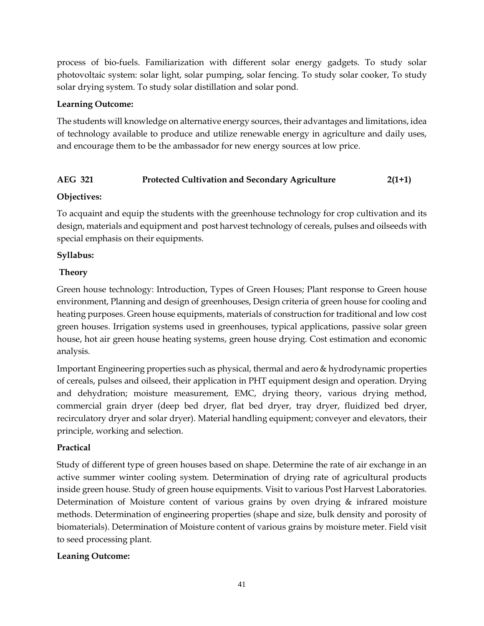process of bio-fuels. Familiarization with different solar energy gadgets. To study solar photovoltaic system: solar light, solar pumping, solar fencing. To study solar cooker, To study solar drying system. To study solar distillation and solar pond.

#### **Learning Outcome:**

The students will knowledge on alternative energy sources, their advantages and limitations, idea of technology available to produce and utilize renewable energy in agriculture and daily uses, and encourage them to be the ambassador for new energy sources at low price.

## **AEG 321 Protected Cultivation and Secondary Agriculture 2(1+1)**

#### **Objectives:**

To acquaint and equip the students with the greenhouse technology for crop cultivation and its design, materials and equipment and post harvest technology of cereals, pulses and oilseeds with special emphasis on their equipments.

#### **Syllabus:**

#### **Theory**

Green house technology: Introduction, Types of Green Houses; Plant response to Green house environment, Planning and design of greenhouses, Design criteria of green house for cooling and heating purposes. Green house equipments, materials of construction for traditional and low cost green houses. Irrigation systems used in greenhouses, typical applications, passive solar green house, hot air green house heating systems, green house drying. Cost estimation and economic analysis.

Important Engineering properties such as physical, thermal and aero & hydrodynamic properties of cereals, pulses and oilseed, their application in PHT equipment design and operation. Drying and dehydration; moisture measurement, EMC, drying theory, various drying method, commercial grain dryer (deep bed dryer, flat bed dryer, tray dryer, fluidized bed dryer, recirculatory dryer and solar dryer). Material handling equipment; conveyer and elevators, their principle, working and selection.

## **Practical**

Study of different type of green houses based on shape. Determine the rate of air exchange in an active summer winter cooling system. Determination of drying rate of agricultural products inside green house. Study of green house equipments. Visit to various Post Harvest Laboratories. Determination of Moisture content of various grains by oven drying & infrared moisture methods. Determination of engineering properties (shape and size, bulk density and porosity of biomaterials). Determination of Moisture content of various grains by moisture meter. Field visit to seed processing plant.

## **Leaning Outcome:**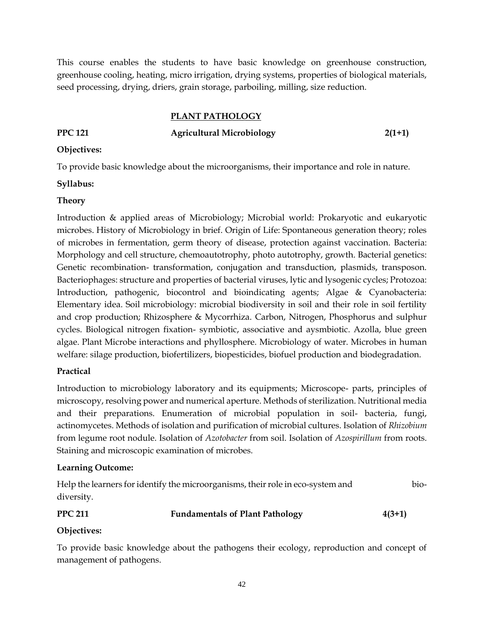This course enables the students to have basic knowledge on greenhouse construction, greenhouse cooling, heating, micro irrigation, drying systems, properties of biological materials, seed processing, drying, driers, grain storage, parboiling, milling, size reduction.

#### **PLANT PATHOLOGY**

## **PPC 121 Agricultural Microbiology 2(1+1)**

#### **Objectives:**

To provide basic knowledge about the microorganisms, their importance and role in nature.

#### **Syllabus:**

#### **Theory**

Introduction & applied areas of Microbiology; Microbial world: Prokaryotic and eukaryotic microbes. History of Microbiology in brief. Origin of Life: Spontaneous generation theory; roles of microbes in fermentation, germ theory of disease, protection against vaccination. Bacteria: Morphology and cell structure, chemoautotrophy, photo autotrophy, growth. Bacterial genetics: Genetic recombination- transformation, conjugation and transduction, plasmids, transposon. Bacteriophages: structure and properties of bacterial viruses, lytic and lysogenic cycles; Protozoa: Introduction, pathogenic, biocontrol and bioindicating agents; Algae & Cyanobacteria: Elementary idea. Soil microbiology: microbial biodiversity in soil and their role in soil fertility and crop production; Rhizosphere & Mycorrhiza. Carbon, Nitrogen, Phosphorus and sulphur cycles. Biological nitrogen fixation- symbiotic, associative and aysmbiotic. Azolla, blue green algae. Plant Microbe interactions and phyllosphere. Microbiology of water. Microbes in human welfare: silage production, biofertilizers, biopesticides, biofuel production and biodegradation.

## **Practical**

Introduction to microbiology laboratory and its equipments; Microscope- parts, principles of microscopy, resolving power and numerical aperture. Methods of sterilization. Nutritional media and their preparations. Enumeration of microbial population in soil- bacteria, fungi, actinomycetes. Methods of isolation and purification of microbial cultures. Isolation of *Rhizobium* from legume root nodule. Isolation of *Azotobacter* from soil. Isolation of *Azospirillum* from roots. Staining and microscopic examination of microbes.

#### **Learning Outcome:**

Help the learners for identify the microorganisms, their role in eco-system and biodiversity.

## **PPC 211 Fundamentals of Plant Pathology 4(3+1)**

## **Objectives:**

To provide basic knowledge about the pathogens their ecology, reproduction and concept of management of pathogens.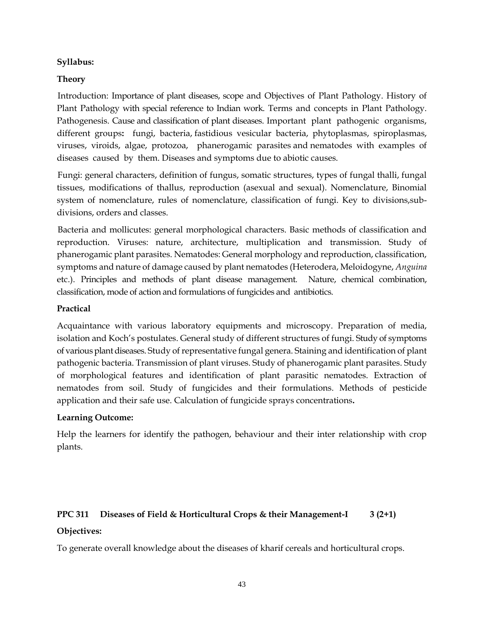#### **Syllabus:**

#### **Theory**

Introduction: Importance of plant diseases, scope and Objectives of Plant Pathology. History of Plant Pathology with special reference to Indian work. Terms and concepts in Plant Pathology. Pathogenesis. Cause and classification of plant diseases. Important plant pathogenic organisms, different groups**:** fungi, bacteria, fastidious vesicular bacteria, phytoplasmas, spiroplasmas, viruses, viroids, algae, protozoa, phanerogamic parasites and nematodes with examples of diseases caused by them. Diseases and symptoms due to abiotic causes.

Fungi: general characters, definition of fungus, somatic structures, types of fungal thalli, fungal tissues, modifications of thallus, reproduction (asexual and sexual). Nomenclature, Binomial system of nomenclature, rules of nomenclature, classification of fungi. Key to divisions,subdivisions, orders and classes.

Bacteria and mollicutes: general morphological characters. Basic methods of classification and reproduction. Viruses: nature, architecture, multiplication and transmission. Study of phanerogamic plant parasites. Nematodes: General morphology and reproduction, classification, symptoms and nature of damage caused by plant nematodes (Heterodera, Meloidogyne, *Anguina* etc.). Principles and methods of plant disease management. Nature, chemical combination, classification, mode of action and formulations of fungicides and antibiotics.

#### **Practical**

Acquaintance with various laboratory equipments and microscopy. Preparation of media, isolation and Koch's postulates. General study of different structures of fungi. Study of symptoms of various plant diseases. Study of representative fungal genera. Staining and identification of plant pathogenic bacteria. Transmission of plant viruses. Study of phanerogamic plant parasites. Study of morphological features and identification of plant parasitic nematodes. Extraction of nematodes from soil. Study of fungicides and their formulations. Methods of pesticide application and their safe use. Calculation of fungicide sprays concentrations**.**

#### **Learning Outcome:**

Help the learners for identify the pathogen, behaviour and their inter relationship with crop plants.

## **PPC 311 Diseases of Field & Horticultural Crops & their Management-I 3 (2+1)**

## **Objectives:**

To generate overall knowledge about the diseases of kharif cereals and horticultural crops.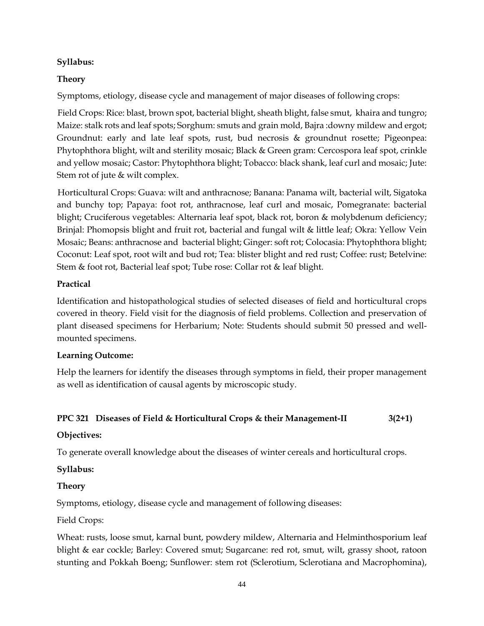## **Syllabus:**

## **Theory**

Symptoms, etiology, disease cycle and management of major diseases of following crops:

Field Crops: Rice: blast, brown spot, bacterial blight, sheath blight, false smut, khaira and tungro; Maize: stalk rots and leaf spots; Sorghum: smuts and grain mold, Bajra :downy mildew and ergot; Groundnut: early and late leaf spots, rust, bud necrosis & groundnut rosette; Pigeonpea: Phytophthora blight, wilt and sterility mosaic; Black & Green gram: Cercospora leaf spot, crinkle and yellow mosaic; Castor: Phytophthora blight; Tobacco: black shank, leaf curl and mosaic; Jute: Stem rot of jute & wilt complex.

Horticultural Crops: Guava: wilt and anthracnose; Banana: Panama wilt, bacterial wilt, Sigatoka and bunchy top; Papaya: foot rot, anthracnose, leaf curl and mosaic, Pomegranate: bacterial blight; Cruciferous vegetables: Alternaria leaf spot, black rot, boron & molybdenum deficiency; Brinjal: Phomopsis blight and fruit rot, bacterial and fungal wilt & little leaf; Okra: Yellow Vein Mosaic; Beans: anthracnose and bacterial blight; Ginger: soft rot; Colocasia: Phytophthora blight; Coconut: Leaf spot, root wilt and bud rot; Tea: blister blight and red rust; Coffee: rust; Betelvine: Stem & foot rot, Bacterial leaf spot; Tube rose: Collar rot & leaf blight.

## **Practical**

Identification and histopathological studies of selected diseases of field and horticultural crops covered in theory. Field visit for the diagnosis of field problems. Collection and preservation of plant diseased specimens for Herbarium; Note: Students should submit 50 pressed and wellmounted specimens.

## **Learning Outcome:**

Help the learners for identify the diseases through symptoms in field, their proper management as well as identification of causal agents by microscopic study.

## **PPC 321 Diseases of Field & Horticultural Crops & their Management-II 3(2+1)**

## **Objectives:**

To generate overall knowledge about the diseases of winter cereals and horticultural crops.

## **Syllabus:**

## **Theory**

Symptoms, etiology, disease cycle and management of following diseases:

## Field Crops:

Wheat: rusts, loose smut, karnal bunt, powdery mildew, Alternaria and Helminthosporium leaf blight & ear cockle; Barley: Covered smut; Sugarcane: red rot, smut, wilt, grassy shoot, ratoon stunting and Pokkah Boeng; Sunflower: stem rot (Sclerotium, Sclerotiana and Macrophomina),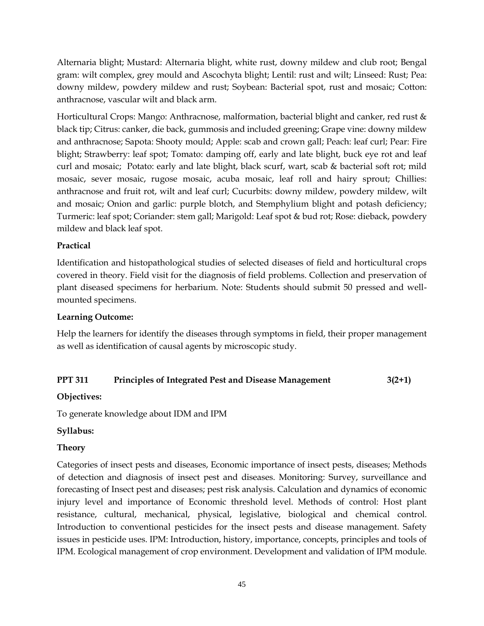Alternaria blight; Mustard: Alternaria blight, white rust, downy mildew and club root; Bengal gram: wilt complex, grey mould and Ascochyta blight; Lentil: rust and wilt; Linseed: Rust; Pea: downy mildew, powdery mildew and rust; Soybean: Bacterial spot, rust and mosaic; Cotton: anthracnose, vascular wilt and black arm.

Horticultural Crops: Mango: Anthracnose, malformation, bacterial blight and canker, red rust & black tip; Citrus: canker, die back, gummosis and included greening; Grape vine: downy mildew and anthracnose; Sapota: Shooty mould; Apple: scab and crown gall; Peach: leaf curl; Pear: Fire blight; Strawberry: leaf spot; Tomato: damping off, early and late blight, buck eye rot and leaf curl and mosaic; Potato: early and late blight, black scurf, wart, scab & bacterial soft rot; mild mosaic, sever mosaic, rugose mosaic, acuba mosaic, leaf roll and hairy sprout; Chillies: anthracnose and fruit rot, wilt and leaf curl; Cucurbits: downy mildew, powdery mildew, wilt and mosaic; Onion and garlic: purple blotch, and Stemphylium blight and potash deficiency; Turmeric: leaf spot; Coriander: stem gall; Marigold: Leaf spot & bud rot; Rose: dieback, powdery mildew and black leaf spot.

## **Practical**

Identification and histopathological studies of selected diseases of field and horticultural crops covered in theory. Field visit for the diagnosis of field problems. Collection and preservation of plant diseased specimens for herbarium. Note: Students should submit 50 pressed and wellmounted specimens.

#### **Learning Outcome:**

Help the learners for identify the diseases through symptoms in field, their proper management as well as identification of causal agents by microscopic study.

## **PPT 311 Principles of Integrated Pest and Disease Management 3(2+1)**

#### **Objectives:**

To generate knowledge about IDM and IPM

## **Syllabus:**

## **Theory**

Categories of insect pests and diseases, Economic importance of insect pests, diseases; Methods of detection and diagnosis of insect pest and diseases. Monitoring: Survey, surveillance and forecasting of Insect pest and diseases; pest risk analysis. Calculation and dynamics of economic injury level and importance of Economic threshold level. Methods of control: Host plant resistance, cultural, mechanical, physical, legislative, biological and chemical control. Introduction to conventional pesticides for the insect pests and disease management. Safety issues in pesticide uses. IPM: Introduction, history, importance, concepts, principles and tools of IPM. Ecological management of crop environment. Development and validation of IPM module.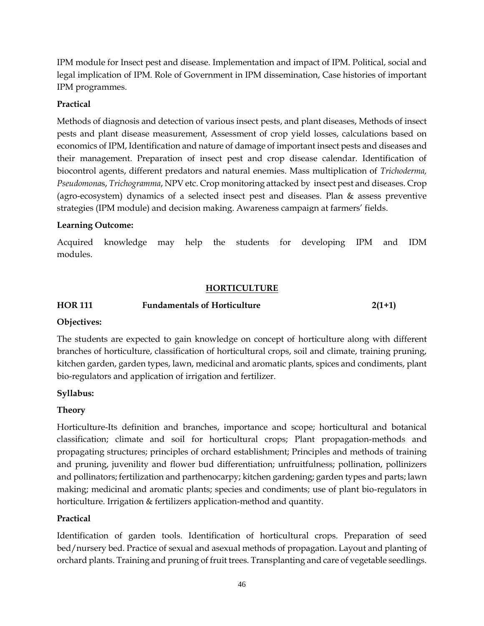IPM module for Insect pest and disease. Implementation and impact of IPM. Political, social and legal implication of IPM. Role of Government in IPM dissemination, Case histories of important IPM programmes.

## **Practical**

Methods of diagnosis and detection of various insect pests, and plant diseases, Methods of insect pests and plant disease measurement, Assessment of crop yield losses, calculations based on economics of IPM, Identification and nature of damage of important insect pests and diseases and their management. Preparation of insect pest and crop disease calendar. Identification of biocontrol agents, different predators and natural enemies. Mass multiplication of *Trichoderma, Pseudomona*s, *Trichogramma*, NPV etc. Crop monitoring attacked by insect pest and diseases. Crop (agro-ecosystem) dynamics of a selected insect pest and diseases. Plan & assess preventive strategies (IPM module) and decision making. Awareness campaign at farmers' fields.

#### **Learning Outcome:**

Acquired knowledge may help the students for developing IPM and IDM modules.

#### **HORTICULTURE**

## **HOR 111 Fundamentals of Horticulture 2(1+1)**

## **Objectives:**

The students are expected to gain knowledge on concept of horticulture along with different branches of horticulture, classification of horticultural crops, soil and climate, training pruning, kitchen garden, garden types, lawn, medicinal and aromatic plants, spices and condiments, plant bio-regulators and application of irrigation and fertilizer.

## **Syllabus:**

## **Theory**

Horticulture-Its definition and branches, importance and scope; horticultural and botanical classification; climate and soil for horticultural crops; Plant propagation-methods and propagating structures; principles of orchard establishment; Principles and methods of training and pruning, juvenility and flower bud differentiation; unfruitfulness; pollination, pollinizers and pollinators; fertilization and parthenocarpy; kitchen gardening; garden types and parts; lawn making; medicinal and aromatic plants; species and condiments; use of plant bio-regulators in horticulture. Irrigation & fertilizers application-method and quantity.

## **Practical**

Identification of garden tools. Identification of horticultural crops. Preparation of seed bed/nursery bed. Practice of sexual and asexual methods of propagation. Layout and planting of orchard plants. Training and pruning of fruit trees. Transplanting and care of vegetable seedlings.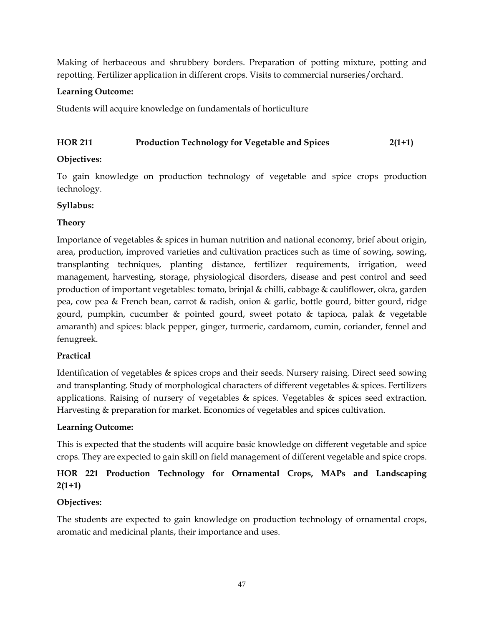Making of herbaceous and shrubbery borders. Preparation of potting mixture, potting and repotting. Fertilizer application in different crops. Visits to commercial nurseries/orchard.

## **Learning Outcome:**

Students will acquire knowledge on fundamentals of horticulture

## **HOR 211 Production Technology for Vegetable and Spices 2(1+1)**

## **Objectives:**

To gain knowledge on production technology of vegetable and spice crops production technology.

## **Syllabus:**

## **Theory**

Importance of vegetables & spices in human nutrition and national economy, brief about origin, area, production, improved varieties and cultivation practices such as time of sowing, sowing, transplanting techniques, planting distance, fertilizer requirements, irrigation, weed management, harvesting, storage, physiological disorders, disease and pest control and seed production of important vegetables: tomato, brinjal & chilli, cabbage & cauliflower, okra, garden pea, cow pea & French bean, carrot & radish, onion & garlic, bottle gourd, bitter gourd, ridge gourd, pumpkin, cucumber & pointed gourd, sweet potato & tapioca, palak & vegetable amaranth) and spices: black pepper, ginger, turmeric, cardamom, cumin, coriander, fennel and fenugreek.

## **Practical**

Identification of vegetables & spices crops and their seeds. Nursery raising. Direct seed sowing and transplanting. Study of morphological characters of different vegetables & spices. Fertilizers applications. Raising of nursery of vegetables  $\&$  spices. Vegetables  $\&$  spices seed extraction. Harvesting & preparation for market. Economics of vegetables and spices cultivation.

## **Learning Outcome:**

This is expected that the students will acquire basic knowledge on different vegetable and spice crops. They are expected to gain skill on field management of different vegetable and spice crops.

## **HOR 221 Production Technology for Ornamental Crops, MAPs and Landscaping 2(1+1)**

## **Objectives:**

The students are expected to gain knowledge on production technology of ornamental crops, aromatic and medicinal plants, their importance and uses.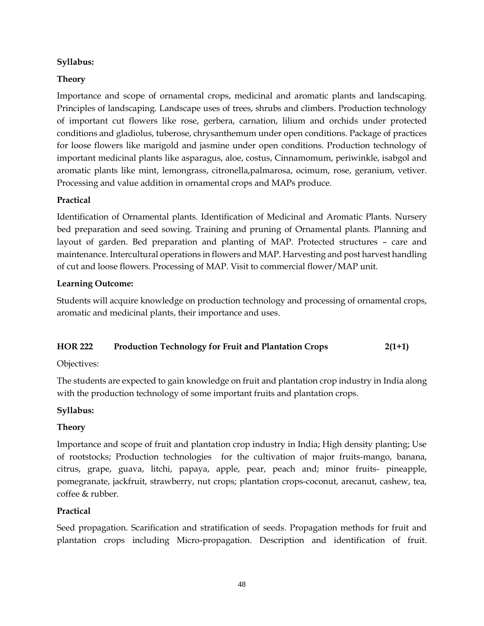#### **Syllabus:**

#### **Theory**

Importance and scope of ornamental crops, medicinal and aromatic plants and landscaping. Principles of landscaping. Landscape uses of trees, shrubs and climbers. Production technology of important cut flowers like rose, gerbera, carnation, lilium and orchids under protected conditions and gladiolus, tuberose, chrysanthemum under open conditions. Package of practices for loose flowers like marigold and jasmine under open conditions. Production technology of important medicinal plants like asparagus, aloe, costus, Cinnamomum, periwinkle, isabgol and aromatic plants like mint, lemongrass, citronella,palmarosa, ocimum, rose, geranium, vetiver. Processing and value addition in ornamental crops and MAPs produce.

#### **Practical**

Identification of Ornamental plants. Identification of Medicinal and Aromatic Plants. Nursery bed preparation and seed sowing. Training and pruning of Ornamental plants. Planning and layout of garden. Bed preparation and planting of MAP. Protected structures – care and maintenance. Intercultural operations in flowers and MAP. Harvesting and post harvest handling of cut and loose flowers. Processing of MAP. Visit to commercial flower/MAP unit.

#### **Learning Outcome:**

Students will acquire knowledge on production technology and processing of ornamental crops, aromatic and medicinal plants, their importance and uses.

#### **HOR 222 Production Technology for Fruit and Plantation Crops 2(1+1)**

#### Objectives:

The students are expected to gain knowledge on fruit and plantation crop industry in India along with the production technology of some important fruits and plantation crops.

#### **Syllabus:**

## **Theory**

Importance and scope of fruit and plantation crop industry in India; High density planting; Use of rootstocks; Production technologies for the cultivation of major fruits-mango, banana, citrus, grape, guava, litchi, papaya, apple, pear, peach and; minor fruits- pineapple, pomegranate, jackfruit, strawberry, nut crops; plantation crops-coconut, arecanut, cashew, tea, coffee & rubber.

## **Practical**

Seed propagation. Scarification and stratification of seeds. Propagation methods for fruit and plantation crops including Micro-propagation. Description and identification of fruit.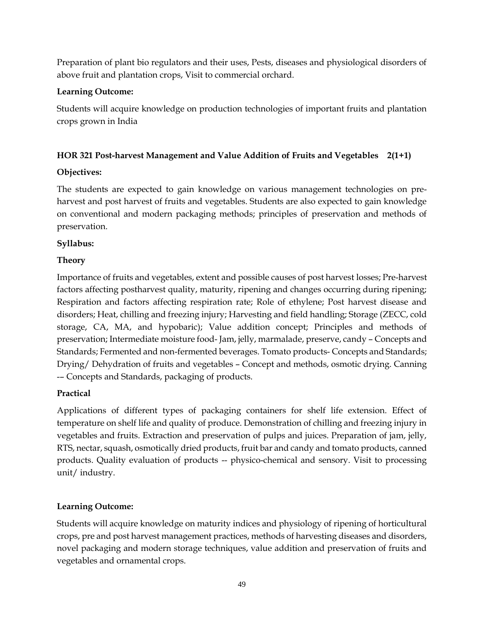Preparation of plant bio regulators and their uses, Pests, diseases and physiological disorders of above fruit and plantation crops, Visit to commercial orchard.

## **Learning Outcome:**

Students will acquire knowledge on production technologies of important fruits and plantation crops grown in India

## **HOR 321 Post-harvest Management and Value Addition of Fruits and Vegetables 2(1+1)**

## **Objectives:**

The students are expected to gain knowledge on various management technologies on preharvest and post harvest of fruits and vegetables. Students are also expected to gain knowledge on conventional and modern packaging methods; principles of preservation and methods of preservation.

## **Syllabus:**

## **Theory**

Importance of fruits and vegetables, extent and possible causes of post harvest losses; Pre-harvest factors affecting postharvest quality, maturity, ripening and changes occurring during ripening; Respiration and factors affecting respiration rate; Role of ethylene; Post harvest disease and disorders; Heat, chilling and freezing injury; Harvesting and field handling; Storage (ZECC, cold storage, CA, MA, and hypobaric); Value addition concept; Principles and methods of preservation; Intermediate moisture food- Jam, jelly, marmalade, preserve, candy – Concepts and Standards; Fermented and non-fermented beverages. Tomato products- Concepts and Standards; Drying/ Dehydration of fruits and vegetables – Concept and methods, osmotic drying. Canning -– Concepts and Standards, packaging of products.

## **Practical**

Applications of different types of packaging containers for shelf life extension. Effect of temperature on shelf life and quality of produce. Demonstration of chilling and freezing injury in vegetables and fruits. Extraction and preservation of pulps and juices. Preparation of jam, jelly, RTS, nectar, squash, osmotically dried products, fruit bar and candy and tomato products, canned products. Quality evaluation of products -- physico-chemical and sensory. Visit to processing unit/ industry.

## **Learning Outcome:**

Students will acquire knowledge on maturity indices and physiology of ripening of horticultural crops, pre and post harvest management practices, methods of harvesting diseases and disorders, novel packaging and modern storage techniques, value addition and preservation of fruits and vegetables and ornamental crops.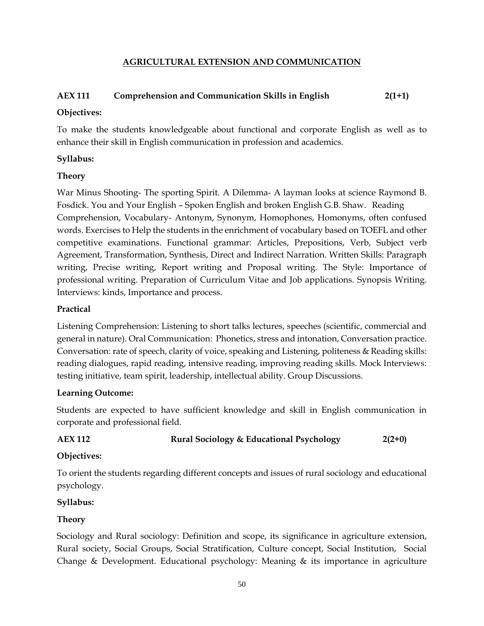#### **AGRICULTURAL EXTENSION AND COMMUNICATION**

## **AEX 111 Comprehension and Communication Skills in English 2(1+1)**

#### **Objectives:**

To make the students knowledgeable about functional and corporate English as well as to enhance their skill in English communication in profession and academics.

#### **Syllabus:**

#### **Theory**

War Minus Shooting- The sporting Spirit. A Dilemma- A layman looks at science Raymond B. Fosdick. You and Your English – Spoken English and broken English G.B. Shaw. Reading Comprehension, Vocabulary- Antonym, Synonym, Homophones, Homonyms, often confused words. Exercises to Help the students in the enrichment of vocabulary based on TOEFL and other competitive examinations. Functional grammar: Articles, Prepositions, Verb, Subject verb Agreement, Transformation, Synthesis, Direct and Indirect Narration. Written Skills: Paragraph writing, Precise writing, Report writing and Proposal writing. The Style: Importance of professional writing. Preparation of Curriculum Vitae and Job applications. Synopsis Writing. Interviews: kinds, Importance and process.

#### **Practical**

Listening Comprehension: Listening to short talks lectures, speeches (scientific, commercial and general in nature). Oral Communication: Phonetics, stress and intonation, Conversation practice. Conversation: rate of speech, clarity of voice, speaking and Listening, politeness & Reading skills: reading dialogues, rapid reading, intensive reading, improving reading skills. Mock Interviews: testing initiative, team spirit, leadership, intellectual ability. Group Discussions.

#### **Learning Outcome:**

Students are expected to have sufficient knowledge and skill in English communication in corporate and professional field.

**AEX 112 Rural Sociology & Educational Psychology 2(2+0)**

## **Objectives:**

To orient the students regarding different concepts and issues of rural sociology and educational psychology.

## **Syllabus:**

## **Theory**

Sociology and Rural sociology: Definition and scope, its significance in agriculture extension, Rural society, Social Groups, Social Stratification, Culture concept, Social Institution, Social Change & Development. Educational psychology: Meaning & its importance in agriculture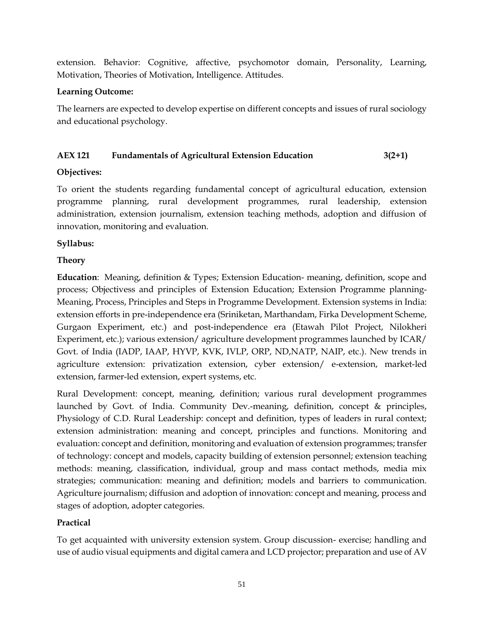extension. Behavior: Cognitive, affective, psychomotor domain, Personality, Learning, Motivation, Theories of Motivation, Intelligence. Attitudes.

#### **Learning Outcome:**

The learners are expected to develop expertise on different concepts and issues of rural sociology and educational psychology.

## **AEX 121 Fundamentals of Agricultural Extension Education 3(2+1)**

## **Objectives:**

To orient the students regarding fundamental concept of agricultural education, extension programme planning, rural development programmes, rural leadership, extension administration, extension journalism, extension teaching methods, adoption and diffusion of innovation, monitoring and evaluation.

#### **Syllabus:**

#### **Theory**

**Education**: Meaning, definition & Types; Extension Education- meaning, definition, scope and process; Objectivess and principles of Extension Education; Extension Programme planning-Meaning, Process, Principles and Steps in Programme Development. Extension systems in India: extension efforts in pre-independence era (Sriniketan, Marthandam, Firka Development Scheme, Gurgaon Experiment, etc.) and post-independence era (Etawah Pilot Project, Nilokheri Experiment, etc.); various extension/ agriculture development programmes launched by ICAR/ Govt. of India (IADP, IAAP, HYVP, KVK, IVLP, ORP, ND,NATP, NAIP, etc.). New trends in agriculture extension: privatization extension, cyber extension/ e-extension, market-led extension, farmer-led extension, expert systems, etc.

Rural Development: concept, meaning, definition; various rural development programmes launched by Govt. of India. Community Dev.-meaning, definition, concept & principles, Physiology of C.D. Rural Leadership: concept and definition, types of leaders in rural context; extension administration: meaning and concept, principles and functions. Monitoring and evaluation: concept and definition, monitoring and evaluation of extension programmes; transfer of technology: concept and models, capacity building of extension personnel; extension teaching methods: meaning, classification, individual, group and mass contact methods, media mix strategies; communication: meaning and definition; models and barriers to communication. Agriculture journalism; diffusion and adoption of innovation: concept and meaning, process and stages of adoption, adopter categories.

## **Practical**

To get acquainted with university extension system. Group discussion- exercise; handling and use of audio visual equipments and digital camera and LCD projector; preparation and use of AV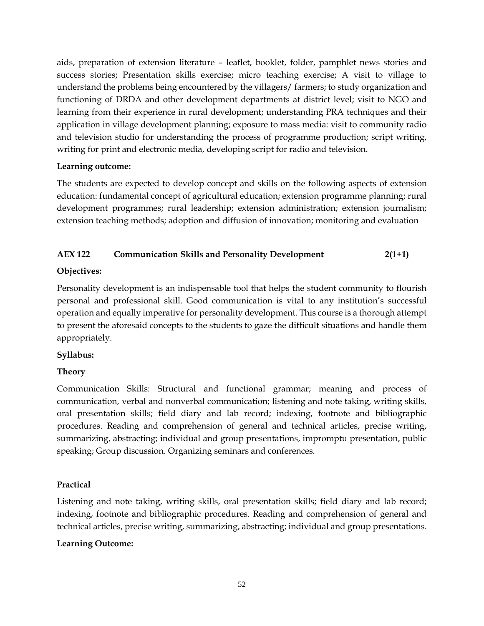aids, preparation of extension literature – leaflet, booklet, folder, pamphlet news stories and success stories; Presentation skills exercise; micro teaching exercise; A visit to village to understand the problems being encountered by the villagers/ farmers; to study organization and functioning of DRDA and other development departments at district level; visit to NGO and learning from their experience in rural development; understanding PRA techniques and their application in village development planning; exposure to mass media: visit to community radio and television studio for understanding the process of programme production; script writing, writing for print and electronic media, developing script for radio and television.

#### **Learning outcome:**

The students are expected to develop concept and skills on the following aspects of extension education: fundamental concept of agricultural education; extension programme planning; rural development programmes; rural leadership; extension administration; extension journalism; extension teaching methods; adoption and diffusion of innovation; monitoring and evaluation

## **AEX 122 Communication Skills and Personality Development 2(1+1)**

## **Objectives:**

Personality development is an indispensable tool that helps the student community to flourish personal and professional skill. Good communication is vital to any institution's successful operation and equally imperative for personality development. This course is a thorough attempt to present the aforesaid concepts to the students to gaze the difficult situations and handle them appropriately.

## **Syllabus:**

## **Theory**

Communication Skills: Structural and functional grammar; meaning and process of communication, verbal and nonverbal communication; listening and note taking, writing skills, oral presentation skills; field diary and lab record; indexing, footnote and bibliographic procedures. Reading and comprehension of general and technical articles, precise writing, summarizing, abstracting; individual and group presentations, impromptu presentation, public speaking; Group discussion. Organizing seminars and conferences.

## **Practical**

Listening and note taking, writing skills, oral presentation skills; field diary and lab record; indexing, footnote and bibliographic procedures. Reading and comprehension of general and technical articles, precise writing, summarizing, abstracting; individual and group presentations.

## **Learning Outcome:**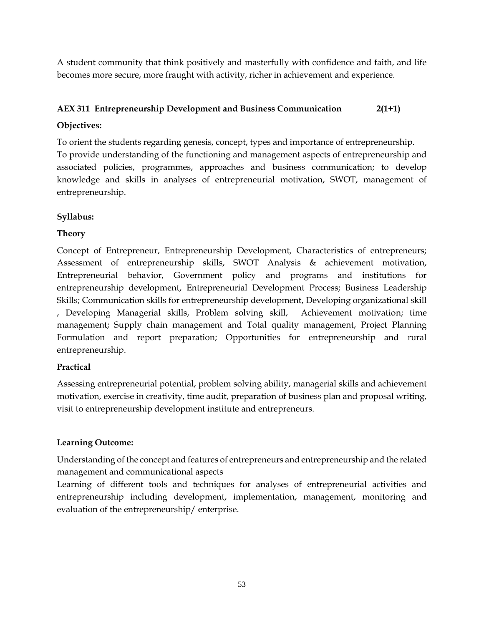A student community that think positively and masterfully with confidence and faith, and life becomes more secure, more fraught with activity, richer in achievement and experience.

# **AEX 311 Entrepreneurship Development and Business Communication 2(1+1)**

## **Objectives:**

To orient the students regarding genesis, concept, types and importance of entrepreneurship. To provide understanding of the functioning and management aspects of entrepreneurship and associated policies, programmes, approaches and business communication; to develop knowledge and skills in analyses of entrepreneurial motivation, SWOT, management of entrepreneurship.

## **Syllabus:**

## **Theory**

Concept of Entrepreneur, Entrepreneurship Development, Characteristics of entrepreneurs; Assessment of entrepreneurship skills, SWOT Analysis & achievement motivation, Entrepreneurial behavior, Government policy and programs and institutions for entrepreneurship development, Entrepreneurial Development Process; Business Leadership Skills; Communication skills for entrepreneurship development, Developing organizational skill , Developing Managerial skills, Problem solving skill, Achievement motivation; time management; Supply chain management and Total quality management, Project Planning Formulation and report preparation; Opportunities for entrepreneurship and rural entrepreneurship.

## **Practical**

Assessing entrepreneurial potential, problem solving ability, managerial skills and achievement motivation, exercise in creativity, time audit, preparation of business plan and proposal writing, visit to entrepreneurship development institute and entrepreneurs.

## **Learning Outcome:**

Understanding of the concept and features of entrepreneurs and entrepreneurship and the related management and communicational aspects

Learning of different tools and techniques for analyses of entrepreneurial activities and entrepreneurship including development, implementation, management, monitoring and evaluation of the entrepreneurship/ enterprise.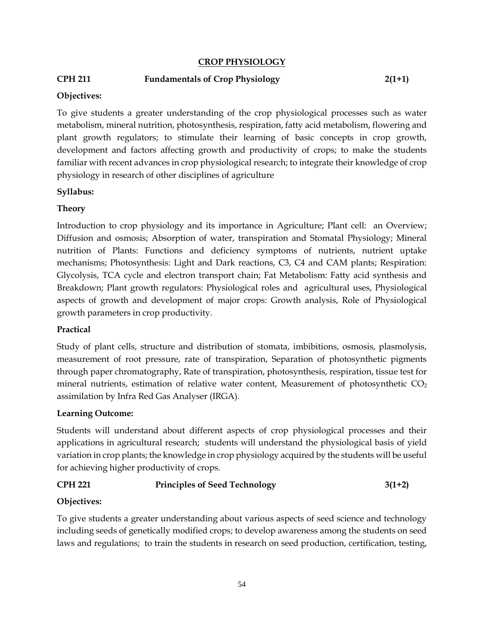#### **CROP PHYSIOLOGY**

#### **CPH 211 Fundamentals of Crop Physiology 2(1+1)**

#### **Objectives:**

To give students a greater understanding of the crop physiological processes such as water metabolism, mineral nutrition, photosynthesis, respiration, fatty acid metabolism, flowering and plant growth regulators; to stimulate their learning of basic concepts in crop growth, development and factors affecting growth and productivity of crops; to make the students familiar with recent advances in crop physiological research; to integrate their knowledge of crop physiology in research of other disciplines of agriculture

#### **Syllabus:**

#### **Theory**

Introduction to crop physiology and its importance in Agriculture; Plant cell: an Overview; Diffusion and osmosis; Absorption of water, transpiration and Stomatal Physiology; Mineral nutrition of Plants: Functions and deficiency symptoms of nutrients, nutrient uptake mechanisms; Photosynthesis: Light and Dark reactions, C3, C4 and CAM plants; Respiration: Glycolysis, TCA cycle and electron transport chain; Fat Metabolism: Fatty acid synthesis and Breakdown; Plant growth regulators: Physiological roles and agricultural uses, Physiological aspects of growth and development of major crops: Growth analysis, Role of Physiological growth parameters in crop productivity.

#### **Practical**

Study of plant cells, structure and distribution of stomata, imbibitions, osmosis, plasmolysis, measurement of root pressure, rate of transpiration, Separation of photosynthetic pigments through paper chromatography, Rate of transpiration, photosynthesis, respiration, tissue test for mineral nutrients, estimation of relative water content, Measurement of photosynthetic  $CO<sub>2</sub>$ assimilation by Infra Red Gas Analyser (IRGA).

#### **Learning Outcome:**

Students will understand about different aspects of crop physiological processes and their applications in agricultural research; students will understand the physiological basis of yield variation in crop plants; the knowledge in crop physiology acquired by the students will be useful for achieving higher productivity of crops.

## **CPH 221 Principles of Seed Technology 3(1+2)**

#### **Objectives:**

To give students a greater understanding about various aspects of seed science and technology including seeds of genetically modified crops; to develop awareness among the students on seed laws and regulations; to train the students in research on seed production, certification, testing,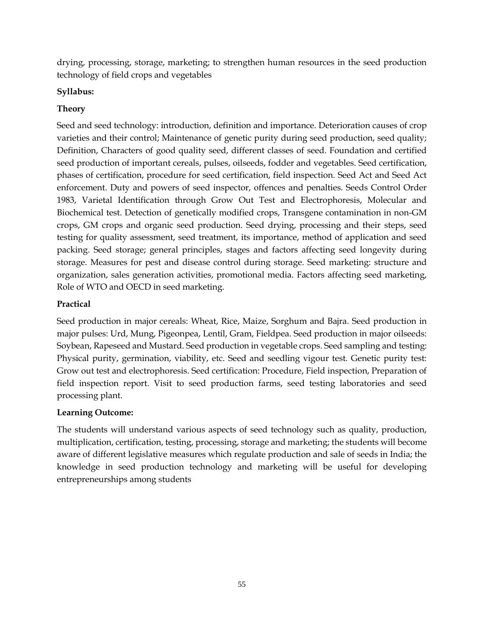drying, processing, storage, marketing; to strengthen human resources in the seed production technology of field crops and vegetables

## **Syllabus:**

## **Theory**

Seed and seed technology: introduction, definition and importance. Deterioration causes of crop varieties and their control; Maintenance of genetic purity during seed production, seed quality; Definition, Characters of good quality seed, different classes of seed. Foundation and certified seed production of important cereals, pulses, oilseeds, fodder and vegetables. Seed certification, phases of certification, procedure for seed certification, field inspection. Seed Act and Seed Act enforcement. Duty and powers of seed inspector, offences and penalties. Seeds Control Order 1983, Varietal Identification through Grow Out Test and Electrophoresis, Molecular and Biochemical test. Detection of genetically modified crops, Transgene contamination in non-GM crops, GM crops and organic seed production. Seed drying, processing and their steps, seed testing for quality assessment, seed treatment, its importance, method of application and seed packing. Seed storage; general principles, stages and factors affecting seed longevity during storage. Measures for pest and disease control during storage. Seed marketing: structure and organization, sales generation activities, promotional media. Factors affecting seed marketing, Role of WTO and OECD in seed marketing.

## **Practical**

Seed production in major cereals: Wheat, Rice, Maize, Sorghum and Bajra. Seed production in major pulses: Urd, Mung, Pigeonpea, Lentil, Gram, Fieldpea. Seed production in major oilseeds: Soybean, Rapeseed and Mustard. Seed production in vegetable crops. Seed sampling and testing: Physical purity, germination, viability, etc. Seed and seedling vigour test. Genetic purity test: Grow out test and electrophoresis. Seed certification: Procedure, Field inspection, Preparation of field inspection report. Visit to seed production farms, seed testing laboratories and seed processing plant.

## **Learning Outcome:**

The students will understand various aspects of seed technology such as quality, production, multiplication, certification, testing, processing, storage and marketing; the students will become aware of different legislative measures which regulate production and sale of seeds in India; the knowledge in seed production technology and marketing will be useful for developing entrepreneurships among students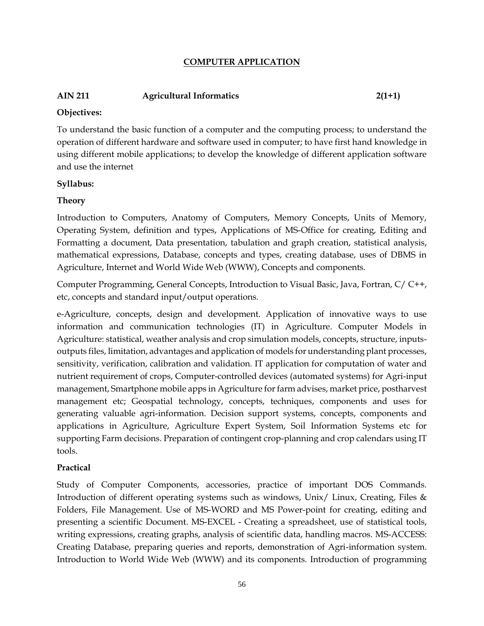#### **COMPUTER APPLICATION**

## **AIN 211 Agricultural Informatics 2(1+1)**

#### **Objectives:**

To understand the basic function of a computer and the computing process; to understand the operation of different hardware and software used in computer; to have first hand knowledge in using different mobile applications; to develop the knowledge of different application software and use the internet

#### **Syllabus:**

## **Theory**

Introduction to Computers, Anatomy of Computers, Memory Concepts, Units of Memory, Operating System, definition and types, Applications of MS-Office for creating, Editing and Formatting a document, Data presentation, tabulation and graph creation, statistical analysis, mathematical expressions, Database, concepts and types, creating database, uses of DBMS in Agriculture, Internet and World Wide Web (WWW), Concepts and components.

Computer Programming, General Concepts, Introduction to Visual Basic, Java, Fortran, C/ C++, etc, concepts and standard input/output operations.

e-Agriculture, concepts, design and development. Application of innovative ways to use information and communication technologies (IT) in Agriculture. Computer Models in Agriculture: statistical, weather analysis and crop simulation models, concepts, structure, inputsoutputs files, limitation, advantages and application of models for understanding plant processes, sensitivity, verification, calibration and validation. IT application for computation of water and nutrient requirement of crops, Computer-controlled devices (automated systems) for Agri-input management, Smartphone mobile apps in Agriculture for farm advises, market price, postharvest management etc; Geospatial technology, concepts, techniques, components and uses for generating valuable agri-information. Decision support systems, concepts, components and applications in Agriculture, Agriculture Expert System, Soil Information Systems etc for supporting Farm decisions. Preparation of contingent crop-planning and crop calendars using IT tools.

## **Practical**

Study of Computer Components, accessories, practice of important DOS Commands. Introduction of different operating systems such as windows, Unix/ Linux, Creating, Files & Folders, File Management. Use of MS-WORD and MS Power-point for creating, editing and presenting a scientific Document. MS-EXCEL - Creating a spreadsheet, use of statistical tools, writing expressions, creating graphs, analysis of scientific data, handling macros. MS-ACCESS: Creating Database, preparing queries and reports, demonstration of Agri-information system. Introduction to World Wide Web (WWW) and its components. Introduction of programming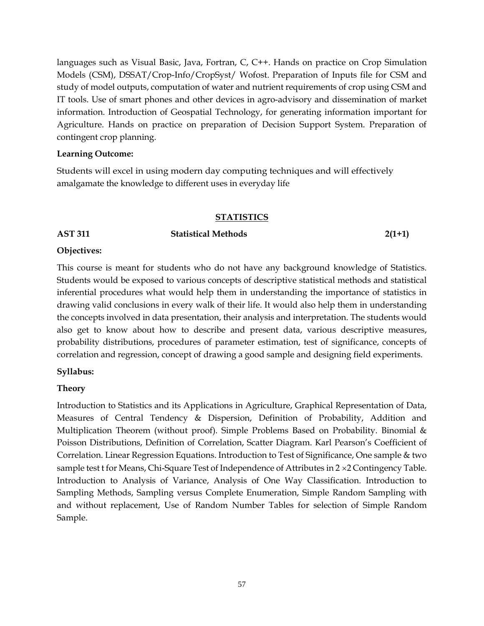languages such as Visual Basic, Java, Fortran, C, C++. Hands on practice on Crop Simulation Models (CSM), DSSAT/Crop-Info/CropSyst/ Wofost. Preparation of Inputs file for CSM and study of model outputs, computation of water and nutrient requirements of crop using CSM and IT tools. Use of smart phones and other devices in agro-advisory and dissemination of market information. Introduction of Geospatial Technology, for generating information important for Agriculture. Hands on practice on preparation of Decision Support System. Preparation of contingent crop planning.

#### **Learning Outcome:**

Students will excel in using modern day computing techniques and will effectively amalgamate the knowledge to different uses in everyday life

#### **STATISTICS**

#### **AST 311 Statistical Methods 2(1+1)**

#### **Objectives:**

This course is meant for students who do not have any background knowledge of Statistics. Students would be exposed to various concepts of descriptive statistical methods and statistical inferential procedures what would help them in understanding the importance of statistics in drawing valid conclusions in every walk of their life. It would also help them in understanding the concepts involved in data presentation, their analysis and interpretation. The students would also get to know about how to describe and present data, various descriptive measures, probability distributions, procedures of parameter estimation, test of significance, concepts of correlation and regression, concept of drawing a good sample and designing field experiments.

#### **Syllabus:**

## **Theory**

Introduction to Statistics and its Applications in Agriculture, Graphical Representation of Data, Measures of Central Tendency & Dispersion, Definition of Probability, Addition and Multiplication Theorem (without proof). Simple Problems Based on Probability. Binomial & Poisson Distributions, Definition of Correlation, Scatter Diagram. Karl Pearson's Coefficient of Correlation. Linear Regression Equations. Introduction to Test of Significance, One sample & two sample test t for Means, Chi-Square Test of Independence of Attributes in  $2 \times 2$  Contingency Table. Introduction to Analysis of Variance, Analysis of One Way Classification. Introduction to Sampling Methods, Sampling versus Complete Enumeration, Simple Random Sampling with and without replacement, Use of Random Number Tables for selection of Simple Random Sample.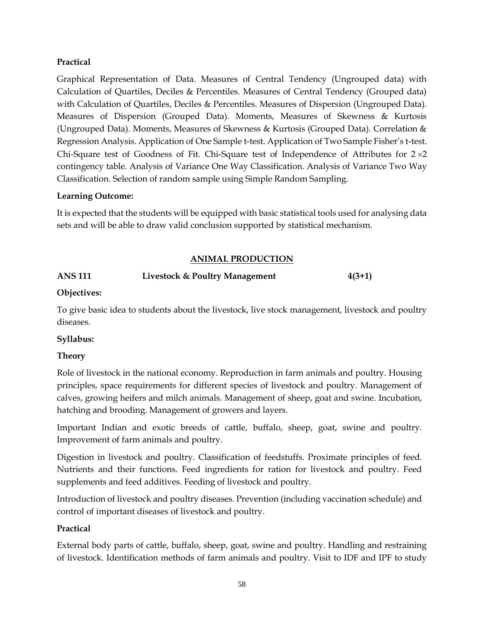#### **Practical**

Graphical Representation of Data. Measures of Central Tendency (Ungrouped data) with Calculation of Quartiles, Deciles & Percentiles. Measures of Central Tendency (Grouped data) with Calculation of Quartiles, Deciles & Percentiles. Measures of Dispersion (Ungrouped Data). Measures of Dispersion (Grouped Data). Moments, Measures of Skewness & Kurtosis (Ungrouped Data). Moments, Measures of Skewness & Kurtosis (Grouped Data). Correlation & Regression Analysis. Application of One Sample t-test. Application of Two Sample Fisher's t-test. Chi-Square test of Goodness of Fit. Chi-Square test of Independence of Attributes for  $2 \times 2$ contingency table. Analysis of Variance One Way Classification. Analysis of Variance Two Way Classification. Selection of random sample using Simple Random Sampling.

#### **Learning Outcome:**

It is expected that the students will be equipped with basic statistical tools used for analysing data sets and will be able to draw valid conclusion supported by statistical mechanism.

#### **ANIMAL PRODUCTION**

## **ANS 111 Livestock & Poultry Management 4(3+1)**

#### **Objectives:**

To give basic idea to students about the livestock, live stock management, livestock and poultry diseases.

#### **Syllabus:**

#### **Theory**

Role of livestock in the national economy. Reproduction in farm animals and poultry. Housing principles, space requirements for different species of livestock and poultry. Management of calves, growing heifers and milch animals. Management of sheep, goat and swine. Incubation, hatching and brooding. Management of growers and layers.

Important Indian and exotic breeds of cattle, buffalo, sheep, goat, swine and poultry. Improvement of farm animals and poultry.

Digestion in livestock and poultry. Classification of feedstuffs. Proximate principles of feed. Nutrients and their functions. Feed ingredients for ration for livestock and poultry. Feed supplements and feed additives. Feeding of livestock and poultry.

Introduction of livestock and poultry diseases. Prevention (including vaccination schedule) and control of important diseases of livestock and poultry.

## **Practical**

External body parts of cattle, buffalo, sheep, goat, swine and poultry. Handling and restraining of livestock. Identification methods of farm animals and poultry. Visit to IDF and IPF to study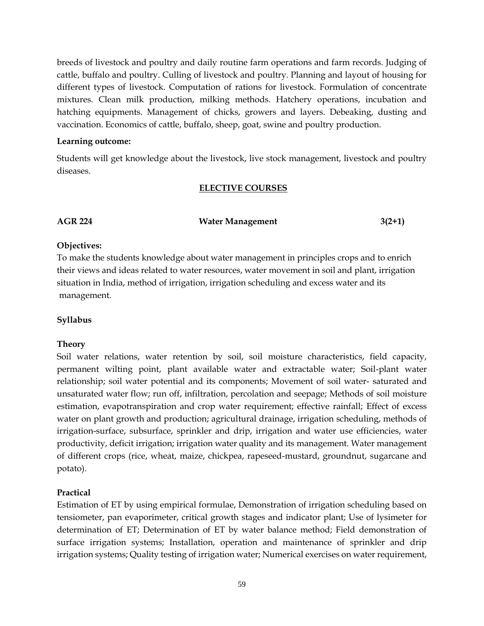breeds of livestock and poultry and daily routine farm operations and farm records. Judging of cattle, buffalo and poultry. Culling of livestock and poultry. Planning and layout of housing for different types of livestock. Computation of rations for livestock. Formulation of concentrate mixtures. Clean milk production, milking methods. Hatchery operations, incubation and hatching equipments. Management of chicks, growers and layers. Debeaking, dusting and vaccination. Economics of cattle, buffalo, sheep, goat, swine and poultry production.

#### **Learning outcome:**

Students will get knowledge about the livestock, live stock management, livestock and poultry diseases.

#### **ELECTIVE COURSES**

#### **AGR 224 Water Management 3(2+1)**

#### **Objectives:**

To make the students knowledge about water management in principles crops and to enrich their views and ideas related to water resources, water movement in soil and plant, irrigation situation in India, method of irrigation, irrigation scheduling and excess water and its management.

#### **Syllabus**

#### **Theory**

Soil water relations, water retention by soil, soil moisture characteristics, field capacity, permanent wilting point, plant available water and extractable water; Soil-plant water relationship; soil water potential and its components; Movement of soil water- saturated and unsaturated water flow; run off, infiltration, percolation and seepage; Methods of soil moisture estimation, evapotranspiration and crop water requirement; effective rainfall; Effect of excess water on plant growth and production; agricultural drainage, irrigation scheduling, methods of irrigation-surface, subsurface, sprinkler and drip, irrigation and water use efficiencies, water productivity, deficit irrigation; irrigation water quality and its management. Water management of different crops (rice, wheat, maize, chickpea, rapeseed-mustard, groundnut, sugarcane and potato).

#### **Practical**

Estimation of ET by using empirical formulae, Demonstration of irrigation scheduling based on tensiometer, pan evaporimeter, critical growth stages and indicator plant; Use of lysimeter for determination of ET; Determination of ET by water balance method; Field demonstration of surface irrigation systems; Installation, operation and maintenance of sprinkler and drip irrigation systems; Quality testing of irrigation water; Numerical exercises on water requirement,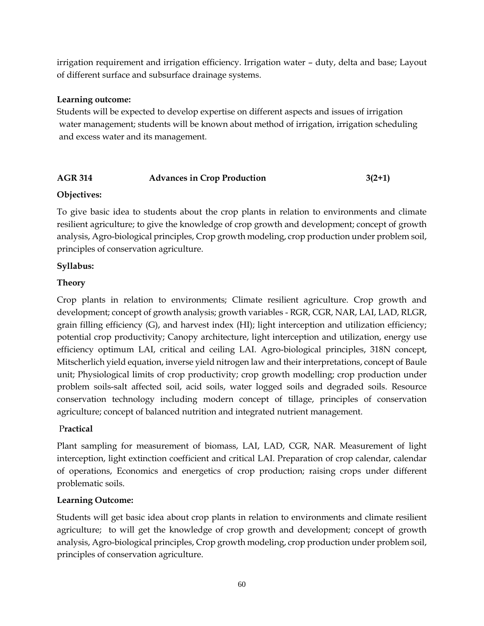irrigation requirement and irrigation efficiency. Irrigation water – duty, delta and base; Layout of different surface and subsurface drainage systems.

#### **Learning outcome:**

Students will be expected to develop expertise on different aspects and issues of irrigation water management; students will be known about method of irrigation, irrigation scheduling and excess water and its management.

## AGR 314 **Advances in Crop Production** 3(2+1)

## **Objectives:**

To give basic idea to students about the crop plants in relation to environments and climate resilient agriculture; to give the knowledge of crop growth and development; concept of growth analysis, Agro-biological principles, Crop growth modeling, crop production under problem soil, principles of conservation agriculture.

#### **Syllabus:**

## **Theory**

Crop plants in relation to environments; Climate resilient agriculture. Crop growth and development; concept of growth analysis; growth variables - RGR, CGR, NAR, LAI, LAD, RLGR, grain filling efficiency (G), and harvest index (HI); light interception and utilization efficiency; potential crop productivity; Canopy architecture, light interception and utilization, energy use efficiency optimum LAI, critical and ceiling LAI. Agro-biological principles, 318N concept, Mitscherlich yield equation, inverse yield nitrogen law and their interpretations, concept of Baule unit; Physiological limits of crop productivity; crop growth modelling; crop production under problem soils-salt affected soil, acid soils, water logged soils and degraded soils. Resource conservation technology including modern concept of tillage, principles of conservation agriculture; concept of balanced nutrition and integrated nutrient management.

## P**ractical**

Plant sampling for measurement of biomass, LAI, LAD, CGR, NAR. Measurement of light interception, light extinction coefficient and critical LAI. Preparation of crop calendar, calendar of operations, Economics and energetics of crop production; raising crops under different problematic soils.

## **Learning Outcome:**

Students will get basic idea about crop plants in relation to environments and climate resilient agriculture; to will get the knowledge of crop growth and development; concept of growth analysis, Agro-biological principles, Crop growth modeling, crop production under problem soil, principles of conservation agriculture.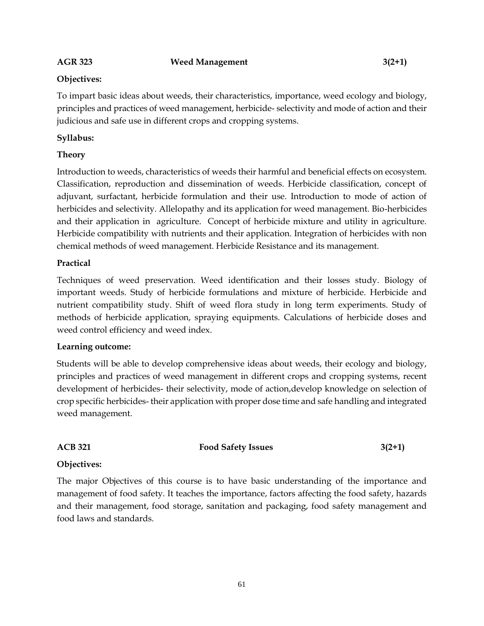#### **AGR 323 Weed Management 3(2+1)**

#### **Objectives:**

To impart basic ideas about weeds, their characteristics, importance, weed ecology and biology, principles and practices of weed management, herbicide- selectivity and mode of action and their judicious and safe use in different crops and cropping systems.

#### **Syllabus:**

#### **Theory**

Introduction to weeds, characteristics of weeds their harmful and beneficial effects on ecosystem. Classification, reproduction and dissemination of weeds. Herbicide classification, concept of adjuvant, surfactant, herbicide formulation and their use. Introduction to mode of action of herbicides and selectivity. Allelopathy and its application for weed management. Bio-herbicides and their application in agriculture. Concept of herbicide mixture and utility in agriculture. Herbicide compatibility with nutrients and their application. Integration of herbicides with non chemical methods of weed management. Herbicide Resistance and its management.

#### **Practical**

Techniques of weed preservation. Weed identification and their losses study. Biology of important weeds. Study of herbicide formulations and mixture of herbicide. Herbicide and nutrient compatibility study. Shift of weed flora study in long term experiments. Study of methods of herbicide application, spraying equipments. Calculations of herbicide doses and weed control efficiency and weed index.

#### **Learning outcome:**

Students will be able to develop comprehensive ideas about weeds, their ecology and biology, principles and practices of weed management in different crops and cropping systems, recent development of herbicides- their selectivity, mode of action,develop knowledge on selection of crop specific herbicides- their application with proper dose time and safe handling and integrated weed management.

#### ACB 321 **Food Safety Issues** 3(2+1)

#### **Objectives:**

The major Objectives of this course is to have basic understanding of the importance and management of food safety. It teaches the importance, factors affecting the food safety, hazards and their management, food storage, sanitation and packaging, food safety management and food laws and standards.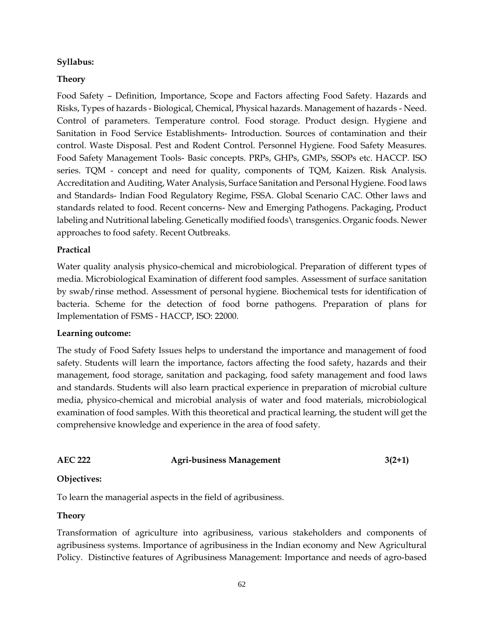#### **Syllabus:**

#### **Theory**

Food Safety – Definition, Importance, Scope and Factors affecting Food Safety. Hazards and Risks, Types of hazards - Biological, Chemical, Physical hazards. Management of hazards - Need. Control of parameters. Temperature control. Food storage. Product design. Hygiene and Sanitation in Food Service Establishments- Introduction. Sources of contamination and their control. Waste Disposal. Pest and Rodent Control. Personnel Hygiene. Food Safety Measures. Food Safety Management Tools- Basic concepts. PRPs, GHPs, GMPs, SSOPs etc. HACCP. ISO series. TQM - concept and need for quality, components of TQM, Kaizen. Risk Analysis. Accreditation and Auditing, Water Analysis, Surface Sanitation and Personal Hygiene. Food laws and Standards- Indian Food Regulatory Regime, FSSA. Global Scenario CAC. Other laws and standards related to food. Recent concerns- New and Emerging Pathogens. Packaging, Product labeling and Nutritional labeling. Genetically modified foods\ transgenics. Organic foods. Newer approaches to food safety. Recent Outbreaks.

#### **Practical**

Water quality analysis physico-chemical and microbiological. Preparation of different types of media. Microbiological Examination of different food samples. Assessment of surface sanitation by swab/rinse method. Assessment of personal hygiene. Biochemical tests for identification of bacteria. Scheme for the detection of food borne pathogens. Preparation of plans for Implementation of FSMS - HACCP, ISO: 22000.

#### **Learning outcome:**

The study of Food Safety Issues helps to understand the importance and management of food safety. Students will learn the importance, factors affecting the food safety, hazards and their management, food storage, sanitation and packaging, food safety management and food laws and standards. Students will also learn practical experience in preparation of microbial culture media, physico-chemical and microbial analysis of water and food materials, microbiological examination of food samples. With this theoretical and practical learning, the student will get the comprehensive knowledge and experience in the area of food safety.

## **AEC 222 Agri-business Management 3(2+1)**

#### **Objectives:**

To learn the managerial aspects in the field of agribusiness.

#### **Theory**

Transformation of agriculture into agribusiness, various stakeholders and components of agribusiness systems. Importance of agribusiness in the Indian economy and New Agricultural Policy. Distinctive features of Agribusiness Management: Importance and needs of agro-based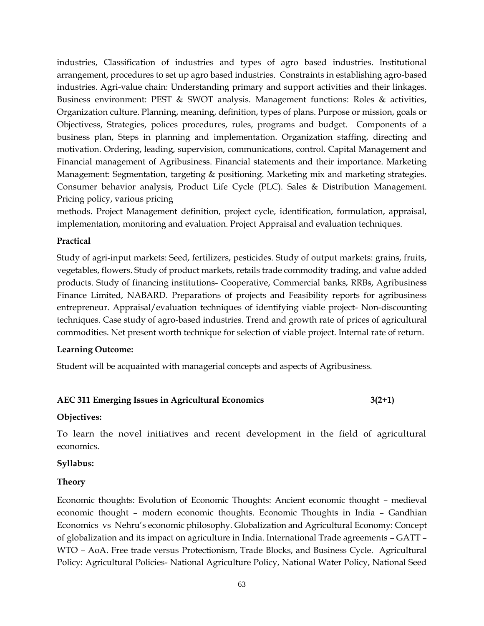industries, Classification of industries and types of agro based industries. Institutional arrangement, procedures to set up agro based industries. Constraints in establishing agro-based industries. Agri-value chain: Understanding primary and support activities and their linkages. Business environment: PEST & SWOT analysis. Management functions: Roles & activities, Organization culture. Planning, meaning, definition, types of plans. Purpose or mission, goals or Objectivess, Strategies, polices procedures, rules, programs and budget. Components of a business plan, Steps in planning and implementation. Organization staffing, directing and motivation. Ordering, leading, supervision, communications, control. Capital Management and Financial management of Agribusiness. Financial statements and their importance. Marketing Management: Segmentation, targeting & positioning. Marketing mix and marketing strategies. Consumer behavior analysis, Product Life Cycle (PLC). Sales & Distribution Management. Pricing policy, various pricing

methods. Project Management definition, project cycle, identification, formulation, appraisal, implementation, monitoring and evaluation. Project Appraisal and evaluation techniques.

#### **Practical**

Study of agri-input markets: Seed, fertilizers, pesticides. Study of output markets: grains, fruits, vegetables, flowers. Study of product markets, retails trade commodity trading, and value added products. Study of financing institutions- Cooperative, Commercial banks, RRBs, Agribusiness Finance Limited, NABARD. Preparations of projects and Feasibility reports for agribusiness entrepreneur. Appraisal/evaluation techniques of identifying viable project- Non-discounting techniques. Case study of agro-based industries. Trend and growth rate of prices of agricultural commodities. Net present worth technique for selection of viable project. Internal rate of return.

#### **Learning Outcome:**

Student will be acquainted with managerial concepts and aspects of Agribusiness.

## **AEC 311 Emerging Issues in Agricultural Economics 3(2+1)**

#### **Objectives:**

To learn the novel initiatives and recent development in the field of agricultural economics.

#### **Syllabus:**

#### **Theory**

Economic thoughts: Evolution of Economic Thoughts: Ancient economic thought – medieval economic thought – modern economic thoughts. Economic Thoughts in India – Gandhian Economics vs Nehru's economic philosophy. Globalization and Agricultural Economy: Concept of globalization and its impact on agriculture in India. International Trade agreements – GATT – WTO – AoA. Free trade versus Protectionism, Trade Blocks, and Business Cycle. Agricultural Policy: Agricultural Policies- National Agriculture Policy, National Water Policy, National Seed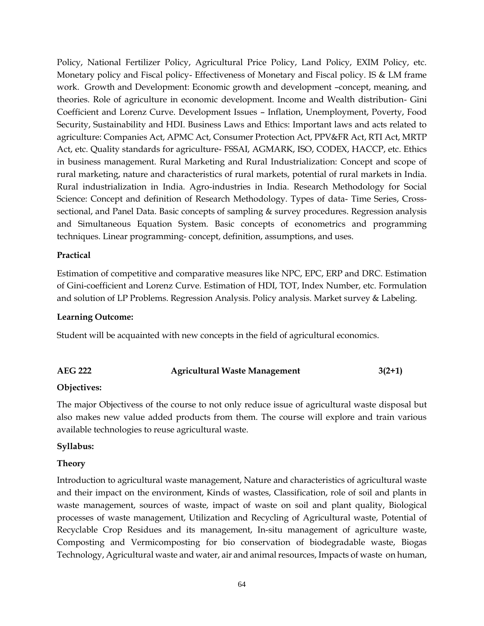Policy, National Fertilizer Policy, Agricultural Price Policy, Land Policy, EXIM Policy, etc. Monetary policy and Fiscal policy- Effectiveness of Monetary and Fiscal policy. IS & LM frame work. Growth and Development: Economic growth and development –concept, meaning, and theories. Role of agriculture in economic development. Income and Wealth distribution- Gini Coefficient and Lorenz Curve. Development Issues – Inflation, Unemployment, Poverty, Food Security, Sustainability and HDI. Business Laws and Ethics: Important laws and acts related to agriculture: Companies Act, APMC Act, Consumer Protection Act, PPV&FR Act, RTI Act, MRTP Act, etc. Quality standards for agriculture- FSSAI, AGMARK, ISO, CODEX, HACCP, etc. Ethics in business management. Rural Marketing and Rural Industrialization: Concept and scope of rural marketing, nature and characteristics of rural markets, potential of rural markets in India. Rural industrialization in India. Agro-industries in India. Research Methodology for Social Science: Concept and definition of Research Methodology. Types of data- Time Series, Crosssectional, and Panel Data. Basic concepts of sampling & survey procedures. Regression analysis and Simultaneous Equation System. Basic concepts of econometrics and programming techniques. Linear programming- concept, definition, assumptions, and uses.

#### **Practical**

Estimation of competitive and comparative measures like NPC, EPC, ERP and DRC. Estimation of Gini-coefficient and Lorenz Curve. Estimation of HDI, TOT, Index Number, etc. Formulation and solution of LP Problems. Regression Analysis. Policy analysis. Market survey & Labeling.

#### **Learning Outcome:**

Student will be acquainted with new concepts in the field of agricultural economics.

#### **AEG 222 Agricultural Waste Management 3(2+1)**

#### **Objectives:**

The major Objectivess of the course to not only reduce issue of agricultural waste disposal but also makes new value added products from them. The course will explore and train various available technologies to reuse agricultural waste.

#### **Syllabus:**

#### **Theory**

Introduction to agricultural waste management, Nature and characteristics of agricultural waste and their impact on the environment, Kinds of wastes, Classification, role of soil and plants in waste management, sources of waste, impact of waste on soil and plant quality, Biological processes of waste management, Utilization and Recycling of Agricultural waste, Potential of Recyclable Crop Residues and its management, In-situ management of agriculture waste, Composting and Vermicomposting for bio conservation of biodegradable waste, Biogas Technology, Agricultural waste and water, air and animal resources, Impacts of waste on human,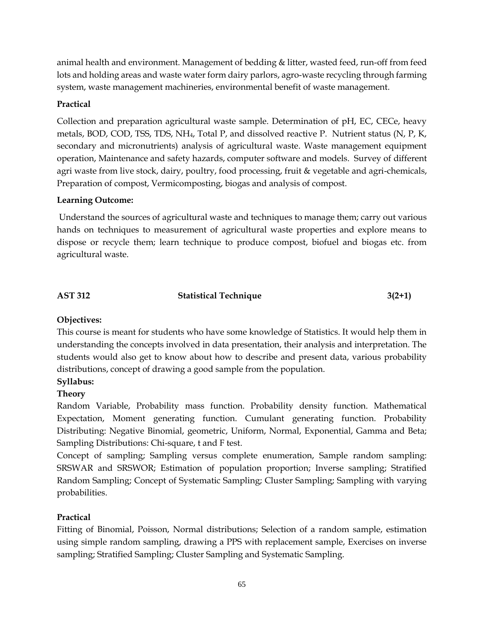animal health and environment. Management of bedding & litter, wasted feed, run-off from feed lots and holding areas and waste water form dairy parlors, agro-waste recycling through farming system, waste management machineries, environmental benefit of waste management.

## **Practical**

Collection and preparation agricultural waste sample. Determination of pH, EC, CECe, heavy metals, BOD, COD, TSS, TDS, NH4, Total P, and dissolved reactive P. Nutrient status (N, P, K, secondary and micronutrients) analysis of agricultural waste. Waste management equipment operation, Maintenance and safety hazards, computer software and models. Survey of different agri waste from live stock, dairy, poultry, food processing, fruit & vegetable and agri-chemicals, Preparation of compost, Vermicomposting, biogas and analysis of compost.

## **Learning Outcome:**

Understand the sources of agricultural waste and techniques to manage them; carry out various hands on techniques to measurement of agricultural waste properties and explore means to dispose or recycle them; learn technique to produce compost, biofuel and biogas etc. from agricultural waste.

## AST 312 Statistical Technique 3(2+1)

## **Objectives:**

This course is meant for students who have some knowledge of Statistics. It would help them in understanding the concepts involved in data presentation, their analysis and interpretation. The students would also get to know about how to describe and present data, various probability distributions, concept of drawing a good sample from the population.

## **Syllabus:**

## **Theory**

Random Variable, Probability mass function. Probability density function. Mathematical Expectation, Moment generating function. Cumulant generating function. Probability Distributing: Negative Binomial, geometric, Uniform, Normal, Exponential, Gamma and Beta; Sampling Distributions: Chi-square, t and F test.

Concept of sampling; Sampling versus complete enumeration, Sample random sampling: SRSWAR and SRSWOR; Estimation of population proportion; Inverse sampling; Stratified Random Sampling; Concept of Systematic Sampling; Cluster Sampling; Sampling with varying probabilities.

## **Practical**

Fitting of Binomial, Poisson, Normal distributions; Selection of a random sample, estimation using simple random sampling, drawing a PPS with replacement sample, Exercises on inverse sampling; Stratified Sampling; Cluster Sampling and Systematic Sampling.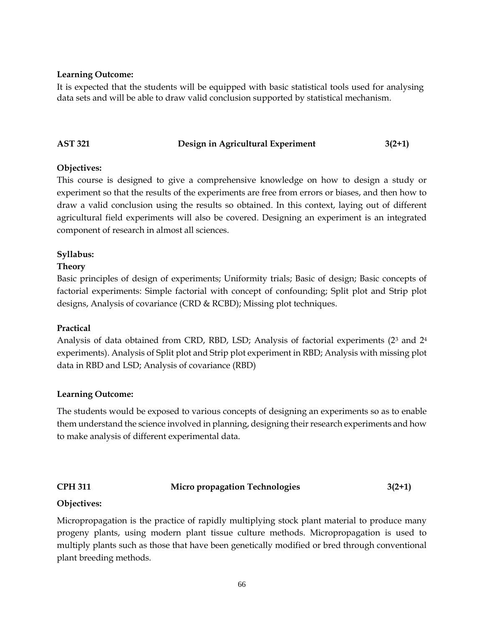#### **Learning Outcome:**

It is expected that the students will be equipped with basic statistical tools used for analysing data sets and will be able to draw valid conclusion supported by statistical mechanism.

#### **AST 321 Design in Agricultural Experiment 3(2+1)**

#### **Objectives:**

This course is designed to give a comprehensive knowledge on how to design a study or experiment so that the results of the experiments are free from errors or biases, and then how to draw a valid conclusion using the results so obtained. In this context, laying out of different agricultural field experiments will also be covered. Designing an experiment is an integrated component of research in almost all sciences.

#### **Syllabus:**

#### **Theory**

Basic principles of design of experiments; Uniformity trials; Basic of design; Basic concepts of factorial experiments: Simple factorial with concept of confounding; Split plot and Strip plot designs, Analysis of covariance (CRD & RCBD); Missing plot techniques.

#### **Practical**

Analysis of data obtained from CRD, RBD, LSD; Analysis of factorial experiments (2<sup>3</sup> and 2<sup>4</sup> experiments). Analysis of Split plot and Strip plot experiment in RBD; Analysis with missing plot data in RBD and LSD; Analysis of covariance (RBD)

#### **Learning Outcome:**

The students would be exposed to various concepts of designing an experiments so as to enable them understand the science involved in planning, designing their research experiments and how to make analysis of different experimental data.

## **CPH 311 Micro propagation Technologies 3(2+1)**

#### **Objectives:**

Micropropagation is the practice of rapidly multiplying stock plant material to produce many progeny plants, using modern plant tissue culture methods. Micropropagation is used to multiply plants such as those that have been genetically modified or bred through conventional plant breeding methods.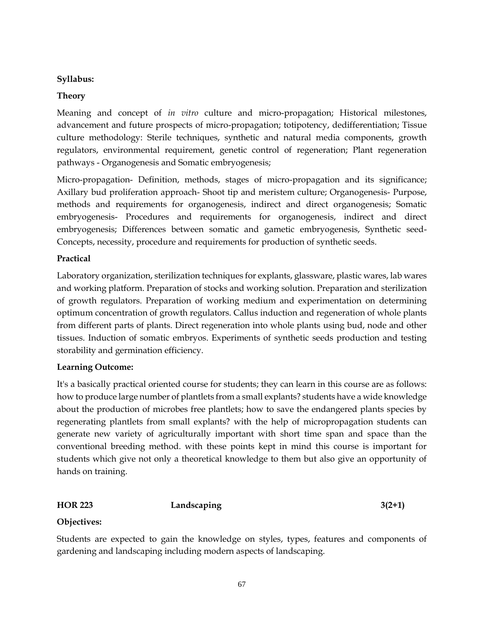#### **Syllabus:**

#### **Theory**

Meaning and concept of *in vitro* culture and micro-propagation; Historical milestones, advancement and future prospects of micro-propagation; totipotency, dedifferentiation; Tissue culture methodology: Sterile techniques, synthetic and natural media components, growth regulators, environmental requirement, genetic control of regeneration; Plant regeneration pathways - Organogenesis and Somatic embryogenesis;

Micro-propagation- Definition, methods, stages of micro-propagation and its significance; Axillary bud proliferation approach- Shoot tip and meristem culture; Organogenesis- Purpose, methods and requirements for organogenesis, indirect and direct organogenesis; Somatic embryogenesis- Procedures and requirements for organogenesis, indirect and direct embryogenesis; Differences between somatic and gametic embryogenesis, Synthetic seed-Concepts, necessity, procedure and requirements for production of synthetic seeds.

#### **Practical**

Laboratory organization, sterilization techniques for explants, glassware, plastic wares, lab wares and working platform. Preparation of stocks and working solution. Preparation and sterilization of growth regulators. Preparation of working medium and experimentation on determining optimum concentration of growth regulators. Callus induction and regeneration of whole plants from different parts of plants. Direct regeneration into whole plants using bud, node and other tissues. Induction of somatic embryos. Experiments of synthetic seeds production and testing storability and germination efficiency.

#### **Learning Outcome:**

It's a basically practical oriented course for students; they can learn in this course are as follows: how to produce large number of plantlets from a small explants? students have a wide knowledge about the production of microbes free plantlets; how to save the endangered plants species by regenerating plantlets from small explants? with the help of micropropagation students can generate new variety of agriculturally important with short time span and space than the conventional breeding method. with these points kept in mind this course is important for students which give not only a theoretical knowledge to them but also give an opportunity of hands on training.

#### **HOR 223 Landscaping 3(2+1)**

#### **Objectives:**

Students are expected to gain the knowledge on styles, types, features and components of gardening and landscaping including modern aspects of landscaping.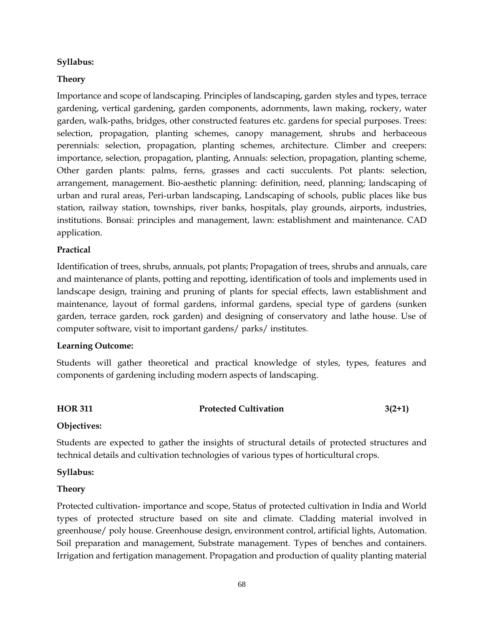#### **Syllabus:**

#### **Theory**

Importance and scope of landscaping. Principles of landscaping, garden styles and types, terrace gardening, vertical gardening, garden components, adornments, lawn making, rockery, water garden, walk-paths, bridges, other constructed features etc. gardens for special purposes. Trees: selection, propagation, planting schemes, canopy management, shrubs and herbaceous perennials: selection, propagation, planting schemes, architecture. Climber and creepers: importance, selection, propagation, planting, Annuals: selection, propagation, planting scheme, Other garden plants: palms, ferns, grasses and cacti succulents. Pot plants: selection, arrangement, management. Bio-aesthetic planning: definition, need, planning; landscaping of urban and rural areas, Peri-urban landscaping, Landscaping of schools, public places like bus station, railway station, townships, river banks, hospitals, play grounds, airports, industries, institutions. Bonsai: principles and management, lawn: establishment and maintenance. CAD application.

#### **Practical**

Identification of trees, shrubs, annuals, pot plants; Propagation of trees, shrubs and annuals, care and maintenance of plants, potting and repotting, identification of tools and implements used in landscape design, training and pruning of plants for special effects, lawn establishment and maintenance, layout of formal gardens, informal gardens, special type of gardens (sunken garden, terrace garden, rock garden) and designing of conservatory and lathe house. Use of computer software, visit to important gardens/ parks/ institutes.

#### **Learning Outcome:**

Students will gather theoretical and practical knowledge of styles, types, features and components of gardening including modern aspects of landscaping.

## **HOR 311 Protected Cultivation 3(2+1)**

#### **Objectives:**

Students are expected to gather the insights of structural details of protected structures and technical details and cultivation technologies of various types of horticultural crops.

#### **Syllabus:**

#### **Theory**

Protected cultivation- importance and scope, Status of protected cultivation in India and World types of protected structure based on site and climate. Cladding material involved in greenhouse/ poly house. Greenhouse design, environment control, artificial lights, Automation. Soil preparation and management, Substrate management. Types of benches and containers. Irrigation and fertigation management. Propagation and production of quality planting material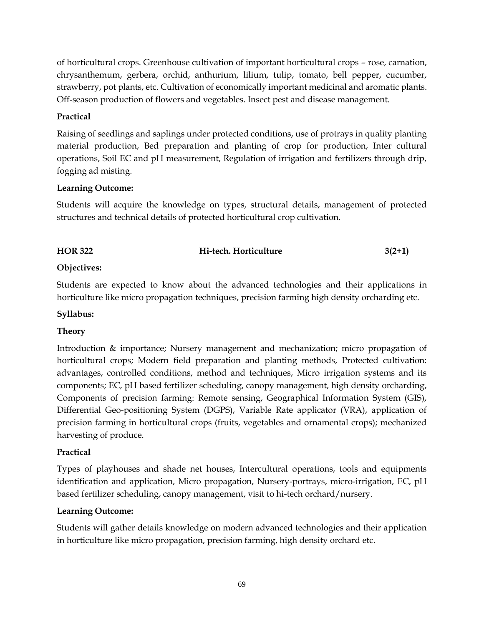of horticultural crops. Greenhouse cultivation of important horticultural crops – rose, carnation, chrysanthemum, gerbera, orchid, anthurium, lilium, tulip, tomato, bell pepper, cucumber, strawberry, pot plants, etc. Cultivation of economically important medicinal and aromatic plants. Off-season production of flowers and vegetables. Insect pest and disease management.

## **Practical**

Raising of seedlings and saplings under protected conditions, use of protrays in quality planting material production, Bed preparation and planting of crop for production, Inter cultural operations, Soil EC and pH measurement, Regulation of irrigation and fertilizers through drip, fogging ad misting.

## **Learning Outcome:**

Students will acquire the knowledge on types, structural details, management of protected structures and technical details of protected horticultural crop cultivation.

| <b>HOR 322</b> | Hi-tech. Horticulture | $3(2+1)$ |
|----------------|-----------------------|----------|
|                |                       |          |

## **Objectives:**

Students are expected to know about the advanced technologies and their applications in horticulture like micro propagation techniques, precision farming high density orcharding etc.

#### **Syllabus:**

## **Theory**

Introduction & importance; Nursery management and mechanization; micro propagation of horticultural crops; Modern field preparation and planting methods, Protected cultivation: advantages, controlled conditions, method and techniques, Micro irrigation systems and its components; EC, pH based fertilizer scheduling, canopy management, high density orcharding, Components of precision farming: Remote sensing, Geographical Information System (GIS), Differential Geo-positioning System (DGPS), Variable Rate applicator (VRA), application of precision farming in horticultural crops (fruits, vegetables and ornamental crops); mechanized harvesting of produce.

## **Practical**

Types of playhouses and shade net houses, Intercultural operations, tools and equipments identification and application, Micro propagation, Nursery-portrays, micro-irrigation, EC, pH based fertilizer scheduling, canopy management, visit to hi-tech orchard/nursery.

## **Learning Outcome:**

Students will gather details knowledge on modern advanced technologies and their application in horticulture like micro propagation, precision farming, high density orchard etc.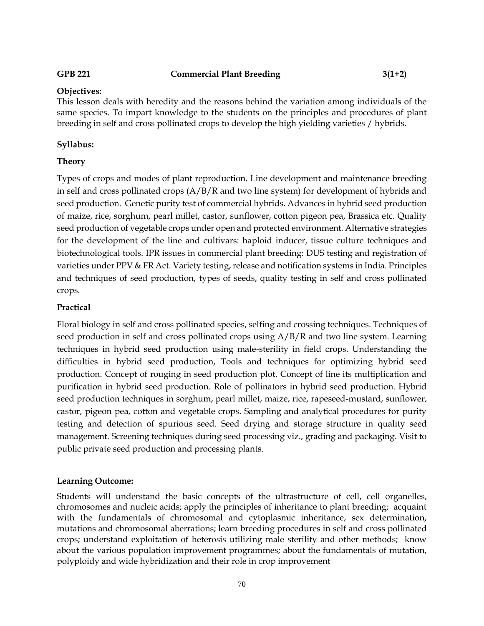#### **GPB 221 Commercial Plant Breeding 3(1+2)**

#### **Objectives:**

This lesson deals with heredity and the reasons behind the variation among individuals of the same species. To impart knowledge to the students on the principles and procedures of plant breeding in self and cross pollinated crops to develop the high yielding varieties / hybrids.

#### **Syllabus:**

#### **Theory**

Types of crops and modes of plant reproduction. Line development and maintenance breeding in self and cross pollinated crops (A/B/R and two line system) for development of hybrids and seed production. Genetic purity test of commercial hybrids. Advances in hybrid seed production of maize, rice, sorghum, pearl millet, castor, sunflower, cotton pigeon pea, Brassica etc. Quality seed production of vegetable crops under open and protected environment. Alternative strategies for the development of the line and cultivars: haploid inducer, tissue culture techniques and biotechnological tools. IPR issues in commercial plant breeding: DUS testing and registration of varieties under PPV & FR Act. Variety testing, release and notification systems in India. Principles and techniques of seed production, types of seeds, quality testing in self and cross pollinated crops.

#### **Practical**

Floral biology in self and cross pollinated species, selfing and crossing techniques. Techniques of seed production in self and cross pollinated crops using A/B/R and two line system. Learning techniques in hybrid seed production using male-sterility in field crops. Understanding the difficulties in hybrid seed production, Tools and techniques for optimizing hybrid seed production. Concept of rouging in seed production plot. Concept of line its multiplication and purification in hybrid seed production. Role of pollinators in hybrid seed production. Hybrid seed production techniques in sorghum, pearl millet, maize, rice, rapeseed-mustard, sunflower, castor, pigeon pea, cotton and vegetable crops. Sampling and analytical procedures for purity testing and detection of spurious seed. Seed drying and storage structure in quality seed management. Screening techniques during seed processing viz., grading and packaging. Visit to public private seed production and processing plants.

#### **Learning Outcome:**

Students will understand the basic concepts of the ultrastructure of cell, cell organelles, chromosomes and nucleic acids; apply the principles of inheritance to plant breeding; acquaint with the fundamentals of chromosomal and cytoplasmic inheritance, sex determination, mutations and chromosomal aberrations; learn breeding procedures in self and cross pollinated crops; understand exploitation of heterosis utilizing male sterility and other methods; know about the various population improvement programmes; about the fundamentals of mutation, polyploidy and wide hybridization and their role in crop improvement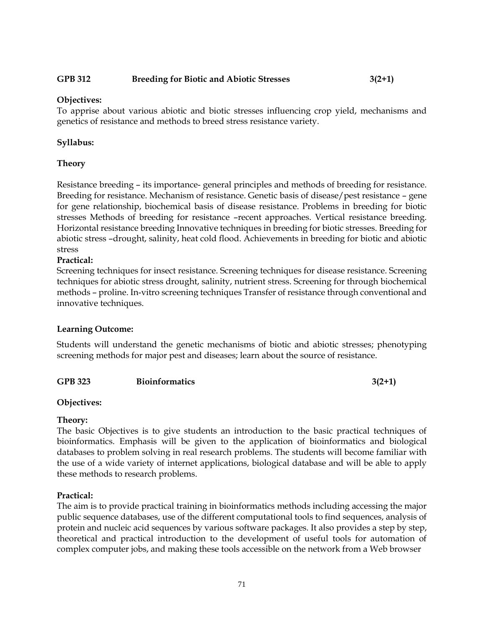#### **GPB 312 Breeding for Biotic and Abiotic Stresses 3(2+1)**

#### **Objectives:**

To apprise about various abiotic and biotic stresses influencing crop yield, mechanisms and genetics of resistance and methods to breed stress resistance variety.

#### **Syllabus:**

#### **Theory**

Resistance breeding – its importance- general principles and methods of breeding for resistance. Breeding for resistance. Mechanism of resistance. Genetic basis of disease/pest resistance – gene for gene relationship, biochemical basis of disease resistance. Problems in breeding for biotic stresses Methods of breeding for resistance –recent approaches. Vertical resistance breeding. Horizontal resistance breeding Innovative techniques in breeding for biotic stresses. Breeding for abiotic stress –drought, salinity, heat cold flood. Achievements in breeding for biotic and abiotic stress

#### **Practical:**

Screening techniques for insect resistance. Screening techniques for disease resistance. Screening techniques for abiotic stress drought, salinity, nutrient stress. Screening for through biochemical methods – proline. In-vitro screening techniques Transfer of resistance through conventional and innovative techniques.

#### **Learning Outcome:**

Students will understand the genetic mechanisms of biotic and abiotic stresses; phenotyping screening methods for major pest and diseases; learn about the source of resistance.

#### GPB 323 Bioinformatics 3(2+1)

#### **Objectives:**

#### **Theory:**

The basic Objectives is to give students an introduction to the basic practical techniques of bioinformatics. Emphasis will be given to the application of bioinformatics and biological databases to problem solving in real research problems. The students will become familiar with the use of a wide variety of internet applications, biological database and will be able to apply these methods to research problems.

#### **Practical:**

The aim is to provide practical training in bioinformatics methods including accessing the major public sequence databases, use of the different computational tools to find sequences, analysis of protein and nucleic acid sequences by various software packages. It also provides a step by step, theoretical and practical introduction to the development of useful tools for automation of complex computer jobs, and making these tools accessible on the network from a Web browser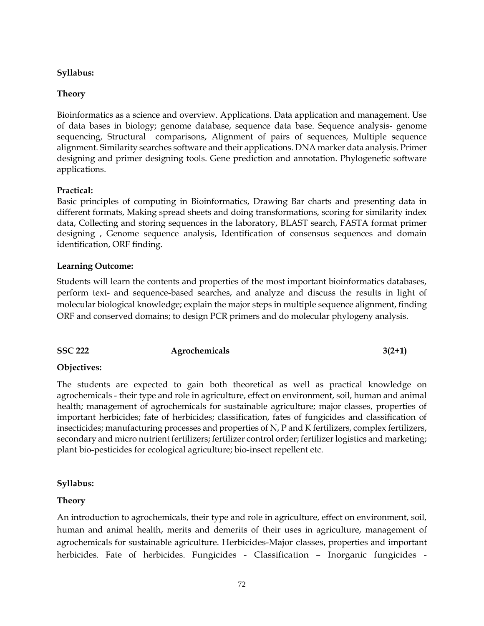#### **Syllabus:**

#### **Theory**

Bioinformatics as a science and overview. Applications. Data application and management. Use of data bases in biology; genome database, sequence data base. Sequence analysis- genome sequencing, Structural comparisons, Alignment of pairs of sequences, Multiple sequence alignment. Similarity searches software and their applications. DNA marker data analysis. Primer designing and primer designing tools. Gene prediction and annotation. Phylogenetic software applications.

#### **Practical:**

Basic principles of computing in Bioinformatics, Drawing Bar charts and presenting data in different formats, Making spread sheets and doing transformations, scoring for similarity index data, Collecting and storing sequences in the laboratory, BLAST search, FASTA format primer designing , Genome sequence analysis, Identification of consensus sequences and domain identification, ORF finding.

#### **Learning Outcome:**

Students will learn the contents and properties of the most important bioinformatics databases, perform text- and sequence-based searches, and analyze and discuss the results in light of molecular biological knowledge; explain the major steps in multiple sequence alignment, finding ORF and conserved domains; to design PCR primers and do molecular phylogeny analysis.

| Agrochemicals | $3(2+1)$ |
|---------------|----------|
|               |          |

#### **Objectives:**

The students are expected to gain both theoretical as well as practical knowledge on agrochemicals - their type and role in agriculture, effect on environment, soil, human and animal health; management of agrochemicals for sustainable agriculture; major classes, properties of important herbicides; fate of herbicides; classification, fates of fungicides and classification of insecticides; manufacturing processes and properties of N, P and K fertilizers, complex fertilizers, secondary and micro nutrient fertilizers; fertilizer control order; fertilizer logistics and marketing; plant bio-pesticides for ecological agriculture; bio-insect repellent etc.

#### **Syllabus:**

#### **Theory**

An introduction to agrochemicals, their type and role in agriculture, effect on environment, soil, human and animal health, merits and demerits of their uses in agriculture, management of agrochemicals for sustainable agriculture. Herbicides-Major classes, properties and important herbicides. Fate of herbicides. Fungicides - Classification – Inorganic fungicides -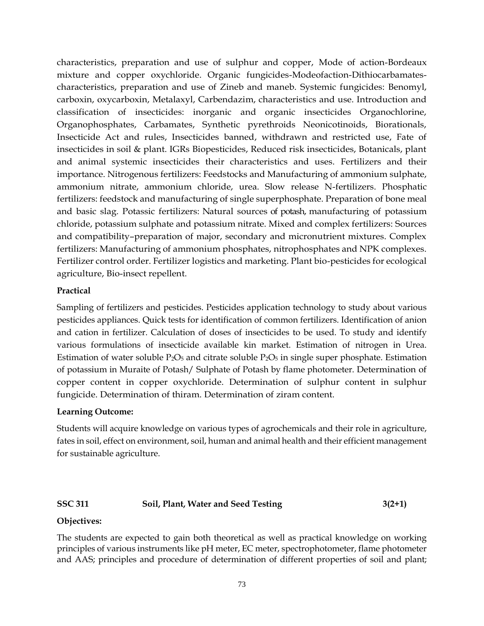characteristics, preparation and use of sulphur and copper, Mode of action-Bordeaux mixture and copper oxychloride. Organic fungicides-Modeofaction-Dithiocarbamatescharacteristics, preparation and use of Zineb and maneb. Systemic fungicides: Benomyl, carboxin, oxycarboxin, Metalaxyl, Carbendazim, characteristics and use. Introduction and classification of insecticides: inorganic and organic insecticides Organochlorine, Organophosphates, Carbamates, Synthetic pyrethroids Neonicotinoids, Biorationals, Insecticide Act and rules, Insecticides banned, withdrawn and restricted use, Fate of insecticides in soil & plant. IGRs Biopesticides, Reduced risk insecticides, Botanicals, plant and animal systemic insecticides their characteristics and uses. Fertilizers and their importance. Nitrogenous fertilizers: Feedstocks and Manufacturing of ammonium sulphate, ammonium nitrate, ammonium chloride, urea. Slow release N-fertilizers. Phosphatic fertilizers: feedstock and manufacturing of single superphosphate. Preparation of bone meal and basic slag. Potassic fertilizers: Natural sources of potash, manufacturing of potassium chloride, potassium sulphate and potassium nitrate. Mixed and complex fertilizers: Sources and compatibility–preparation of major, secondary and micronutrient mixtures. Complex fertilizers: Manufacturing of ammonium phosphates, nitrophosphates and NPK complexes. Fertilizer control order. Fertilizer logistics and marketing. Plant bio-pesticides for ecological agriculture, Bio-insect repellent.

#### **Practical**

Sampling of fertilizers and pesticides. Pesticides application technology to study about various pesticides appliances. Quick tests for identification of common fertilizers. Identification of anion and cation in fertilizer. Calculation of doses of insecticides to be used. To study and identify various formulations of insecticide available kin market. Estimation of nitrogen in Urea. Estimation of water soluble  $P_2O_5$  and citrate soluble  $P_2O_5$  in single super phosphate. Estimation of potassium in Muraite of Potash/ Sulphate of Potash by flame photometer. Determination of copper content in copper oxychloride. Determination of sulphur content in sulphur fungicide. Determination of thiram. Determination of ziram content.

### **Learning Outcome:**

Students will acquire knowledge on various types of agrochemicals and their role in agriculture, fates in soil, effect on environment, soil, human and animal health and their efficient management for sustainable agriculture.

### **SSC 311 Soil, Plant, Water and Seed Testing 3(2+1)**

### **Objectives:**

The students are expected to gain both theoretical as well as practical knowledge on working principles of various instruments like pH meter, EC meter, spectrophotometer, flame photometer and AAS; principles and procedure of determination of different properties of soil and plant;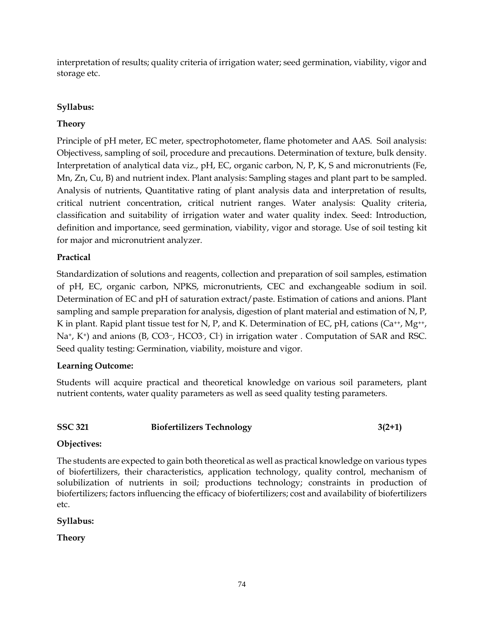interpretation of results; quality criteria of irrigation water; seed germination, viability, vigor and storage etc.

# **Syllabus:**

# **Theory**

Principle of pH meter, EC meter, spectrophotometer, flame photometer and AAS. Soil analysis: Objectivess, sampling of soil, procedure and precautions. Determination of texture, bulk density. Interpretation of analytical data viz., pH, EC, organic carbon, N, P, K, S and micronutrients (Fe, Mn, Zn, Cu, B) and nutrient index. Plant analysis: Sampling stages and plant part to be sampled. Analysis of nutrients, Quantitative rating of plant analysis data and interpretation of results, critical nutrient concentration, critical nutrient ranges. Water analysis: Quality criteria, classification and suitability of irrigation water and water quality index. Seed: Introduction, definition and importance, seed germination, viability, vigor and storage. Use of soil testing kit for major and micronutrient analyzer.

# **Practical**

Standardization of solutions and reagents, collection and preparation of soil samples, estimation of pH, EC, organic carbon, NPKS, micronutrients, CEC and exchangeable sodium in soil. Determination of EC and pH of saturation extract/paste. Estimation of cations and anions. Plant sampling and sample preparation for analysis, digestion of plant material and estimation of N, P, K in plant. Rapid plant tissue test for N, P, and K. Determination of EC, pH, cations ( $Ca^{++}$ , Mg<sup>++</sup>, Na<sup>+</sup>, K<sup>+</sup>) and anions (B, CO3<sup>-</sup>, HCO3<sup>-</sup>, Cl<sup>-</sup>) in irrigation water . Computation of SAR and RSC. Seed quality testing: Germination, viability, moisture and vigor.

# **Learning Outcome:**

Students will acquire practical and theoretical knowledge on various soil parameters, plant nutrient contents, water quality parameters as well as seed quality testing parameters.

### **SSC 321 Biofertilizers Technology 3(2+1)**

# **Objectives:**

The students are expected to gain both theoretical as well as practical knowledge on various types of biofertilizers, their characteristics, application technology, quality control, mechanism of solubilization of nutrients in soil; productions technology; constraints in production of biofertilizers; factors influencing the efficacy of biofertilizers; cost and availability of biofertilizers etc.

# **Syllabus:**

**Theory**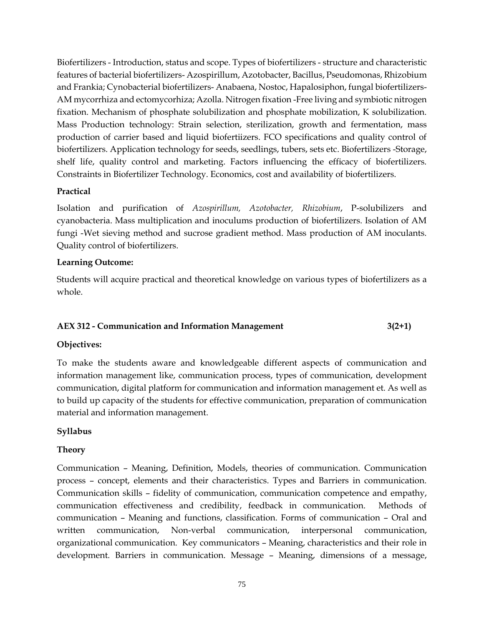Biofertilizers - Introduction, status and scope. Types of biofertilizers - structure and characteristic features of bacterial biofertilizers- Azospirillum, Azotobacter, Bacillus, Pseudomonas, Rhizobium and Frankia; Cynobacterial biofertilizers- Anabaena, Nostoc, Hapalosiphon, fungal biofertilizers-AM mycorrhiza and ectomycorhiza; Azolla. Nitrogen fixation -Free living and symbiotic nitrogen fixation. Mechanism of phosphate solubilization and phosphate mobilization, K solubilization. Mass Production technology: Strain selection, sterilization, growth and fermentation, mass production of carrier based and liquid biofertiizers. FCO specifications and quality control of biofertilizers. Application technology for seeds, seedlings, tubers, sets etc. Biofertilizers -Storage, shelf life, quality control and marketing. Factors influencing the efficacy of biofertilizers. Constraints in Biofertilizer Technology. Economics, cost and availability of biofertilizers.

# **Practical**

Isolation and purification of *Azospirillum, Azotobacter, Rhizobium*, P-solubilizers and cyanobacteria. Mass multiplication and inoculums production of biofertilizers. Isolation of AM fungi -Wet sieving method and sucrose gradient method. Mass production of AM inoculants. Quality control of biofertilizers.

### **Learning Outcome:**

Students will acquire practical and theoretical knowledge on various types of biofertilizers as a whole.

# **AEX 312 - Communication and Information Management 3(2+1)**

### **Objectives:**

To make the students aware and knowledgeable different aspects of communication and information management like, communication process, types of communication, development communication, digital platform for communication and information management et. As well as to build up capacity of the students for effective communication, preparation of communication material and information management.

# **Syllabus**

### **Theory**

Communication – Meaning, Definition, Models, theories of communication. Communication process – concept, elements and their characteristics. Types and Barriers in communication. Communication skills – fidelity of communication, communication competence and empathy, communication effectiveness and credibility, feedback in communication. Methods of communication – Meaning and functions, classification. Forms of communication – Oral and written communication, Non-verbal communication, interpersonal communication, organizational communication. Key communicators – Meaning, characteristics and their role in development. Barriers in communication. Message – Meaning, dimensions of a message,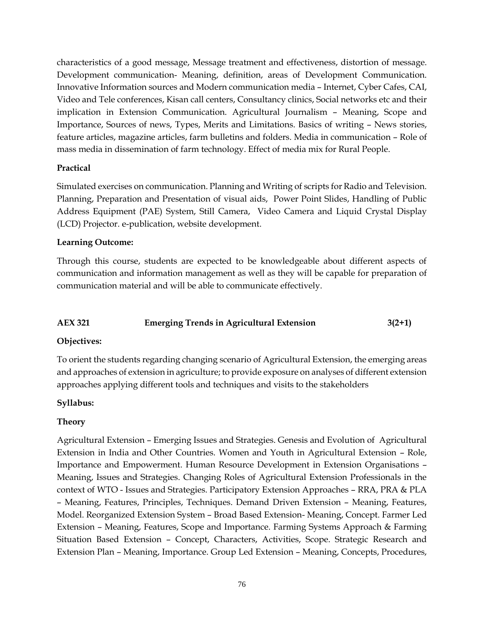characteristics of a good message, Message treatment and effectiveness, distortion of message. Development communication- Meaning, definition, areas of Development Communication. Innovative Information sources and Modern communication media – Internet, Cyber Cafes, CAI, Video and Tele conferences, Kisan call centers, Consultancy clinics, Social networks etc and their implication in Extension Communication. Agricultural Journalism – Meaning, Scope and Importance, Sources of news, Types, Merits and Limitations. Basics of writing – News stories, feature articles, magazine articles, farm bulletins and folders. Media in communication – Role of mass media in dissemination of farm technology. Effect of media mix for Rural People.

### **Practical**

Simulated exercises on communication. Planning and Writing of scripts for Radio and Television. Planning, Preparation and Presentation of visual aids, Power Point Slides, Handling of Public Address Equipment (PAE) System, Still Camera, Video Camera and Liquid Crystal Display (LCD) Projector. e-publication, website development.

### **Learning Outcome:**

Through this course, students are expected to be knowledgeable about different aspects of communication and information management as well as they will be capable for preparation of communication material and will be able to communicate effectively.

# **AEX 321 Emerging Trends in Agricultural Extension 3(2+1)**

### **Objectives:**

To orient the students regarding changing scenario of Agricultural Extension, the emerging areas and approaches of extension in agriculture; to provide exposure on analyses of different extension approaches applying different tools and techniques and visits to the stakeholders

### **Syllabus:**

### **Theory**

Agricultural Extension – Emerging Issues and Strategies. Genesis and Evolution of Agricultural Extension in India and Other Countries. Women and Youth in Agricultural Extension – Role, Importance and Empowerment. Human Resource Development in Extension Organisations – Meaning, Issues and Strategies. Changing Roles of Agricultural Extension Professionals in the context of WTO - Issues and Strategies. Participatory Extension Approaches – RRA, PRA & PLA – Meaning, Features, Principles, Techniques. Demand Driven Extension – Meaning, Features, Model. Reorganized Extension System – Broad Based Extension- Meaning, Concept. Farmer Led Extension – Meaning, Features, Scope and Importance. Farming Systems Approach & Farming Situation Based Extension – Concept, Characters, Activities, Scope. Strategic Research and Extension Plan – Meaning, Importance. Group Led Extension – Meaning, Concepts, Procedures,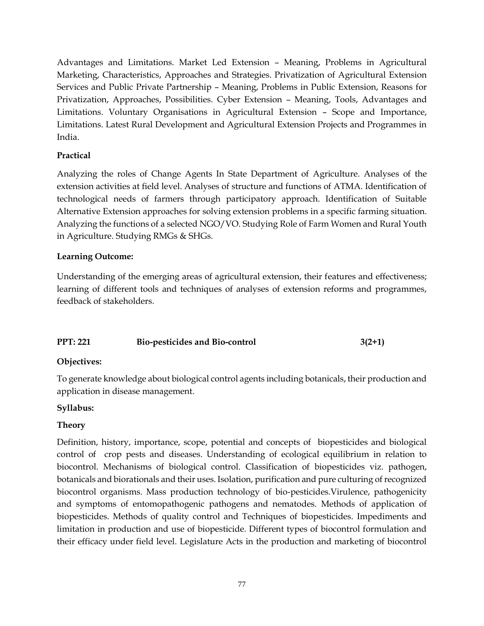Advantages and Limitations. Market Led Extension – Meaning, Problems in Agricultural Marketing, Characteristics, Approaches and Strategies. Privatization of Agricultural Extension Services and Public Private Partnership – Meaning, Problems in Public Extension, Reasons for Privatization, Approaches, Possibilities. Cyber Extension – Meaning, Tools, Advantages and Limitations. Voluntary Organisations in Agricultural Extension – Scope and Importance, Limitations. Latest Rural Development and Agricultural Extension Projects and Programmes in India.

### **Practical**

Analyzing the roles of Change Agents In State Department of Agriculture. Analyses of the extension activities at field level. Analyses of structure and functions of ATMA. Identification of technological needs of farmers through participatory approach. Identification of Suitable Alternative Extension approaches for solving extension problems in a specific farming situation. Analyzing the functions of a selected NGO/VO. Studying Role of Farm Women and Rural Youth in Agriculture. Studying RMGs & SHGs.

### **Learning Outcome:**

Understanding of the emerging areas of agricultural extension, their features and effectiveness; learning of different tools and techniques of analyses of extension reforms and programmes, feedback of stakeholders.

# **PPT: 221** Bio-pesticides and Bio-control 3(2+1)

### **Objectives:**

To generate knowledge about biological control agents including botanicals, their production and application in disease management.

### **Syllabus:**

### **Theory**

Definition, history, importance, scope, potential and concepts of biopesticides and biological control of crop pests and diseases. Understanding of ecological equilibrium in relation to biocontrol. Mechanisms of biological control. Classification of biopesticides viz. pathogen, botanicals and biorationals and their uses. Isolation, purification and pure culturing of recognized biocontrol organisms. Mass production technology of bio-pesticides.Virulence, pathogenicity and symptoms of entomopathogenic pathogens and nematodes. Methods of application of biopesticides. Methods of quality control and Techniques of biopesticides. Impediments and limitation in production and use of biopesticide. Different types of biocontrol formulation and their efficacy under field level. Legislature Acts in the production and marketing of biocontrol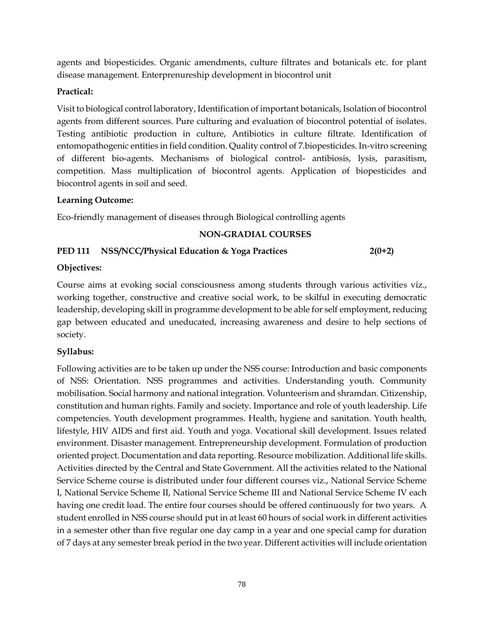agents and biopesticides. Organic amendments, culture filtrates and botanicals etc. for plant disease management. Enterprenureship development in biocontrol unit

### **Practical:**

Visit to biological control laboratory, Identification of important botanicals, Isolation of biocontrol agents from different sources. Pure culturing and evaluation of biocontrol potential of isolates. Testing antibiotic production in culture, Antibiotics in culture filtrate. Identification of entomopathogenic entities in field condition. Quality control of 7.biopesticides. In-vitro screening of different bio-agents. Mechanisms of biological control- antibiosis, lysis, parasitism, competition. Mass multiplication of biocontrol agents. Application of biopesticides and biocontrol agents in soil and seed.

### **Learning Outcome:**

Eco-friendly management of diseases through Biological controlling agents

### **NON-GRADIAL COURSES**

# **PED 111 NSS/NCC/Physical Education & Yoga Practices 2(0+2)**

### **Objectives:**

Course aims at evoking social consciousness among students through various activities viz., working together, constructive and creative social work, to be skilful in executing democratic leadership, developing skill in programme development to be able for self employment, reducing gap between educated and uneducated, increasing awareness and desire to help sections of society.

# **Syllabus:**

Following activities are to be taken up under the NSS course: Introduction and basic components of NSS: Orientation. NSS programmes and activities. Understanding youth. Community mobilisation. Social harmony and national integration. Volunteerism and shramdan. Citizenship, constitution and human rights. Family and society. Importance and role of youth leadership. Life competencies. Youth development programmes. Health, hygiene and sanitation. Youth health, lifestyle, HIV AIDS and first aid. Youth and yoga. Vocational skill development. Issues related environment. Disaster management. Entrepreneurship development. Formulation of production oriented project. Documentation and data reporting. Resource mobilization. Additional life skills. Activities directed by the Central and State Government. All the activities related to the National Service Scheme course is distributed under four different courses viz., National Service Scheme I, National Service Scheme II, National Service Scheme III and National Service Scheme IV each having one credit load. The entire four courses should be offered continuously for two years. A student enrolled in NSS course should put in at least 60 hours of social work in different activities in a semester other than five regular one day camp in a year and one special camp for duration of 7 days at any semester break period in the two year. Different activities will include orientation